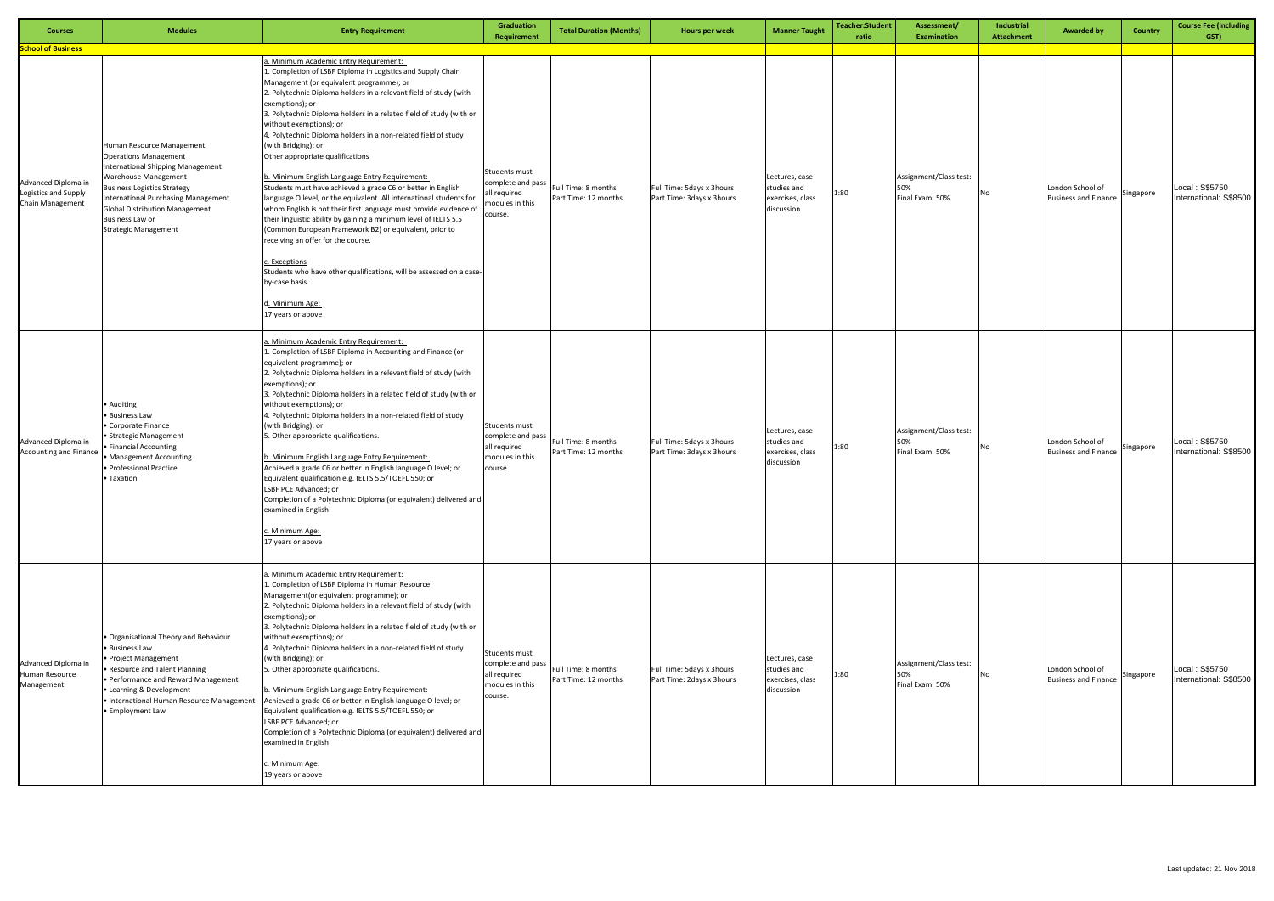| <b>Courses</b>                                                                               | <b>Modules</b>                                                                                                                                                                                                                                                                                               | <b>Entry Requirement</b>                                                                                                                                                                                                                                                                                                                                                                                                                                                                                                                                                                                                                                                                                                                                                                                                                                                                                                                                                                                                                                    | Graduation<br>Requirement                                                        | <b>Total Duration (Months)</b>              | Hours per week                                         | <b>Manner Taught</b>                                            | <b>Teacher:Student</b><br>ratio | Assessment/<br><b>Examination</b>                | Industrial<br><b>Attachment</b> | <b>Awarded by</b>                               | Country   | <b>Course Fee (including</b><br>GST)     |
|----------------------------------------------------------------------------------------------|--------------------------------------------------------------------------------------------------------------------------------------------------------------------------------------------------------------------------------------------------------------------------------------------------------------|-------------------------------------------------------------------------------------------------------------------------------------------------------------------------------------------------------------------------------------------------------------------------------------------------------------------------------------------------------------------------------------------------------------------------------------------------------------------------------------------------------------------------------------------------------------------------------------------------------------------------------------------------------------------------------------------------------------------------------------------------------------------------------------------------------------------------------------------------------------------------------------------------------------------------------------------------------------------------------------------------------------------------------------------------------------|----------------------------------------------------------------------------------|---------------------------------------------|--------------------------------------------------------|-----------------------------------------------------------------|---------------------------------|--------------------------------------------------|---------------------------------|-------------------------------------------------|-----------|------------------------------------------|
| <b>School of Business</b><br>Advanced Diploma in<br>Logistics and Supply<br>Chain Management | Human Resource Management<br><b>Operations Management</b><br><b>International Shipping Management</b><br>Warehouse Management<br><b>Business Logistics Strategy</b><br><b>International Purchasing Management</b><br><b>Global Distribution Management</b><br>Business Law or<br><b>Strategic Management</b> | a. Minimum Academic Entry Requirement:<br>1. Completion of LSBF Diploma in Logistics and Supply Chain<br>Management (or equivalent programme); or<br>2. Polytechnic Diploma holders in a relevant field of study (with<br>exemptions); or<br>3. Polytechnic Diploma holders in a related field of study (with or<br>without exemptions); or<br>4. Polytechnic Diploma holders in a non-related field of study<br>(with Bridging); or<br>Other appropriate qualifications<br>b. Minimum English Language Entry Requirement:<br>Students must have achieved a grade C6 or better in English<br>language O level, or the equivalent. All international students for<br>whom English is not their first language must provide evidence of<br>their linguistic ability by gaining a minimum level of IELTS 5.5<br>(Common European Framework B2) or equivalent, prior to<br>receiving an offer for the course.<br>c. Exceptions<br>Students who have other qualifications, will be assessed on a case-<br>by-case basis.<br>d. Minimum Age:<br>17 years or above | Students must<br>complete and pass<br>ll required<br>nodules in this<br>course.  | Full Time: 8 months<br>Part Time: 12 months | Full Time: 5days x 3hours<br>Part Time: 3days x 3hours | Lectures, case<br>studies and<br>exercises, class<br>discussion | 1:80                            | Assignment/Class test:<br>50%<br>Final Exam: 50% | No                              | London School of<br><b>Business and Finance</b> | Singapore | Local: S\$5750<br>International: S\$8500 |
| Advanced Diploma in<br><b>Accounting and Finance</b>                                         | • Auditing<br>· Business Law<br>• Corporate Finance<br>Strategic Management<br>Financial Accounting<br>• Management Accounting<br>· Professional Practice<br>Taxation                                                                                                                                        | a. Minimum Academic Entry Requirement:<br>1. Completion of LSBF Diploma in Accounting and Finance (or<br>equivalent programme); or<br>2. Polytechnic Diploma holders in a relevant field of study (with<br>exemptions); or<br>3. Polytechnic Diploma holders in a related field of study (with or<br>without exemptions); or<br>4. Polytechnic Diploma holders in a non-related field of study<br>(with Bridging); or<br>5. Other appropriate qualifications.<br>b. Minimum English Language Entry Requirement:<br>Achieved a grade C6 or better in English language O level; or<br>Equivalent qualification e.g. IELTS 5.5/TOEFL 550; or<br>LSBF PCE Advanced; or<br>Completion of a Polytechnic Diploma (or equivalent) delivered and<br>examined in English<br>Minimum Age:<br>17 years or above                                                                                                                                                                                                                                                         | Students must<br>complete and pass<br>Il required<br>modules in this<br>ourse.   | Full Time: 8 months<br>Part Time: 12 months | Full Time: 5days x 3hours<br>Part Time: 3days x 3hours | Lectures, case<br>studies and<br>exercises, class<br>discussion | 1:80                            | Assignment/Class test:<br>50%<br>Final Exam: 50% | No                              | London School of<br><b>Business and Finance</b> | Singapore | Local: S\$5750<br>International: S\$8500 |
| Advanced Diploma in<br>Human Resource<br>Management                                          | · Organisational Theory and Behaviour<br>• Business Law<br>• Project Management<br>• Resource and Talent Planning<br>• Performance and Reward Management<br>• Learning & Development<br>· International Human Resource Management<br>· Employment Law                                                        | a. Minimum Academic Entry Requirement:<br>1. Completion of LSBF Diploma in Human Resource<br>Management(or equivalent programme); or<br>2. Polytechnic Diploma holders in a relevant field of study (with<br>exemptions); or<br>3. Polytechnic Diploma holders in a related field of study (with or<br>without exemptions); or<br>4. Polytechnic Diploma holders in a non-related field of study<br>(with Bridging); or<br>5. Other appropriate qualifications.<br>b. Minimum English Language Entry Requirement:<br>Achieved a grade C6 or better in English language O level; or<br>Equivalent qualification e.g. IELTS 5.5/TOEFL 550; or<br>LSBF PCE Advanced; or<br>Completion of a Polytechnic Diploma (or equivalent) delivered and<br>examined in English<br>c. Minimum Age:<br>19 years or above                                                                                                                                                                                                                                                    | Students must<br>complete and pass<br>all required<br>modules in this<br>course. | Full Time: 8 months<br>Part Time: 12 months | Full Time: 5days x 3hours<br>Part Time: 2days x 3hours | Lectures, case<br>studies and<br>exercises, class<br>discussion | 1:80                            | Assignment/Class test:<br>50%<br>Final Exam: 50% | No                              | London School of<br><b>Business and Finance</b> | Singapore | Local: S\$5750<br>International: S\$8500 |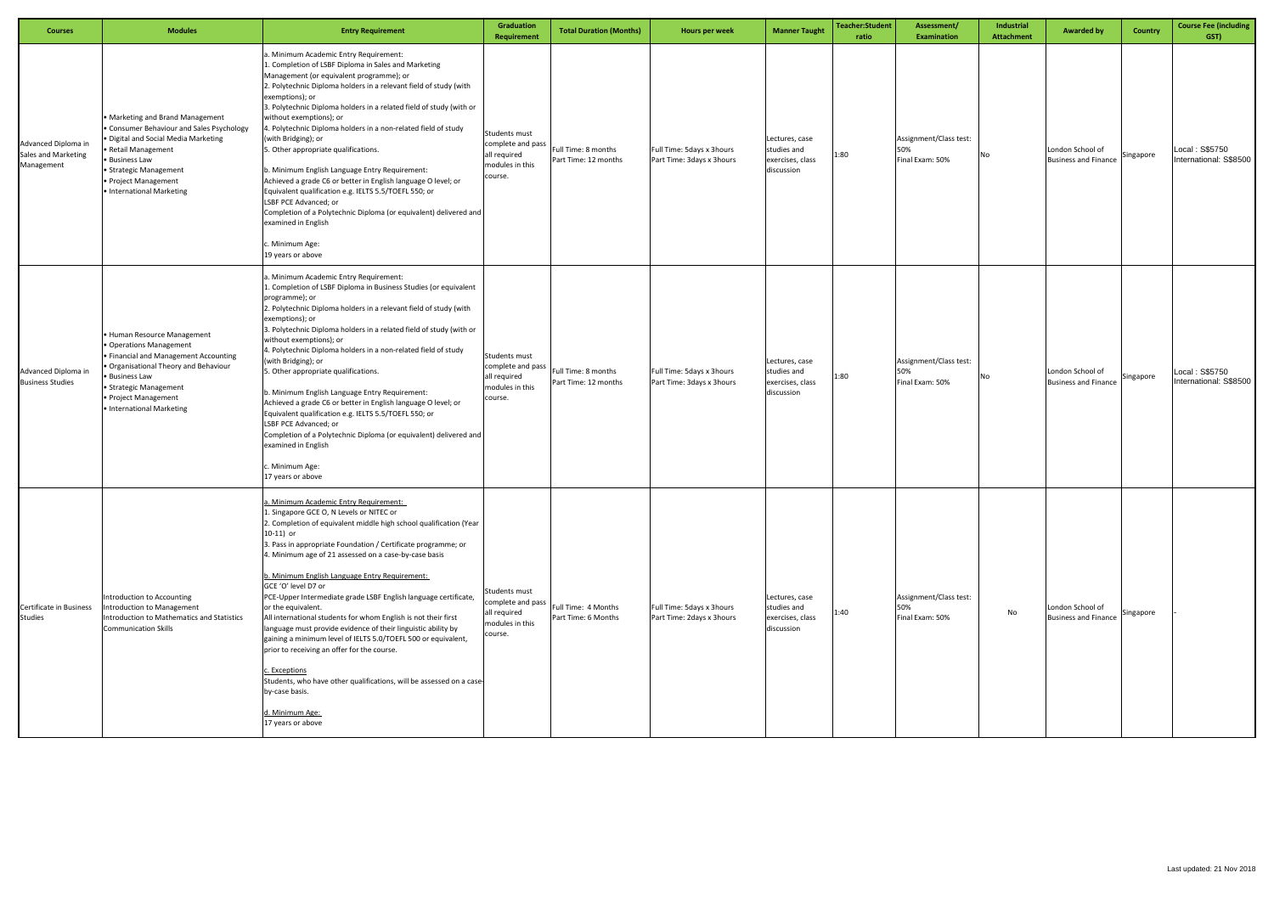| <b>Courses</b>                                           | <b>Modules</b>                                                                                                                                                                                                                                     | <b>Entry Requirement</b>                                                                                                                                                                                                                                                                                                                                                                                                                                                                                                                                                                                                                                                                                                                                                                                                                                                   | Graduation<br>Requirement                                                        | <b>Total Duration (Months)</b>              | Hours per week                                         | <b>Manner Taught</b>                                            | <b>Teacher:Student</b><br>ratio | Assessment/<br><b>Examination</b>                | Industrial<br><b>Attachment</b> | <b>Awarded by</b>                               | <b>Country</b> | <b>Course Fee (including</b><br>GST)     |
|----------------------------------------------------------|----------------------------------------------------------------------------------------------------------------------------------------------------------------------------------------------------------------------------------------------------|----------------------------------------------------------------------------------------------------------------------------------------------------------------------------------------------------------------------------------------------------------------------------------------------------------------------------------------------------------------------------------------------------------------------------------------------------------------------------------------------------------------------------------------------------------------------------------------------------------------------------------------------------------------------------------------------------------------------------------------------------------------------------------------------------------------------------------------------------------------------------|----------------------------------------------------------------------------------|---------------------------------------------|--------------------------------------------------------|-----------------------------------------------------------------|---------------------------------|--------------------------------------------------|---------------------------------|-------------------------------------------------|----------------|------------------------------------------|
| Advanced Diploma in<br>Sales and Marketing<br>Management | • Marketing and Brand Management<br>• Consumer Behaviour and Sales Psychology<br>· Digital and Social Media Marketing<br>• Retail Management<br>• Business Law<br><b>Strategic Management</b><br>· Project Management<br>• International Marketing | a. Minimum Academic Entry Requirement:<br>1. Completion of LSBF Diploma in Sales and Marketing<br>Management (or equivalent programme); or<br>2. Polytechnic Diploma holders in a relevant field of study (with<br>exemptions); or<br>3. Polytechnic Diploma holders in a related field of study (with or<br>without exemptions); or<br>4. Polytechnic Diploma holders in a non-related field of study<br>(with Bridging); or<br>5. Other appropriate qualifications.<br>b. Minimum English Language Entry Requirement:<br>Achieved a grade C6 or better in English language O level; or<br>Equivalent qualification e.g. IELTS 5.5/TOEFL 550; or<br>LSBF PCE Advanced; or<br>Completion of a Polytechnic Diploma (or equivalent) delivered and<br>examined in English<br>c. Minimum Age:<br>19 years or above                                                             | Students must<br>complete and pass<br>all required<br>modules in this<br>course. | Full Time: 8 months<br>Part Time: 12 months | Full Time: 5days x 3hours<br>Part Time: 3days x 3hours | Lectures, case<br>studies and<br>exercises, class<br>discussion | 1:80                            | Assignment/Class test:<br>50%<br>Final Exam: 50% | No                              | London School of<br><b>Business and Finance</b> | Singapore      | Local: S\$5750<br>International: S\$8500 |
| Advanced Diploma in<br><b>Business Studies</b>           | • Human Resource Management<br>· Operations Management<br>• Financial and Management Accounting<br>· Organisational Theory and Behaviour<br>• Business Law<br>• Strategic Management<br>· Project Management<br>• International Marketing          | a. Minimum Academic Entry Requirement:<br>1. Completion of LSBF Diploma in Business Studies (or equivalent<br>programme); or<br>2. Polytechnic Diploma holders in a relevant field of study (with<br>exemptions); or<br>3. Polytechnic Diploma holders in a related field of study (with or<br>without exemptions); or<br>4. Polytechnic Diploma holders in a non-related field of study<br>(with Bridging); or<br>5. Other appropriate qualifications.<br>b. Minimum English Language Entry Requirement:<br>Achieved a grade C6 or better in English language O level; or<br>Equivalent qualification e.g. IELTS 5.5/TOEFL 550; or<br>LSBF PCE Advanced; or<br>Completion of a Polytechnic Diploma (or equivalent) delivered and<br>examined in English<br>c. Minimum Age:<br>17 years or above                                                                           | Students must<br>complete and pass<br>all required<br>modules in this<br>course. | Full Time: 8 months<br>Part Time: 12 months | Full Time: 5days x 3hours<br>Part Time: 3days x 3hours | Lectures, case<br>studies and<br>exercises, class<br>discussion | 1:80                            | Assignment/Class test:<br>50%<br>Final Exam: 50% | No                              | London School of<br><b>Business and Finance</b> | Singapore      | Local: S\$5750<br>International: S\$8500 |
| Certificate in Business<br><b>Studies</b>                | Introduction to Accounting<br>Introduction to Management<br>Introduction to Mathematics and Statistics<br><b>Communication Skills</b>                                                                                                              | a. Minimum Academic Entry Requirement:<br>1. Singapore GCE O, N Levels or NITEC or<br>2. Completion of equivalent middle high school qualification (Year<br>$10-11$ ) or<br>3. Pass in appropriate Foundation / Certificate programme; or<br>4. Minimum age of 21 assessed on a case-by-case basis<br>b. Minimum English Language Entry Requirement:<br>GCE 'O' level D7 or<br>PCE-Upper Intermediate grade LSBF English language certificate,<br>or the equivalent.<br>All international students for whom English is not their first<br>language must provide evidence of their linguistic ability by<br>gaining a minimum level of IELTS 5.0/TOEFL 500 or equivalent,<br>prior to receiving an offer for the course.<br>c. Exceptions<br>Students, who have other qualifications, will be assessed on a case-<br>by-case basis.<br>d. Minimum Age:<br>17 years or above | Students must<br>complete and pass<br>all required<br>modules in this<br>course. | Full Time: 4 Months<br>Part Time: 6 Months  | Full Time: 5days x 3hours<br>Part Time: 2days x 3hours | Lectures, case<br>studies and<br>exercises, class<br>discussion | 1:40                            | Assignment/Class test:<br>Final Exam: 50%        | No                              | London School of<br><b>Business and Finance</b> | Singapore      |                                          |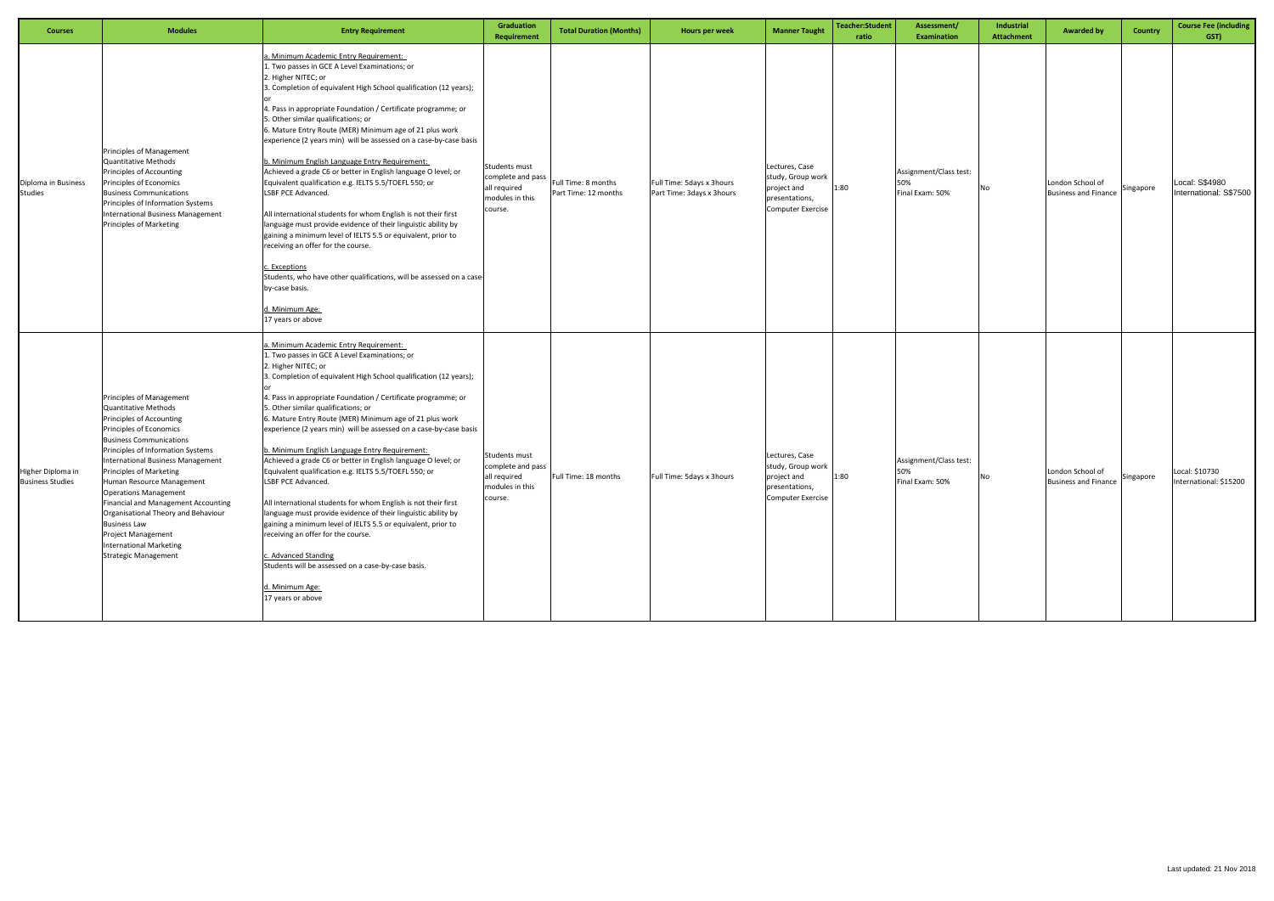| <b>Courses</b>                               | <b>Modules</b>                                                                                                                                                                                                                                                                                                                                                                                                                                                                                                               | <b>Entry Requirement</b>                                                                                                                                                                                                                                                                                                                                                                                                                                                                                                                                                                                                                                                                                                                                                                                                                                                                                                                                                                                                         | Graduation<br><b>Requirement</b>                                                 | <b>Total Duration (Months)</b>              | Hours per week                                         | <b>Manner Taught</b>                                                                             | Teacher:Student<br>ratio | Assessment/<br><b>Examination</b>                | Industrial<br><b>Attachment</b> | <b>Awarded by</b><br><b>Country</b>                          | <b>Course Fee (including</b><br>GST)     |
|----------------------------------------------|------------------------------------------------------------------------------------------------------------------------------------------------------------------------------------------------------------------------------------------------------------------------------------------------------------------------------------------------------------------------------------------------------------------------------------------------------------------------------------------------------------------------------|----------------------------------------------------------------------------------------------------------------------------------------------------------------------------------------------------------------------------------------------------------------------------------------------------------------------------------------------------------------------------------------------------------------------------------------------------------------------------------------------------------------------------------------------------------------------------------------------------------------------------------------------------------------------------------------------------------------------------------------------------------------------------------------------------------------------------------------------------------------------------------------------------------------------------------------------------------------------------------------------------------------------------------|----------------------------------------------------------------------------------|---------------------------------------------|--------------------------------------------------------|--------------------------------------------------------------------------------------------------|--------------------------|--------------------------------------------------|---------------------------------|--------------------------------------------------------------|------------------------------------------|
| Diploma in Business<br><b>Studies</b>        | Principles of Management<br>Quantitative Methods<br>Principles of Accounting<br>Principles of Economics<br><b>Business Communications</b><br>Principles of Information Systems<br>International Business Management<br>Principles of Marketing                                                                                                                                                                                                                                                                               | 1. Minimum Academic Entry Requirement:<br>1. Two passes in GCE A Level Examinations; or<br>2. Higher NITEC; or<br>3. Completion of equivalent High School qualification (12 years);<br>4. Pass in appropriate Foundation / Certificate programme; or<br>5. Other similar qualifications; or<br>5. Mature Entry Route (MER) Minimum age of 21 plus work<br>experience (2 years min) will be assessed on a case-by-case basis<br>b. Minimum English Language Entry Requirement:<br>Achieved a grade C6 or better in English language O level; or<br>Equivalent qualification e.g. IELTS 5.5/TOEFL 550; or<br>LSBF PCE Advanced.<br>All international students for whom English is not their first<br>language must provide evidence of their linguistic ability by<br>gaining a minimum level of IELTS 5.5 or equivalent, prior to<br>receiving an offer for the course.<br>. Exceptions<br>Students, who have other qualifications, will be assessed on a case-<br>by-case basis.<br><u> J. Minimum Age:</u><br>17 years or above | Students must<br>complete and pass<br>all required<br>modules in this<br>course. | Full Time: 8 months<br>Part Time: 12 months | Full Time: 5days x 3hours<br>Part Time: 3days x 3hours | Lectures, Case<br>study, Group work<br>project and<br>presentations,<br><b>Computer Exercise</b> | 1:80                     | Assignment/Class test:<br>50%<br>Final Exam: 50% | No                              | London School of<br>Singapore<br><b>Business and Finance</b> | Local: S\$4980<br>International: S\$7500 |
| Higher Diploma in<br><b>Business Studies</b> | <b>Principles of Management</b><br>Quantitative Methods<br>Principles of Accounting<br>Principles of Economics<br><b>Business Communications</b><br>Principles of Information Systems<br>International Business Management<br><b>Principles of Marketing</b><br>Human Resource Management<br><b>Operations Management</b><br>Financial and Management Accounting<br>Organisational Theory and Behaviour<br><b>Business Law</b><br><b>Project Management</b><br><b>International Marketing</b><br><b>Strategic Management</b> | . Minimum Academic Entry Requirement:<br>1. Two passes in GCE A Level Examinations; or<br>2. Higher NITEC; or<br>3. Completion of equivalent High School qualification (12 years);<br>4. Pass in appropriate Foundation / Certificate programme; or<br>5. Other similar qualifications; or<br>6. Mature Entry Route (MER) Minimum age of 21 plus work<br>experience (2 years min) will be assessed on a case-by-case basis<br>b. Minimum English Language Entry Requirement:<br>Achieved a grade C6 or better in English language O level; or<br>Equivalent qualification e.g. IELTS 5.5/TOEFL 550; or<br>LSBF PCE Advanced.<br>All international students for whom English is not their first<br>language must provide evidence of their linguistic ability by<br>gaining a minimum level of IELTS 5.5 or equivalent, prior to<br>receiving an offer for the course.<br>. Advanced Standing<br>Students will be assessed on a case-by-case basis.<br>d. Minimum Age:<br>17 years or above                                       | Students must<br>complete and pass<br>all required<br>modules in this<br>course. | Full Time: 18 months                        | Full Time: 5days x 3hours                              | Lectures, Case<br>study, Group work<br>project and<br>presentations,<br><b>Computer Exercise</b> | 1:80                     | Assignment/Class test:<br>50%<br>Final Exam: 50% | No                              | London School of<br>Singapore<br><b>Business and Finance</b> | Local: \$10730<br>International: \$15200 |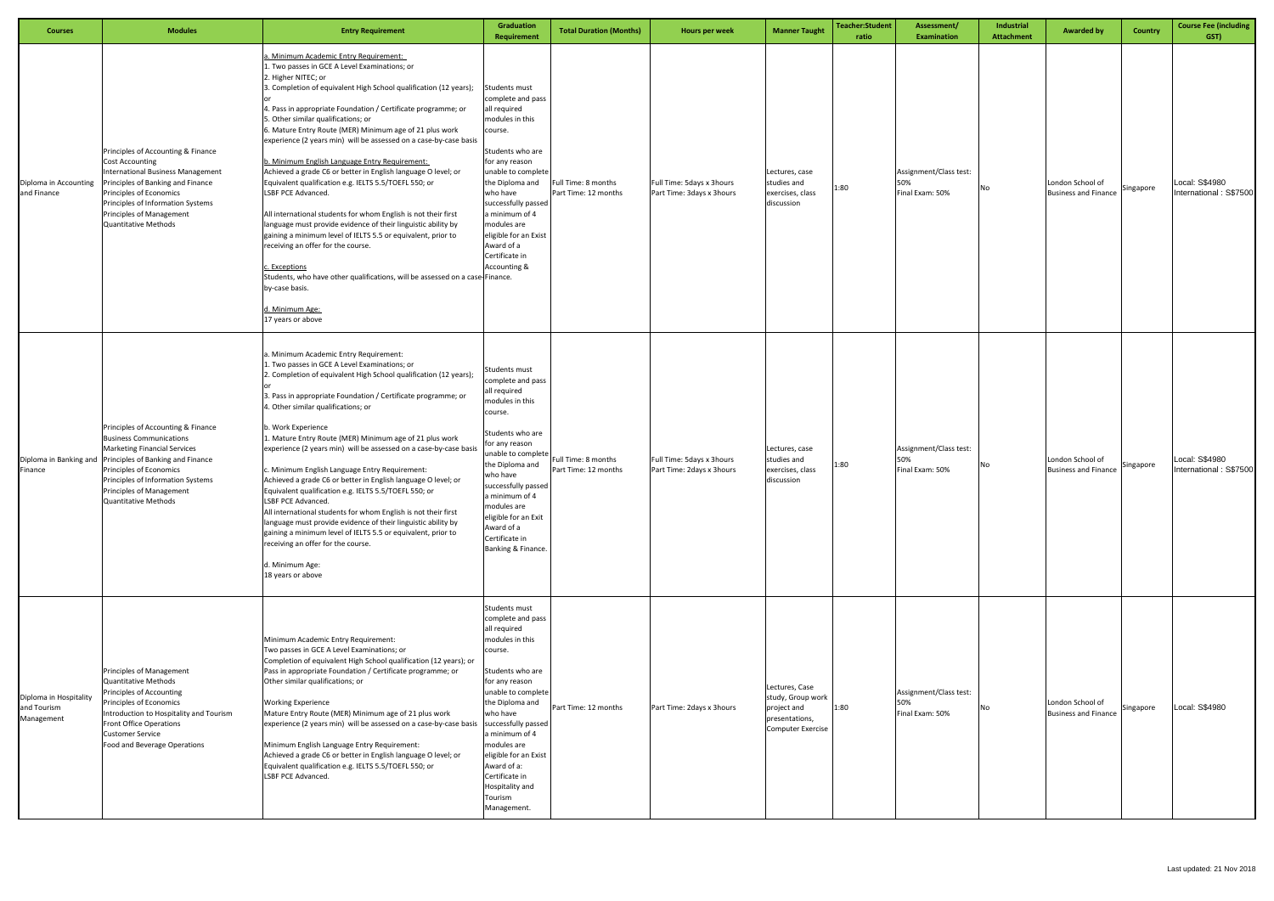| <b>Courses</b>                                      | <b>Modules</b>                                                                                                                                                                                                                                                                                     | <b>Entry Requirement</b>                                                                                                                                                                                                                                                                                                                                                                                                                                                                                                                                                                                                                                                                                                                                                                                                                                                                                                                                                                                                        | <b>Graduation</b><br><b>Requirement</b>                                                                                                                                                                                                                                                                                                    | <b>Total Duration (Months)</b>              | Hours per week                                         | <b>Manner Taught</b>                                                                      | Teacher:Student<br>ratio | Assessment/<br><b>Examination</b>                | Industrial<br><b>Attachment</b> | <b>Awarded by</b>                               | Country   | <b>Course Fee (including</b><br>GST)     |
|-----------------------------------------------------|----------------------------------------------------------------------------------------------------------------------------------------------------------------------------------------------------------------------------------------------------------------------------------------------------|---------------------------------------------------------------------------------------------------------------------------------------------------------------------------------------------------------------------------------------------------------------------------------------------------------------------------------------------------------------------------------------------------------------------------------------------------------------------------------------------------------------------------------------------------------------------------------------------------------------------------------------------------------------------------------------------------------------------------------------------------------------------------------------------------------------------------------------------------------------------------------------------------------------------------------------------------------------------------------------------------------------------------------|--------------------------------------------------------------------------------------------------------------------------------------------------------------------------------------------------------------------------------------------------------------------------------------------------------------------------------------------|---------------------------------------------|--------------------------------------------------------|-------------------------------------------------------------------------------------------|--------------------------|--------------------------------------------------|---------------------------------|-------------------------------------------------|-----------|------------------------------------------|
| Diploma in Accounting<br>and Finance                | Principles of Accounting & Finance<br><b>Cost Accounting</b><br>International Business Management<br>Principles of Banking and Finance<br>Principles of Economics<br>Principles of Information Systems<br>Principles of Management<br><b>Quantitative Methods</b>                                  | . Minimum Academic Entry Requirement:<br>1. Two passes in GCE A Level Examinations; or<br>2. Higher NITEC; or<br>3. Completion of equivalent High School qualification (12 years);<br>4. Pass in appropriate Foundation / Certificate programme; or<br>5. Other similar qualifications; or<br>6. Mature Entry Route (MER) Minimum age of 21 plus work<br>experience (2 years min) will be assessed on a case-by-case basis<br>b. Minimum English Language Entry Requirement:<br>Achieved a grade C6 or better in English language O level; or<br>Equivalent qualification e.g. IELTS 5.5/TOEFL 550; or<br>LSBF PCE Advanced.<br>All international students for whom English is not their first<br>language must provide evidence of their linguistic ability by<br>gaining a minimum level of IELTS 5.5 or equivalent, prior to<br>receiving an offer for the course.<br>. Exceptions<br>Students, who have other qualifications, will be assessed on a case-Finance.<br>by-case basis.<br>d. Minimum Age:<br>17 years or above | Students must<br>complete and pass<br>all required<br>modules in this<br>course.<br>Students who are<br>for any reason<br>unable to complete<br>the Diploma and<br>who have<br>successfully passed<br>a minimum of 4<br>modules are<br>eligible for an Exist<br>Award of a<br>Certificate in<br>Accounting &                               | Full Time: 8 months<br>Part Time: 12 months | Full Time: 5days x 3hours<br>Part Time: 3days x 3hours | Lectures, case<br>studies and<br>exercises, class<br>discussion                           | 1:80                     | Assignment/Class test:<br>50%<br>Final Exam: 50% | No                              | London School of<br><b>Business and Finance</b> | Singapore | Local: S\$4980<br>International: S\$7500 |
| Finance                                             | Principles of Accounting & Finance<br><b>Business Communications</b><br><b>Marketing Financial Services</b><br>Diploma in Banking and Principles of Banking and Finance<br>Principles of Economics<br>Principles of Information Systems<br>Principles of Management<br><b>Quantitative Methods</b> | a. Minimum Academic Entry Requirement:<br>Two passes in GCE A Level Examinations; or<br>2. Completion of equivalent High School qualification (12 years);<br>3. Pass in appropriate Foundation / Certificate programme; or<br>4. Other similar qualifications; or<br>b. Work Experience<br>1. Mature Entry Route (MER) Minimum age of 21 plus work<br>experience (2 years min) will be assessed on a case-by-case basis<br>c. Minimum English Language Entry Requirement:<br>Achieved a grade C6 or better in English language O level; or<br>Equivalent qualification e.g. IELTS 5.5/TOEFL 550; or<br>LSBF PCE Advanced.<br>All international students for whom English is not their first<br>language must provide evidence of their linguistic ability by<br>gaining a minimum level of IELTS 5.5 or equivalent, prior to<br>receiving an offer for the course.<br>d. Minimum Age:<br>18 years or above                                                                                                                      | Students must<br>complete and pass<br>all required<br>modules in this<br>course.<br>Students who are<br>for any reason<br>unable to complete<br>the Diploma and<br>who have<br>successfully passed<br>a minimum of 4<br>modules are<br>eligible for an Exit<br>Award of a<br>Certificate in<br>Banking & Finance.                          | Full Time: 8 months<br>Part Time: 12 months | Full Time: 5days x 3hours<br>Part Time: 2days x 3hours | Lectures, case<br>studies and<br>exercises, class<br>discussion                           | 1:80                     | Assignment/Class test:<br>Final Exam: 50%        | No                              | London School of<br><b>Business and Finance</b> | Singapore | Local: S\$4980<br>International: S\$7500 |
| Diploma in Hospitality<br>and Tourism<br>Management | Principles of Management<br><b>Quantitative Methods</b><br>Principles of Accounting<br>Principles of Economics<br>Introduction to Hospitality and Tourism<br>Front Office Operations<br><b>Customer Service</b><br>Food and Beverage Operations                                                    | Minimum Academic Entry Requirement:<br>Two passes in GCE A Level Examinations; or<br>Completion of equivalent High School qualification (12 years); or<br>Pass in appropriate Foundation / Certificate programme; or<br>Other similar qualifications; or<br><b>Working Experience</b><br>Mature Entry Route (MER) Minimum age of 21 plus work<br>experience (2 years min) will be assessed on a case-by-case basis<br>Minimum English Language Entry Requirement:<br>Achieved a grade C6 or better in English language O level; or<br>Equivalent qualification e.g. IELTS 5.5/TOEFL 550; or<br>LSBF PCE Advanced.                                                                                                                                                                                                                                                                                                                                                                                                               | Students must<br>complete and pass<br>all required<br>modules in this<br>course.<br>Students who are<br>for any reason<br>unable to complete<br>the Diploma and<br>who have<br>successfully passed<br>a minimum of 4<br>modules are<br>eligible for an Exist<br>Award of a:<br>Certificate in<br>Hospitality and<br>Tourism<br>Management. | Part Time: 12 months                        | Part Time: 2days x 3hours                              | Lectures, Case<br>study, Group work<br>project and<br>presentations,<br>Computer Exercise | 1:80                     | Assignment/Class test:<br>Final Exam: 50%        | No                              | London School of<br><b>Business and Finance</b> | Singapore | Local: S\$4980                           |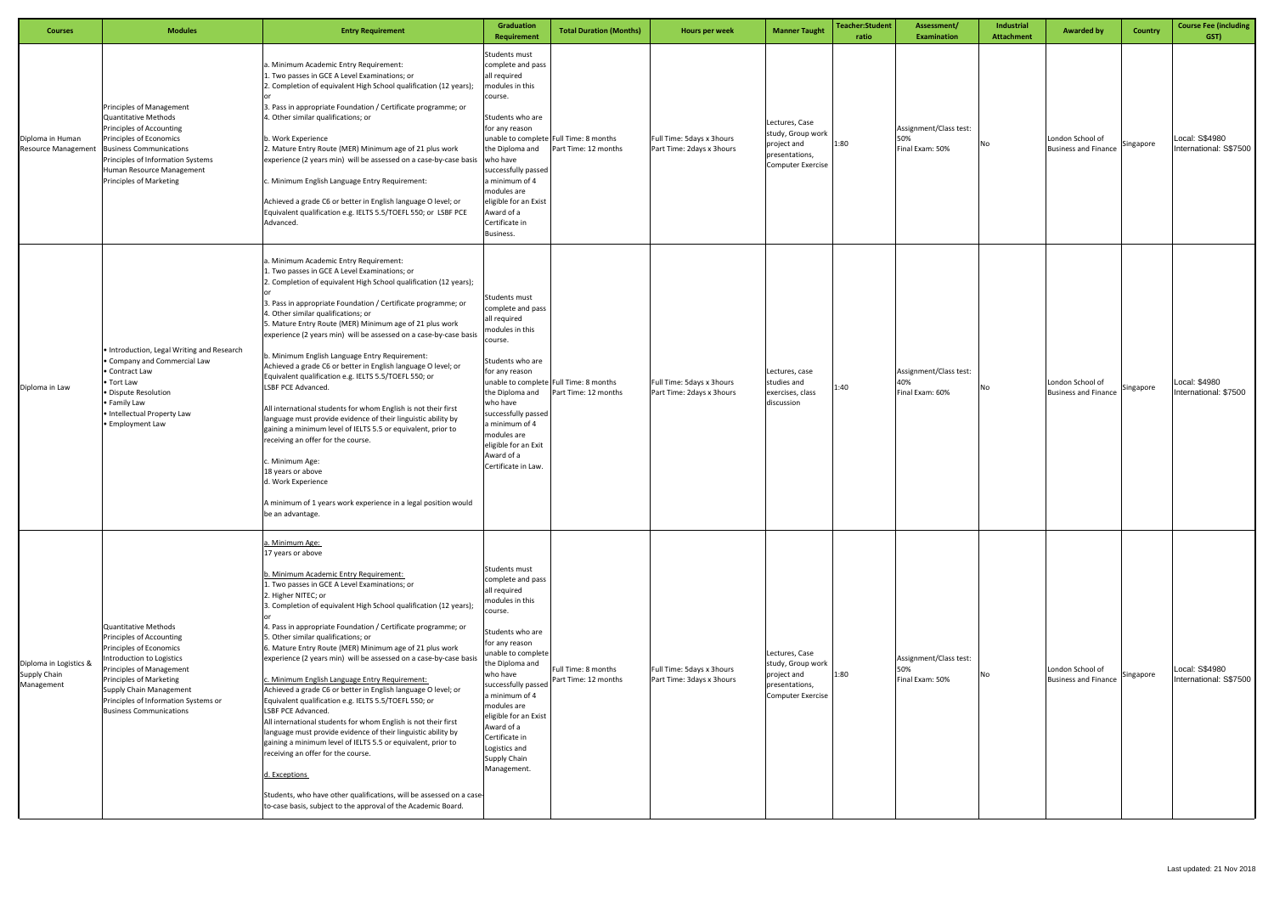| <b>Courses</b>                                       | <b>Modules</b>                                                                                                                                                                                                                                                       | <b>Entry Requirement</b>                                                                                                                                                                                                                                                                                                                                                                                                                                                                                                                                                                                                                                                                                                                                                                                                                                                                                                                                                                                                                                                 | <b>Graduation</b><br><b>Requirement</b>                                                                                                                                                                                                                                                                                                      | <b>Total Duration (Months)</b>                                 | Hours per week                                         | <b>Manner Taught</b>                                                                             | Teacher:Student<br>ratio | Assessment/<br><b>Examination</b>                | Industrial<br><b>Attachment</b> | <b>Awarded by</b>                               | Country   | <b>Course Fee (including</b><br>GST)     |
|------------------------------------------------------|----------------------------------------------------------------------------------------------------------------------------------------------------------------------------------------------------------------------------------------------------------------------|--------------------------------------------------------------------------------------------------------------------------------------------------------------------------------------------------------------------------------------------------------------------------------------------------------------------------------------------------------------------------------------------------------------------------------------------------------------------------------------------------------------------------------------------------------------------------------------------------------------------------------------------------------------------------------------------------------------------------------------------------------------------------------------------------------------------------------------------------------------------------------------------------------------------------------------------------------------------------------------------------------------------------------------------------------------------------|----------------------------------------------------------------------------------------------------------------------------------------------------------------------------------------------------------------------------------------------------------------------------------------------------------------------------------------------|----------------------------------------------------------------|--------------------------------------------------------|--------------------------------------------------------------------------------------------------|--------------------------|--------------------------------------------------|---------------------------------|-------------------------------------------------|-----------|------------------------------------------|
| Diploma in Human<br><b>Resource Management</b>       | <b>Principles of Management</b><br>Quantitative Methods<br>Principles of Accounting<br>Principles of Economics<br><b>Business Communications</b><br>Principles of Information Systems<br>Human Resource Management<br>Principles of Marketing                        | a. Minimum Academic Entry Requirement:<br>1. Two passes in GCE A Level Examinations; or<br>2. Completion of equivalent High School qualification (12 years);<br>3. Pass in appropriate Foundation / Certificate programme; or<br>4. Other similar qualifications; or<br>b. Work Experience<br>2. Mature Entry Route (MER) Minimum age of 21 plus work<br>experience (2 years min) will be assessed on a case-by-case basis<br>c. Minimum English Language Entry Requirement:<br>Achieved a grade C6 or better in English language O level; or<br>Equivalent qualification e.g. IELTS 5.5/TOEFL 550; or LSBF PCE<br>Advanced.                                                                                                                                                                                                                                                                                                                                                                                                                                             | Students must<br>complete and pass<br>all required<br>modules in this<br>course.<br>Students who are<br>for any reason<br>the Diploma and<br>who have<br>successfully passed<br>a minimum of 4<br>modules are<br>eligible for an Exist<br>Award of a<br>Certificate in<br>Business.                                                          | unable to complete Full Time: 8 months<br>Part Time: 12 months | Full Time: 5days x 3hours<br>Part Time: 2days x 3hours | Lectures, Case<br>study, Group work<br>project and<br>presentations,<br><b>Computer Exercise</b> | 1:80                     | Assignment/Class test:<br>50%<br>Final Exam: 50% | No                              | London School of<br><b>Business and Finance</b> | Singapore | Local: S\$4980<br>International: S\$7500 |
| Diploma in Law                                       | · Introduction, Legal Writing and Research<br>• Company and Commercial Law<br>• Contract Law<br>• Tort Law<br>· Dispute Resolution<br>• Family Law<br>· Intellectual Property Law<br>· Employment Law                                                                | a. Minimum Academic Entry Requirement:<br>1. Two passes in GCE A Level Examinations; or<br>2. Completion of equivalent High School qualification (12 years);<br>3. Pass in appropriate Foundation / Certificate programme; or<br>4. Other similar qualifications; or<br>5. Mature Entry Route (MER) Minimum age of 21 plus work<br>experience (2 years min) will be assessed on a case-by-case basis<br>b. Minimum English Language Entry Requirement:<br>Achieved a grade C6 or better in English language O level; or<br>Equivalent qualification e.g. IELTS 5.5/TOEFL 550; or<br>LSBF PCE Advanced.<br>All international students for whom English is not their first<br>language must provide evidence of their linguistic ability by<br>gaining a minimum level of IELTS 5.5 or equivalent, prior to<br>receiving an offer for the course.<br>c. Minimum Age:<br>18 years or above<br>d. Work Experience<br>A minimum of 1 years work experience in a legal position would<br>be an advantage.                                                                      | Students must<br>complete and pass<br>all required<br>modules in this<br>course.<br>Students who are<br>for any reason<br>the Diploma and<br>who have<br>successfully passed<br>a minimum of 4<br>modules are<br>eligible for an Exit<br>Award of a<br>Certificate in Law.                                                                   | unable to complete Full Time: 8 months<br>Part Time: 12 months | Full Time: 5days x 3hours<br>Part Time: 2days x 3hours | Lectures, case<br>studies and<br>exercises, class<br>discussion                                  | 1:40                     | Assignment/Class test:<br>40%<br>Final Exam: 60% | No                              | London School of<br><b>Business and Finance</b> | Singapore | Local: \$4980<br>International: \$7500   |
| Diploma in Logistics &<br>Supply Chain<br>Management | Quantitative Methods<br>Principles of Accounting<br>Principles of Economics<br>Introduction to Logistics<br>Principles of Management<br>Principles of Marketing<br>Supply Chain Management<br>Principles of Information Systems or<br><b>Business Communications</b> | a. Minimum Age:<br>17 years or above<br>b. Minimum Academic Entry Requirement:<br>1. Two passes in GCE A Level Examinations; or<br>2. Higher NITEC; or<br>3. Completion of equivalent High School qualification (12 years);<br>4. Pass in appropriate Foundation / Certificate programme; or<br>5. Other similar qualifications; or<br>6. Mature Entry Route (MER) Minimum age of 21 plus work<br>experience (2 years min) will be assessed on a case-by-case basis<br>c. Minimum English Language Entry Requirement:<br>Achieved a grade C6 or better in English language O level; or<br>Equivalent qualification e.g. IELTS 5.5/TOEFL 550; or<br>LSBF PCE Advanced.<br>All international students for whom English is not their first<br>language must provide evidence of their linguistic ability by<br>gaining a minimum level of IELTS 5.5 or equivalent, prior to<br>receiving an offer for the course.<br>d. Exceptions<br>Students, who have other qualifications, will be assessed on a case-<br>to-case basis, subject to the approval of the Academic Board. | Students must<br>complete and pass<br>all required<br>modules in this<br>course.<br>Students who are<br>for any reason<br>unable to complete<br>the Diploma and<br>who have<br>successfully passed<br>a minimum of 4<br>modules are<br>eligible for an Exist<br>Award of a<br>Certificate in<br>Logistics and<br>Supply Chain<br>Management. | Full Time: 8 months<br>Part Time: 12 months                    | Full Time: 5days x 3hours<br>Part Time: 3days x 3hours | Lectures, Case<br>study, Group work<br>project and<br>presentations,<br><b>Computer Exercise</b> | 1:80                     | Assignment/Class test:<br>50%<br>Final Exam: 50% | No                              | London School of<br><b>Business and Finance</b> | Singapore | Local: S\$4980<br>International: S\$7500 |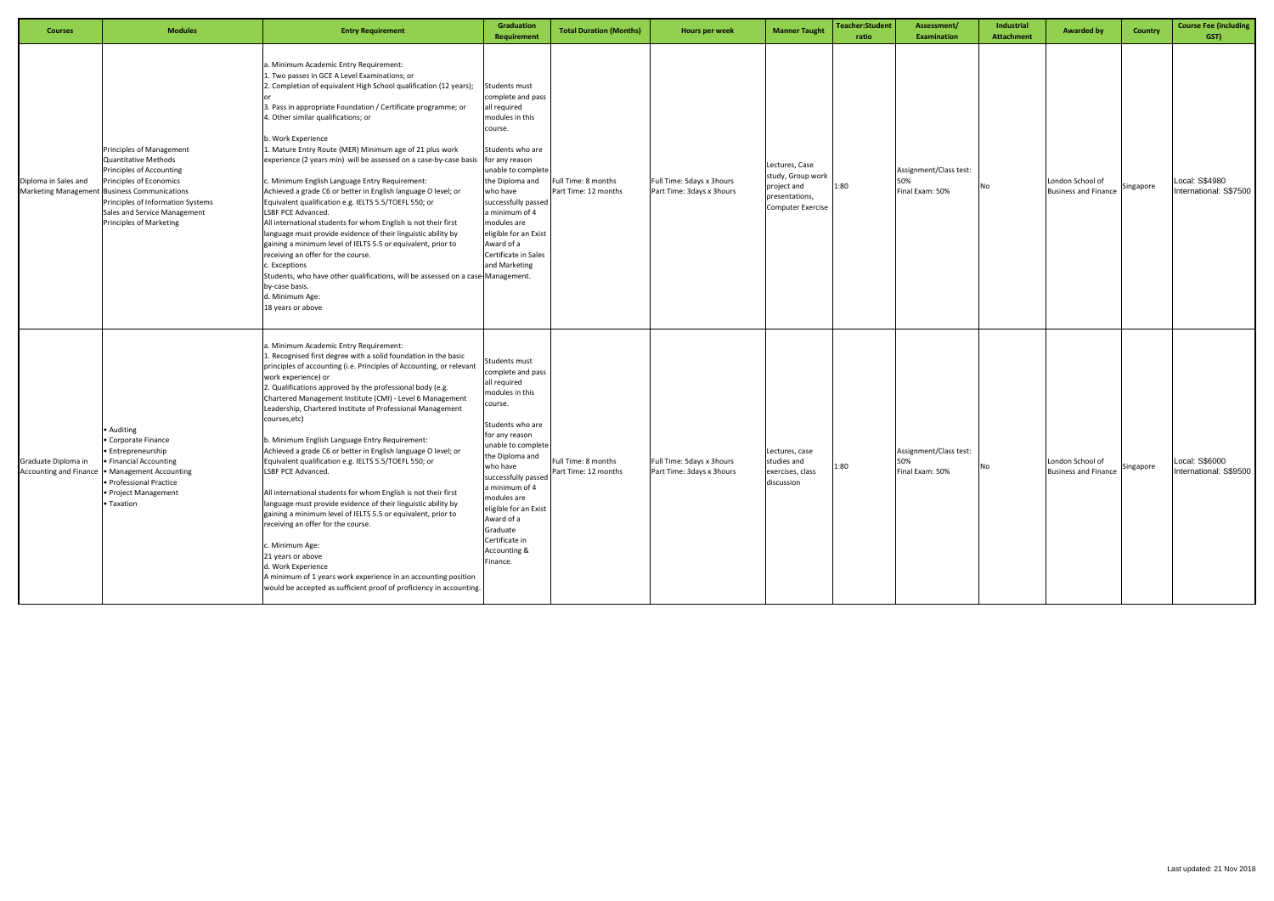| <b>Courses</b>                                       | <b>Modules</b>                                                                                                                                                                                                                                                 | <b>Entry Requirement</b>                                                                                                                                                                                                                                                                                                                                                                                                                                                                                                                                                                                                                                                                                                                                                                                                                                                                                                                                                                                                                                          | Graduation<br>Requirement                                                                                                                                                                                                                                                                                                            | <b>Total Duration (Months)</b>              | Hours per week                                         | <b>Manner Taught</b>                                                                             | <b>Teacher:Student</b><br>ratio | Assessment/<br><b>Examination</b>                | Industrial<br><b>Attachment</b> | <b>Awarded by</b>                               | <b>Country</b> | <b>Course Fee (including</b><br>GST)     |
|------------------------------------------------------|----------------------------------------------------------------------------------------------------------------------------------------------------------------------------------------------------------------------------------------------------------------|-------------------------------------------------------------------------------------------------------------------------------------------------------------------------------------------------------------------------------------------------------------------------------------------------------------------------------------------------------------------------------------------------------------------------------------------------------------------------------------------------------------------------------------------------------------------------------------------------------------------------------------------------------------------------------------------------------------------------------------------------------------------------------------------------------------------------------------------------------------------------------------------------------------------------------------------------------------------------------------------------------------------------------------------------------------------|--------------------------------------------------------------------------------------------------------------------------------------------------------------------------------------------------------------------------------------------------------------------------------------------------------------------------------------|---------------------------------------------|--------------------------------------------------------|--------------------------------------------------------------------------------------------------|---------------------------------|--------------------------------------------------|---------------------------------|-------------------------------------------------|----------------|------------------------------------------|
| Diploma in Sales and                                 | Principles of Management<br><b>Quantitative Methods</b><br>Principles of Accounting<br>Principles of Economics<br>Marketing Management Business Communications<br>Principles of Information Systems<br>Sales and Service Management<br>Principles of Marketing | Minimum Academic Entry Requirement:<br>L. Two passes in GCE A Level Examinations; or<br>2. Completion of equivalent High School qualification (12 years);<br>3. Pass in appropriate Foundation / Certificate programme; or<br>4. Other similar qualifications; or<br>b. Work Experience<br>1. Mature Entry Route (MER) Minimum age of 21 plus work<br>experience (2 years min) will be assessed on a case-by-case basis for any reason<br>. Minimum English Language Entry Requirement:<br>Achieved a grade C6 or better in English language O level; or<br>Equivalent qualification e.g. IELTS 5.5/TOEFL 550; or<br>LSBF PCE Advanced.<br>All international students for whom English is not their first<br>language must provide evidence of their linguistic ability by<br>gaining a minimum level of IELTS 5.5 or equivalent, prior to<br>receiving an offer for the course.<br>c. Exceptions<br>Students, who have other qualifications, will be assessed on a case-Management.<br>by-case basis.<br>d. Minimum Age:<br>18 years or above                    | Students must<br>complete and pass<br>all required<br>modules in this<br>course.<br>Students who are<br>unable to complete<br>the Diploma and<br>who have<br>successfully passed<br>a minimum of 4<br>nodules are<br>eligible for an Exist<br>Award of a<br>Certificate in Sales<br>and Marketing                                    | Full Time: 8 months<br>Part Time: 12 months | Full Time: 5days x 3hours<br>Part Time: 3days x 3hours | Lectures, Case<br>study, Group work<br>project and<br>presentations,<br><b>Computer Exercise</b> | 1:80                            | Assignment/Class test:<br>50%<br>Final Exam: 50% | No                              | London School of<br><b>Business and Finance</b> | Singapore      | Local: S\$4980<br>International: S\$7500 |
| Graduate Diploma in<br><b>Accounting and Finance</b> | • Auditing<br>• Corporate Finance<br>• Entrepreneurship<br><b>Financial Accounting</b><br>• Management Accounting<br>• Professional Practice<br>• Project Management<br>• Taxation                                                                             | . Minimum Academic Entry Requirement:<br>L. Recognised first degree with a solid foundation in the basic<br>principles of accounting (i.e. Principles of Accounting, or relevant<br>work experience) or<br>2. Qualifications approved by the professional body (e.g.<br>Chartered Management Institute (CMI) - Level 6 Management<br>Leadership, Chartered Institute of Professional Management<br>courses,etc)<br>b. Minimum English Language Entry Requirement:<br>Achieved a grade C6 or better in English language O level; or<br>Equivalent qualification e.g. IELTS 5.5/TOEFL 550; or<br>LSBF PCE Advanced.<br>All international students for whom English is not their first<br>language must provide evidence of their linguistic ability by<br>gaining a minimum level of IELTS 5.5 or equivalent, prior to<br>receiving an offer for the course.<br>c. Minimum Age:<br>21 years or above<br>d. Work Experience<br>A minimum of 1 years work experience in an accounting position<br>would be accepted as sufficient proof of proficiency in accounting. | Students must<br>complete and pass<br>all required<br>modules in this<br>course.<br>Students who are<br>for any reason<br>unable to complete<br>the Diploma and<br>who have<br>successfully passed<br>a minimum of 4<br>nodules are<br>eligible for an Exist<br>Award of a<br>Graduate<br>Certificate in<br>Accounting &<br>Finance. | Full Time: 8 months<br>Part Time: 12 months | Full Time: 5days x 3hours<br>Part Time: 3days x 3hours | Lectures, case<br>studies and<br>exercises, class<br>discussion                                  | 1:80                            | Assignment/Class test:<br>Final Exam: 50%        | No                              | London School of<br><b>Business and Finance</b> | Singapore      | Local: S\$6000<br>International: S\$9500 |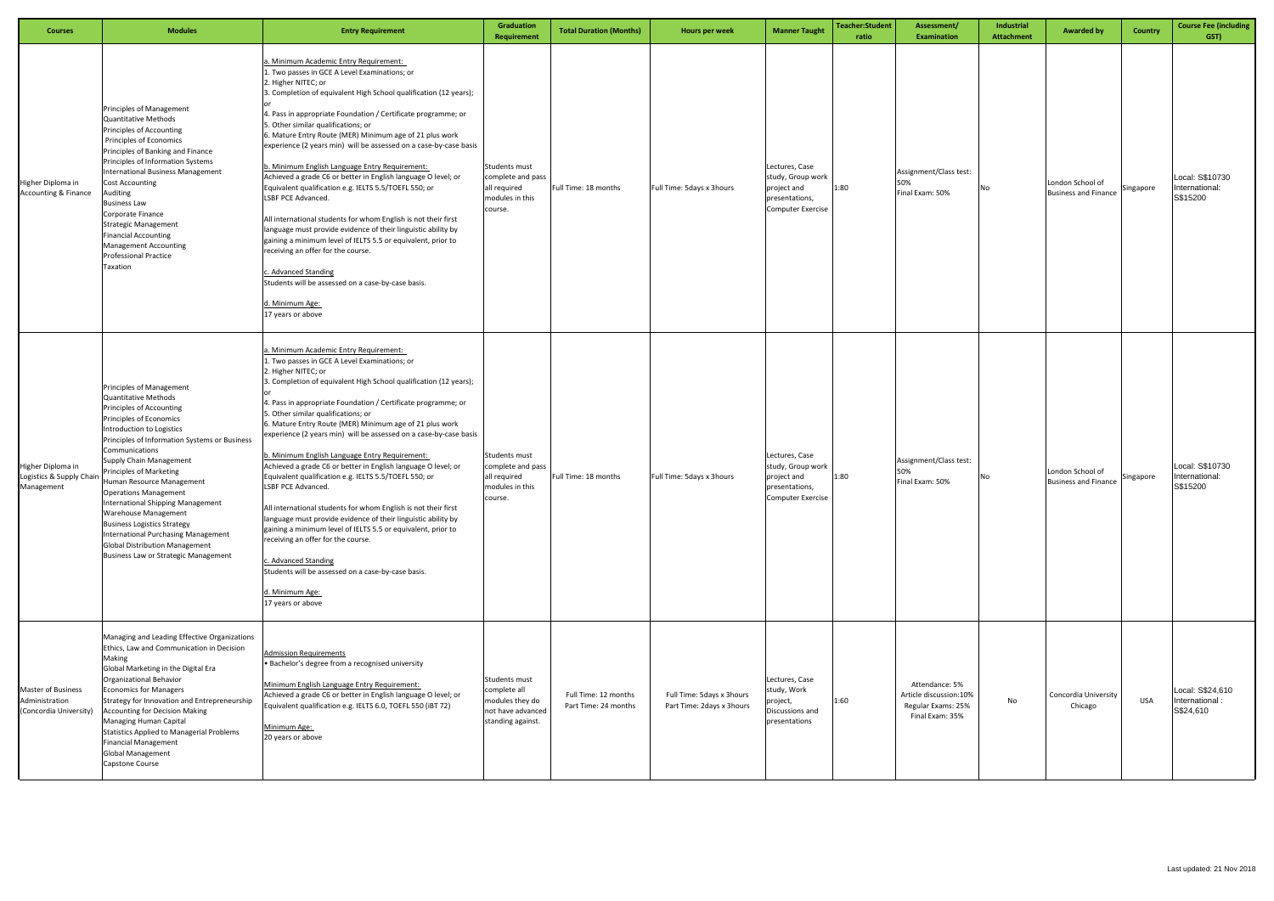| <b>Courses</b>                                                        | <b>Modules</b>                                                                                                                                                                                                                                                                                                                                                                                                                                                                                                                                                      | <b>Entry Requirement</b>                                                                                                                                                                                                                                                                                                                                                                                                                                                                                                                                                                                                                                                                                                                                                                                                                                                                                                                                                                    | Graduation<br>Requirement                                                                  | <b>Total Duration (Months)</b>               | Hours per week                                         | <b>Manner Taught</b>                                                                             | <b>Teacher:Student</b><br>ratio | Assessment/<br><b>Examination</b>                                                 | Industrial<br><b>Attachment</b> | <b>Awarded by</b>                               | <b>Country</b> | <b>Course Fee (including</b><br>GST)            |
|-----------------------------------------------------------------------|---------------------------------------------------------------------------------------------------------------------------------------------------------------------------------------------------------------------------------------------------------------------------------------------------------------------------------------------------------------------------------------------------------------------------------------------------------------------------------------------------------------------------------------------------------------------|---------------------------------------------------------------------------------------------------------------------------------------------------------------------------------------------------------------------------------------------------------------------------------------------------------------------------------------------------------------------------------------------------------------------------------------------------------------------------------------------------------------------------------------------------------------------------------------------------------------------------------------------------------------------------------------------------------------------------------------------------------------------------------------------------------------------------------------------------------------------------------------------------------------------------------------------------------------------------------------------|--------------------------------------------------------------------------------------------|----------------------------------------------|--------------------------------------------------------|--------------------------------------------------------------------------------------------------|---------------------------------|-----------------------------------------------------------------------------------|---------------------------------|-------------------------------------------------|----------------|-------------------------------------------------|
| Higher Diploma in<br><b>Accounting &amp; Finance</b>                  | <b>Principles of Management</b><br>Quantitative Methods<br>Principles of Accounting<br>Principles of Economics<br>Principles of Banking and Finance<br>Principles of Information Systems<br><b>International Business Management</b><br><b>Cost Accounting</b><br>Auditing<br><b>Business Law</b><br>Corporate Finance<br><b>Strategic Management</b><br><b>Financial Accounting</b><br><b>Management Accounting</b><br><b>Professional Practice</b><br>Taxation                                                                                                    | a. Minimum Academic Entry Requirement:<br>1. Two passes in GCE A Level Examinations; or<br>2. Higher NITEC; or<br>3. Completion of equivalent High School qualification (12 years);<br>4. Pass in appropriate Foundation / Certificate programme; or<br>5. Other similar qualifications; or<br>6. Mature Entry Route (MER) Minimum age of 21 plus work<br>experience (2 years min) will be assessed on a case-by-case basis<br>. Minimum English Language Entry Requirement:<br>Achieved a grade C6 or better in English language O level; or<br>Equivalent qualification e.g. IELTS 5.5/TOEFL 550; or<br>LSBF PCE Advanced.<br>All international students for whom English is not their first<br>language must provide evidence of their linguistic ability by<br>gaining a minimum level of IELTS 5.5 or equivalent, prior to<br>receiving an offer for the course.<br>Advanced Standing<br>Students will be assessed on a case-by-case basis.<br>d. Minimum Age:<br>17 years or above    | Students must<br>complete and pass<br>all required<br>modules in this<br>course.           | Full Time: 18 months                         | Full Time: 5days x 3hours                              | Lectures, Case<br>study, Group work<br>project and<br>presentations,<br><b>Computer Exercise</b> | 1:80                            | Assignment/Class test:<br>50%<br>Final Exam: 50%                                  | No                              | London School of<br><b>Business and Finance</b> | Singapore      | Local: S\$10730<br>International:<br>S\$15200   |
| Higher Diploma in<br>Logistics & Supply Chair<br>Management           | Principles of Management<br>Quantitative Methods<br>Principles of Accounting<br>Principles of Economics<br>Introduction to Logistics<br>Principles of Information Systems or Business<br>Communications<br>Supply Chain Management<br><b>Principles of Marketing</b><br>Human Resource Management<br><b>Operations Management</b><br>International Shipping Management<br><b>Warehouse Management</b><br><b>Business Logistics Strategy</b><br>International Purchasing Management<br><b>Global Distribution Management</b><br>Business Law or Strategic Management | a. Minimum Academic Entry Requirement:<br>1. Two passes in GCE A Level Examinations; or<br>2. Higher NITEC; or<br>3. Completion of equivalent High School qualification (12 years);<br>4. Pass in appropriate Foundation / Certificate programme; or<br>5. Other similar qualifications; or<br>6. Mature Entry Route (MER) Minimum age of 21 plus work<br>experience (2 years min) will be assessed on a case-by-case basis<br>. Minimum English Language Entry Requirement:<br>Achieved a grade C6 or better in English language O level; or<br>Equivalent qualification e.g. IELTS 5.5/TOEFL 550; or<br>LSBF PCE Advanced.<br>All international students for whom English is not their first<br>language must provide evidence of their linguistic ability by<br>gaining a minimum level of IELTS 5.5 or equivalent, prior to<br>receiving an offer for the course.<br>c. Advanced Standing<br>Students will be assessed on a case-by-case basis.<br>d. Minimum Age:<br>17 years or above | Students must<br>complete and pass<br>all required<br>modules in this<br>course.           | Full Time: 18 months                         | Full Time: 5days x 3hours                              | Lectures, Case<br>study, Group work<br>project and<br>presentations,<br>Computer Exercise        | 1:80                            | Assignment/Class test:<br>50%<br>Final Exam: 50%                                  | No                              | London School of<br><b>Business and Finance</b> | Singapore      | Local: S\$10730<br>International:<br>S\$15200   |
| <b>Master of Business</b><br>Administration<br>(Concordia University) | Managing and Leading Effective Organizations<br>Ethics, Law and Communication in Decision<br>Making<br>Global Marketing in the Digital Era<br>Organizational Behavior<br><b>Economics for Managers</b><br>Strategy for Innovation and Entrepreneurship<br><b>Accounting for Decision Making</b><br>Managing Human Capital<br>Statistics Applied to Managerial Problems<br><b>Financial Management</b><br><b>Global Management</b><br>Capstone Course                                                                                                                | Admission Requirements<br>· Bachelor's degree from a recognised university<br>Minimum English Language Entry Requirement:<br>Achieved a grade C6 or better in English language O level; or<br>Equivalent qualification e.g. IELTS 6.0, TOEFL 550 (iBT 72)<br>Minimum Age:<br>20 years or above                                                                                                                                                                                                                                                                                                                                                                                                                                                                                                                                                                                                                                                                                              | Students must<br>complete all<br>modules they do<br>not have advanced<br>standing against. | Full Time: 12 months<br>Part Time: 24 months | Full Time: 5days x 3hours<br>Part Time: 2days x 3hours | Lectures, Case<br>study, Work<br>project,<br>Discussions and<br>presentations                    | 1:60                            | Attendance: 5%<br>Article discussion:10%<br>Regular Exams: 25%<br>Final Exam: 35% | No                              | Concordia University<br>Chicago                 | <b>USA</b>     | Local: S\$24,610<br>International:<br>S\$24,610 |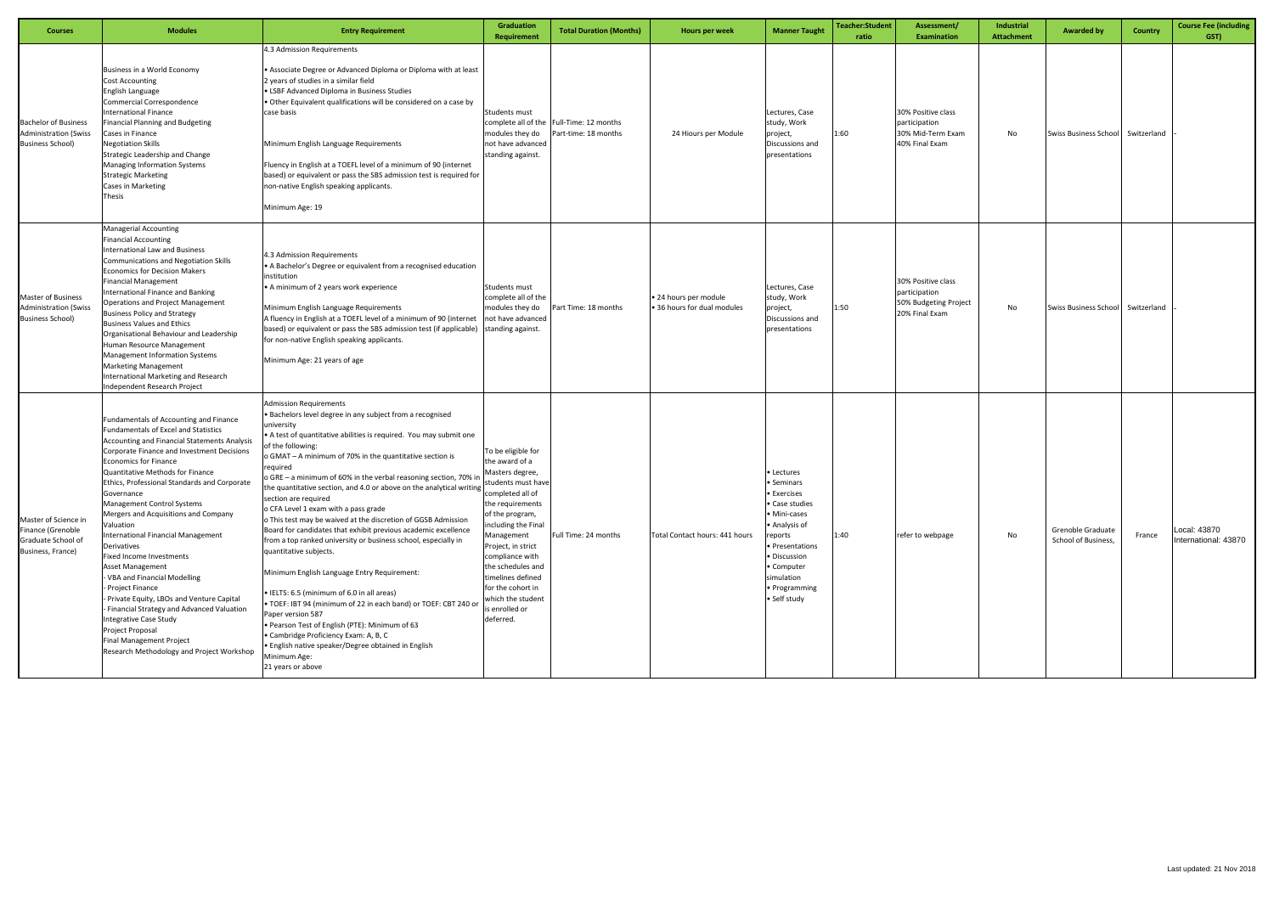| <b>Courses</b>                                                                         | <b>Modules</b>                                                                                                                                                                                                                                                                                                                                                                                                                                                                                                                                                                                                                                                                                                                                                                                                  | <b>Entry Requirement</b>                                                                                                                                                                                                                                                                                                                                                                                                                                                                                                                                                                                                                                                                                                                                                                                                                                                                                                                                                                                                                                                                                              | <b>Graduation</b><br><b>Requirement</b>                                                                                                                                                                                                                                                                              | <b>Total Duration (Months)</b>                                   | Hours per week                                     | <b>Manner Taught</b>                                                                                                                                                                                | Teacher:Student<br>ratio | Assessment/<br><b>Examination</b>                                              | Industrial<br><b>Attachment</b> | <b>Awarded by</b>                        | <b>Country</b> | <b>Course Fee (including</b><br>GST) |
|----------------------------------------------------------------------------------------|-----------------------------------------------------------------------------------------------------------------------------------------------------------------------------------------------------------------------------------------------------------------------------------------------------------------------------------------------------------------------------------------------------------------------------------------------------------------------------------------------------------------------------------------------------------------------------------------------------------------------------------------------------------------------------------------------------------------------------------------------------------------------------------------------------------------|-----------------------------------------------------------------------------------------------------------------------------------------------------------------------------------------------------------------------------------------------------------------------------------------------------------------------------------------------------------------------------------------------------------------------------------------------------------------------------------------------------------------------------------------------------------------------------------------------------------------------------------------------------------------------------------------------------------------------------------------------------------------------------------------------------------------------------------------------------------------------------------------------------------------------------------------------------------------------------------------------------------------------------------------------------------------------------------------------------------------------|----------------------------------------------------------------------------------------------------------------------------------------------------------------------------------------------------------------------------------------------------------------------------------------------------------------------|------------------------------------------------------------------|----------------------------------------------------|-----------------------------------------------------------------------------------------------------------------------------------------------------------------------------------------------------|--------------------------|--------------------------------------------------------------------------------|---------------------------------|------------------------------------------|----------------|--------------------------------------|
| <b>Bachelor of Business</b><br><b>Administration (Swiss</b><br><b>Business School)</b> | Business in a World Economy<br><b>Cost Accounting</b><br>English Language<br>Commercial Correspondence<br>International Finance<br>Financial Planning and Budgeting<br>Cases in Finance<br><b>Negotiation Skills</b><br>Strategic Leadership and Change<br>Managing Information Systems<br><b>Strategic Marketing</b><br><b>Cases in Marketing</b><br>Thesis                                                                                                                                                                                                                                                                                                                                                                                                                                                    | 4.3 Admission Requirements<br>• Associate Degree or Advanced Diploma or Diploma with at least<br>2 years of studies in a similar field<br>• LSBF Advanced Diploma in Business Studies<br>. Other Equivalent qualifications will be considered on a case by<br>case basis<br>Minimum English Language Requirements<br>Fluency in English at a TOEFL level of a minimum of 90 (internet<br>based) or equivalent or pass the SBS admission test is required for<br>non-native English speaking applicants.<br>Minimum Age: 19                                                                                                                                                                                                                                                                                                                                                                                                                                                                                                                                                                                            | Students must<br>modules they do<br>not have advanced<br>standing against.                                                                                                                                                                                                                                           | complete all of the Full-Time: 12 months<br>Part-time: 18 months | 24 Hiours per Module                               | Lectures, Case<br>study, Work<br>project,<br>Discussions and<br>presentations                                                                                                                       | 1:60                     | 30% Positive class<br>participation<br>30% Mid-Term Exam<br>40% Final Exam     | No                              | Swiss Business School Switzerland        |                |                                      |
| <b>Master of Business</b><br><b>Administration (Swiss</b><br><b>Business School)</b>   | <b>Managerial Accounting</b><br><b>Financial Accounting</b><br><b>International Law and Business</b><br><b>Communications and Negotiation Skills</b><br><b>Economics for Decision Makers</b><br><b>Financial Management</b><br>International Finance and Banking<br><b>Operations and Project Management</b><br><b>Business Policy and Strategy</b><br><b>Business Values and Ethics</b><br>Organisational Behaviour and Leadership<br>Human Resource Management<br><b>Management Information Systems</b><br><b>Marketing Management</b><br>International Marketing and Research<br>Independent Research Project                                                                                                                                                                                                | 4.3 Admission Requirements<br>• A Bachelor's Degree or equivalent from a recognised education<br>institution<br>• A minimum of 2 years work experience<br>Minimum English Language Requirements<br>A fluency in English at a TOEFL level of a minimum of 90 (internet<br>based) or equivalent or pass the SBS admission test (if applicable)<br>for non-native English speaking applicants.<br>Minimum Age: 21 years of age                                                                                                                                                                                                                                                                                                                                                                                                                                                                                                                                                                                                                                                                                           | Students must<br>complete all of the<br>modules they do<br>not have advanced<br>standing against.                                                                                                                                                                                                                    | art Time: 18 months                                              | • 24 hours per module<br>36 hours for dual modules | Lectures, Case<br>study, Work<br>project,<br>Discussions and<br>presentations                                                                                                                       | 1:50                     | 30% Positive class<br>participation<br>50% Budgeting Project<br>20% Final Exam | No                              | Swiss Business School                    | Switzerland    |                                      |
| Master of Science in<br>Finance (Grenoble<br>Graduate School of<br>Business, France)   | Fundamentals of Accounting and Finance<br>Fundamentals of Excel and Statistics<br><b>Accounting and Financial Statements Analysis</b><br>Corporate Finance and Investment Decisions<br><b>Economics for Finance</b><br><b>Quantitative Methods for Finance</b><br>Ethics, Professional Standards and Corporate<br>Governance<br>Management Control Systems<br>Mergers and Acquisitions and Company<br>Valuation<br><b>International Financial Management</b><br>Derivatives<br><b>Fixed Income Investments</b><br><b>Asset Management</b><br>VBA and Financial Modelling<br>Project Finance<br>- Private Equity, LBOs and Venture Capital<br>- Financial Strategy and Advanced Valuation<br>Integrative Case Study<br>Project Proposal<br>Final Management Project<br>Research Methodology and Project Workshop | <b>Admission Requirements</b><br>• Bachelors level degree in any subject from a recognised<br>university<br>• A test of quantitative abilities is required. You may submit one<br>of the following:<br>o GMAT - A minimum of 70% in the quantitative section is<br>required<br>o GRE - a minimum of 60% in the verbal reasoning section, 70% in<br>the quantitative section, and 4.0 or above on the analytical writing structure material<br>section are required<br>o CFA Level 1 exam with a pass grade<br>o This test may be waived at the discretion of GGSB Admission<br>Board for candidates that exhibit previous academic excellence<br>from a top ranked university or business school, especially in<br>quantitative subjects.<br>Minimum English Language Entry Requirement:<br>• IELTS: 6.5 (minimum of 6.0 in all areas)<br>. TOEF: IBT 94 (minimum of 22 in each band) or TOEF: CBT 240 or<br>Paper version 587<br>. Pearson Test of English (PTE): Minimum of 63<br>• Cambridge Proficiency Exam: A, B, C<br>· English native speaker/Degree obtained in English<br>Minimum Age:<br>21 years or above | To be eligible for<br>the award of a<br>Masters degree,<br>students must have<br>the requirements<br>of the program,<br>including the Final<br>Management<br>Project, in strict<br>compliance with<br>the schedules and<br>timelines defined<br>for the cohort in<br>which the student<br>s enrolled or<br>deferred. | Full Time: 24 months                                             | Total Contact hours: 441 hours                     | • Lectures<br>Seminars<br>• Exercises<br>• Case studies<br>• Mini-cases<br>• Analysis of<br>reports<br>· Presentations<br>· Discussion<br>• Computer<br>simulation<br>· Programming<br>• Self study | 1:40                     | refer to webpage                                                               | No                              | Grenoble Graduate<br>School of Business, | France         | Local: 43870<br>International: 43870 |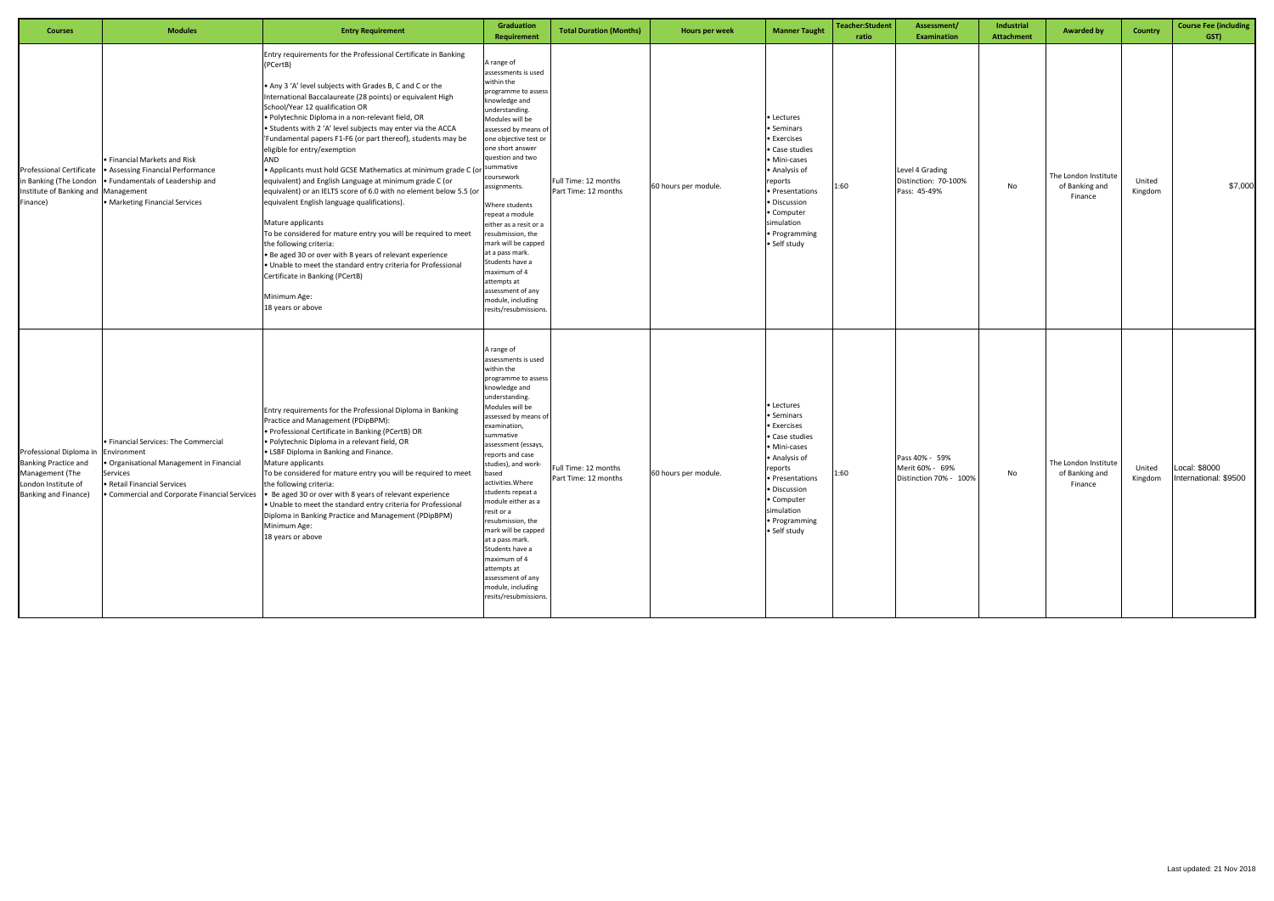| <b>Courses</b>                                                                                                           | <b>Modules</b>                                                                                                                             | <b>Entry Requirement</b>                                                                                                                                                                                                                                                                                                                                                                                                                                                                                                                                                                                                                                                                                                                                                                                                                                                                                                                                                                                                                     | Graduation<br>Requirement                                                                                                                                                                                                                                                                                                                                                                                                                                                                                                    | <b>Total Duration (Months)</b>               | Hours per week       | <b>Manner Taught</b>                                                                                                                                                                                  | <b>Teacher:Student</b><br>ratio | Assessment/<br><b>Examination</b>                           | Industrial<br>Attachment | <b>Awarded by</b>                                 | Country           | <b>Course Fee (including</b><br>GST)   |
|--------------------------------------------------------------------------------------------------------------------------|--------------------------------------------------------------------------------------------------------------------------------------------|----------------------------------------------------------------------------------------------------------------------------------------------------------------------------------------------------------------------------------------------------------------------------------------------------------------------------------------------------------------------------------------------------------------------------------------------------------------------------------------------------------------------------------------------------------------------------------------------------------------------------------------------------------------------------------------------------------------------------------------------------------------------------------------------------------------------------------------------------------------------------------------------------------------------------------------------------------------------------------------------------------------------------------------------|------------------------------------------------------------------------------------------------------------------------------------------------------------------------------------------------------------------------------------------------------------------------------------------------------------------------------------------------------------------------------------------------------------------------------------------------------------------------------------------------------------------------------|----------------------------------------------|----------------------|-------------------------------------------------------------------------------------------------------------------------------------------------------------------------------------------------------|---------------------------------|-------------------------------------------------------------|--------------------------|---------------------------------------------------|-------------------|----------------------------------------|
| Professional Certificate<br>in Banking (The London<br>Institute of Banking and Management<br>Finance)                    | • Financial Markets and Risk<br>• Assessing Financial Performance<br>• Fundamentals of Leadership and<br>• Marketing Financial Services    | Entry requirements for the Professional Certificate in Banking<br>(PCertB)<br>• Any 3 'A' level subjects with Grades B, C and C or the<br>International Baccalaureate (28 points) or equivalent High<br>School/Year 12 qualification OR<br>· Polytechnic Diploma in a non-relevant field, OR<br>• Students with 2 'A' level subjects may enter via the ACCA<br>'Fundamental papers F1-F6 (or part thereof), students may be<br>eligible for entry/exemption<br>AND<br>. Applicants must hold GCSE Mathematics at minimum grade C (or<br>equivalent) and English Language at minimum grade C (or<br>equivalent) or an IELTS score of 6.0 with no element below 5.5 (or<br>equivalent English language qualifications).<br>Mature applicants<br>To be considered for mature entry you will be required to meet<br>the following criteria:<br>• Be aged 30 or over with 8 years of relevant experience<br>. Unable to meet the standard entry criteria for Professional<br>Certificate in Banking (PCertB)<br>Minimum Age:<br>18 years or above | A range of<br>assessments is used<br>within the<br>programme to asses:<br>knowledge and<br>understanding.<br>Modules will be<br>assessed by means o<br>one objective test or<br>one short answer<br>question and two<br>summative<br>coursework<br>assignments.<br>Where students<br>repeat a module<br>either as a resit or a<br>resubmission, the<br>mark will be capped<br>at a pass mark.<br>Students have a<br>maximum of 4<br>attempts at<br>assessment of any<br>module, including<br>resits/resubmissions            | Full Time: 12 months<br>Part Time: 12 months | 60 hours per module. | • Lectures<br>• Seminars<br>• Exercises<br>• Case studies<br>• Mini-cases<br>• Analysis of<br>reports<br>· Presentations<br>· Discussion<br>• Computer<br>simulation<br>• Programming<br>• Self study | 1:60                            | Level 4 Grading<br>Distinction: 70-100%<br>Pass: 45-49%     | No                       | The London Institute<br>of Banking and<br>Finance | United<br>Kingdom | \$7,000                                |
| Professional Diploma in<br><b>Banking Practice and</b><br>Management (The<br>London Institute of<br>Banking and Finance) | • Financial Services: The Commercial<br>Environment<br>· Organisational Management in Financial<br>Services<br>• Retail Financial Services | Entry requirements for the Professional Diploma in Banking<br>Practice and Management (PDipBPM):<br>· Professional Certificate in Banking (PCertB) OR<br>· Polytechnic Diploma in a relevant field, OR<br>• LSBF Diploma in Banking and Finance.<br>Mature applicants<br>To be considered for mature entry you will be required to meet<br>the following criteria:<br>• Commercial and Corporate Financial Services • Be aged 30 or over with 8 years of relevant experience<br>. Unable to meet the standard entry criteria for Professional<br>Diploma in Banking Practice and Management (PDipBPM)<br>Minimum Age:<br>18 years or above                                                                                                                                                                                                                                                                                                                                                                                                   | A range of<br>assessments is used<br>within the<br>programme to asses<br>knowledge and<br>understanding.<br>Modules will be<br>assessed by means of<br>examination,<br>summative<br>assessment (essays,<br>reports and case<br>studies), and work-<br>based<br>activities. Where<br>students repeat a<br>module either as a<br>resit or a<br>resubmission, the<br>mark will be capped<br>at a pass mark.<br>Students have a<br>maximum of 4<br>attempts at<br>assessment of any<br>module, including<br>resits/resubmissions | ull Time: 12 months<br>Part Time: 12 months  | 60 hours per module. | • Lectures<br>• Seminars<br>• Exercises<br>• Case studies<br>· Mini-cases<br>• Analysis of<br>reports<br>· Presentations<br>· Discussion<br>• Computer<br>simulation<br>· Programming<br>• Self study | 1:60                            | Pass 40% - 59%<br>Merit 60% - 69%<br>Distinction 70% - 100% | No                       | The London Institute<br>of Banking and<br>Finance | United<br>Kingdom | Local: \$8000<br>International: \$9500 |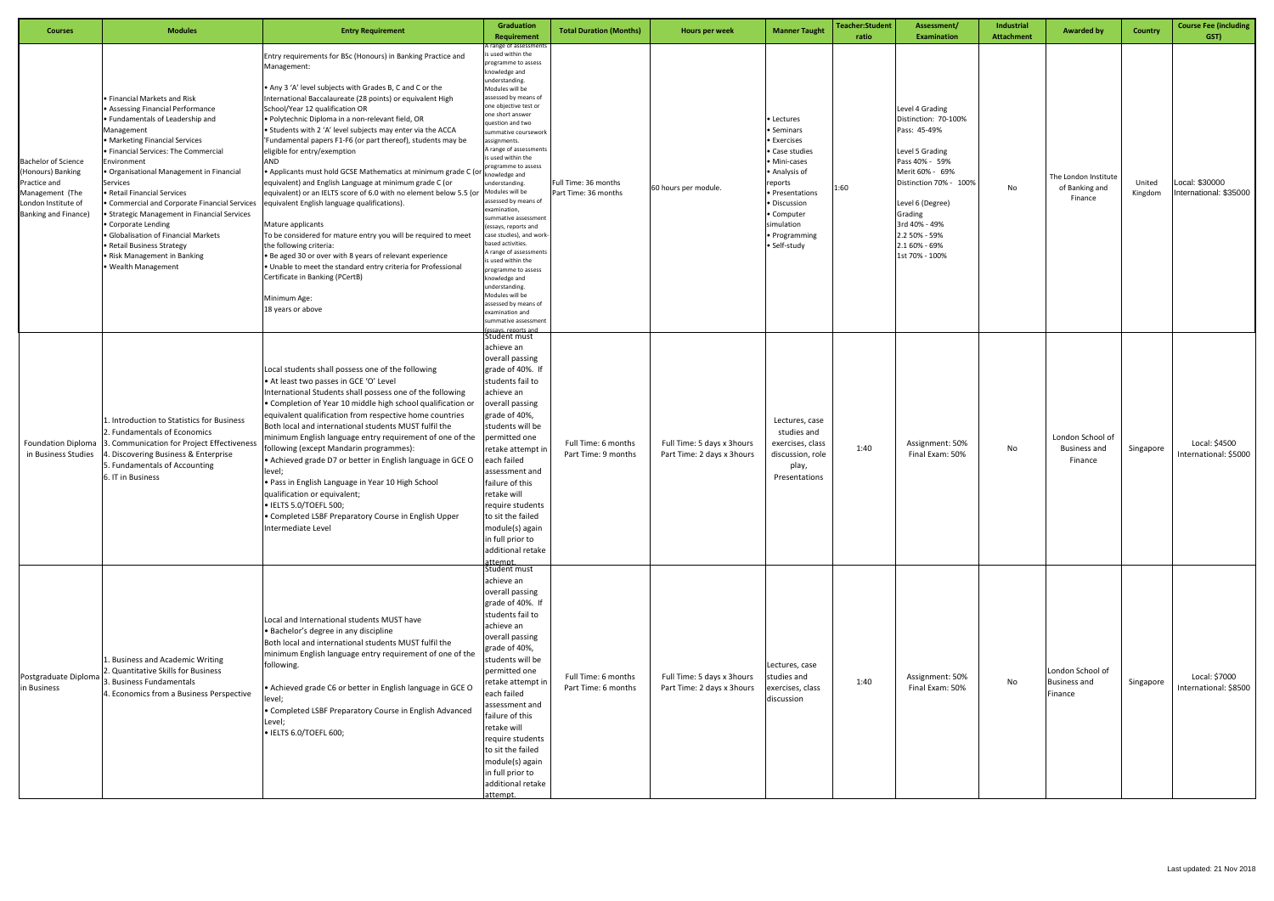| <b>Courses</b>                                                                                                                    | <b>Modules</b>                                                                                                                                                                                                                                                                                                                                                                                                                                                                                                                                        | <b>Entry Requirement</b>                                                                                                                                                                                                                                                                                                                                                                                                                                                                                                                                                                                                                                                                                                                                                                                                                                                                                                                                                                                                                      | <b>Graduation</b><br>Requirement                                                                                                                                                                                                                                                                                                                                                                                                                                                                                                                                                                                                                                                                                    | <b>Total Duration (Months)</b>               | Hours per week                                           | <b>Manner Taught</b>                                                                                                                                                                              | Teacher:Student<br>ratio | Assessment/<br><b>Examination</b>                                                                                                                                                                                                             | Industrial<br><b>Attachment</b> | <b>Awarded by</b>                                  | Country           | <b>Course Fee (including</b><br>GST)     |
|-----------------------------------------------------------------------------------------------------------------------------------|-------------------------------------------------------------------------------------------------------------------------------------------------------------------------------------------------------------------------------------------------------------------------------------------------------------------------------------------------------------------------------------------------------------------------------------------------------------------------------------------------------------------------------------------------------|-----------------------------------------------------------------------------------------------------------------------------------------------------------------------------------------------------------------------------------------------------------------------------------------------------------------------------------------------------------------------------------------------------------------------------------------------------------------------------------------------------------------------------------------------------------------------------------------------------------------------------------------------------------------------------------------------------------------------------------------------------------------------------------------------------------------------------------------------------------------------------------------------------------------------------------------------------------------------------------------------------------------------------------------------|---------------------------------------------------------------------------------------------------------------------------------------------------------------------------------------------------------------------------------------------------------------------------------------------------------------------------------------------------------------------------------------------------------------------------------------------------------------------------------------------------------------------------------------------------------------------------------------------------------------------------------------------------------------------------------------------------------------------|----------------------------------------------|----------------------------------------------------------|---------------------------------------------------------------------------------------------------------------------------------------------------------------------------------------------------|--------------------------|-----------------------------------------------------------------------------------------------------------------------------------------------------------------------------------------------------------------------------------------------|---------------------------------|----------------------------------------------------|-------------------|------------------------------------------|
| <b>Bachelor of Science</b><br>(Honours) Banking<br>Practice and<br>Management (The<br>London Institute of<br>Banking and Finance) | • Financial Markets and Risk<br>• Assessing Financial Performance<br>· Fundamentals of Leadership and<br>Management<br>• Marketing Financial Services<br>· Financial Services: The Commercial<br>Environment<br>Organisational Management in Financial<br>Services<br>Retail Financial Services<br>Commercial and Corporate Financial Services<br><b>Strategic Management in Financial Services</b><br>Corporate Lending<br>• Globalisation of Financial Markets<br>• Retail Business Strategy<br>• Risk Management in Banking<br>· Wealth Management | Entry requirements for BSc (Honours) in Banking Practice and<br>Management:<br>• Any 3 'A' level subjects with Grades B, C and C or the<br>International Baccalaureate (28 points) or equivalent High<br>School/Year 12 qualification OR<br>· Polytechnic Diploma in a non-relevant field, OR<br>• Students with 2 'A' level subjects may enter via the ACCA<br>'Fundamental papers F1-F6 (or part thereof), students may be<br>eligible for entry/exemption<br>AND<br>. Applicants must hold GCSE Mathematics at minimum grade C (or<br>equivalent) and English Language at minimum grade C (or<br>equivalent) or an IELTS score of 6.0 with no element below 5.5 (or<br>equivalent English language qualifications).<br>Mature applicants<br>To be considered for mature entry you will be required to meet<br>the following criteria:<br>• Be aged 30 or over with 8 years of relevant experience<br>. Unable to meet the standard entry criteria for Professional<br>Certificate in Banking (PCertB)<br>Minimum Age:<br>18 years or above | range of assessment<br>used within the<br>rogramme to assess<br>nowledge and<br>inderstanding.<br>Modules will be<br>ssessed by means of<br>ne objective test or<br>ne short answer<br>uestion and two<br>ummative coursework<br>ssignments.<br>range of assessments<br>s used within the<br>rogramme to assess<br>nowledge and<br>nderstanding.<br>Modules will be<br>ssessed by means of<br>examination,<br>ummative assessmen<br>essays, reports and<br>ase studies), and worl<br>ased activities.<br>range of assessments<br>used within the<br>rogramme to assess<br>nowledge and<br>inderstanding.<br>Modules will be<br>assessed by means of<br>examination and<br>ummative assessment<br>ssays, reports and | Full Time: 36 months<br>Part Time: 36 months | 60 hours per module.                                     | Lectures<br>Seminars<br>• Exercises<br>• Case studies<br>• Mini-cases<br>• Analysis of<br>reports<br>· Presentations<br>· Discussion<br>• Computer<br>simulation<br>• Programming<br>· Self-study | 1:60                     | Level 4 Grading<br>Distinction: 70-100%<br>Pass: 45-49%<br>Level 5 Grading<br>Pass 40% - 59%<br>Merit 60% - 69%<br>Distinction 70% - 100%<br>Level 6 (Degree)<br>Grading<br>3rd 40% - 49%<br>2.2 50% - 59%<br>2.1 60% - 69%<br>1st 70% - 100% | No                              | The London Institute<br>of Banking and<br>Finance  | United<br>Kingdom | Local: \$30000<br>International: \$35000 |
| <b>Foundation Diploma</b><br>in Business Studies                                                                                  | 1. Introduction to Statistics for Business<br>2. Fundamentals of Economics<br>3. Communication for Project Effectiveness<br>4. Discovering Business & Enterprise<br>5. Fundamentals of Accounting<br>6. IT in Business                                                                                                                                                                                                                                                                                                                                | Local students shall possess one of the following<br>. At least two passes in GCE 'O' Level<br>International Students shall possess one of the following<br>• Completion of Year 10 middle high school qualification or<br>equivalent qualification from respective home countries<br>Both local and international students MUST fulfil the<br>minimum English language entry requirement of one of the<br>following (except Mandarin programmes):<br>. Achieved grade D7 or better in English language in GCE O<br>level;<br>. Pass in English Language in Year 10 High School<br>qualification or equivalent;<br>• IELTS 5.0/TOEFL 500;<br>• Completed LSBF Preparatory Course in English Upper<br>Intermediate Level                                                                                                                                                                                                                                                                                                                       | Student must<br>achieve an<br>overall passing<br>grade of 40%. It<br>students fail to<br>achieve an<br>overall passing<br>grade of 40%,<br>students will be<br>ermitted one<br>retake attempt ir<br>each failed<br>assessment and<br>failure of this<br>retake will<br>require students<br>to sit the failed<br>module(s) again<br>in full prior to<br>additional retake<br>attempt.                                                                                                                                                                                                                                                                                                                                | Full Time: 6 months<br>Part Time: 9 months   | Full Time: 5 days x 3hours<br>Part Time: 2 days x 3hours | Lectures, case<br>studies and<br>exercises, class<br>discussion, role<br>play,<br>Presentations                                                                                                   | 1:40                     | Assignment: 50%<br>Final Exam: 50%                                                                                                                                                                                                            | No                              | London School of<br><b>Business and</b><br>Finance | Singapore         | Local: \$4500<br>International: \$5000   |
| Postgraduate Diploma<br>in Business                                                                                               | 1. Business and Academic Writing<br>2. Quantitative Skills for Business<br>3. Business Fundamentals<br>4. Economics from a Business Perspective                                                                                                                                                                                                                                                                                                                                                                                                       | Local and International students MUST have<br>• Bachelor's degree in any discipline<br>Both local and international students MUST fulfil the<br>minimum English language entry requirement of one of the<br>following.<br>. Achieved grade C6 or better in English language in GCE O<br>level;<br>• Completed LSBF Preparatory Course in English Advanced<br>Level;<br>· IELTS 6.0/TOEFL 600;                                                                                                                                                                                                                                                                                                                                                                                                                                                                                                                                                                                                                                                 | Student must<br>achieve an<br>overall passing<br>grade of 40%. If<br>students fail to<br>achieve an<br>overall passing<br>grade of 40%,<br>students will be<br>permitted one<br>retake attempt in<br>each failed<br>assessment and<br>failure of this<br>retake will<br>require students<br>to sit the failed<br>module(s) again<br>in full prior to<br>additional retake<br>attempt.                                                                                                                                                                                                                                                                                                                               | Full Time: 6 months<br>Part Time: 6 months   | Full Time: 5 days x 3hours<br>Part Time: 2 days x 3hours | Lectures, case<br>studies and<br>exercises, class<br>discussion                                                                                                                                   | 1:40                     | Assignment: 50%<br>Final Exam: 50%                                                                                                                                                                                                            | No                              | London School of<br><b>Business and</b><br>Finance | Singapore         | Local: \$7000<br>International: \$8500   |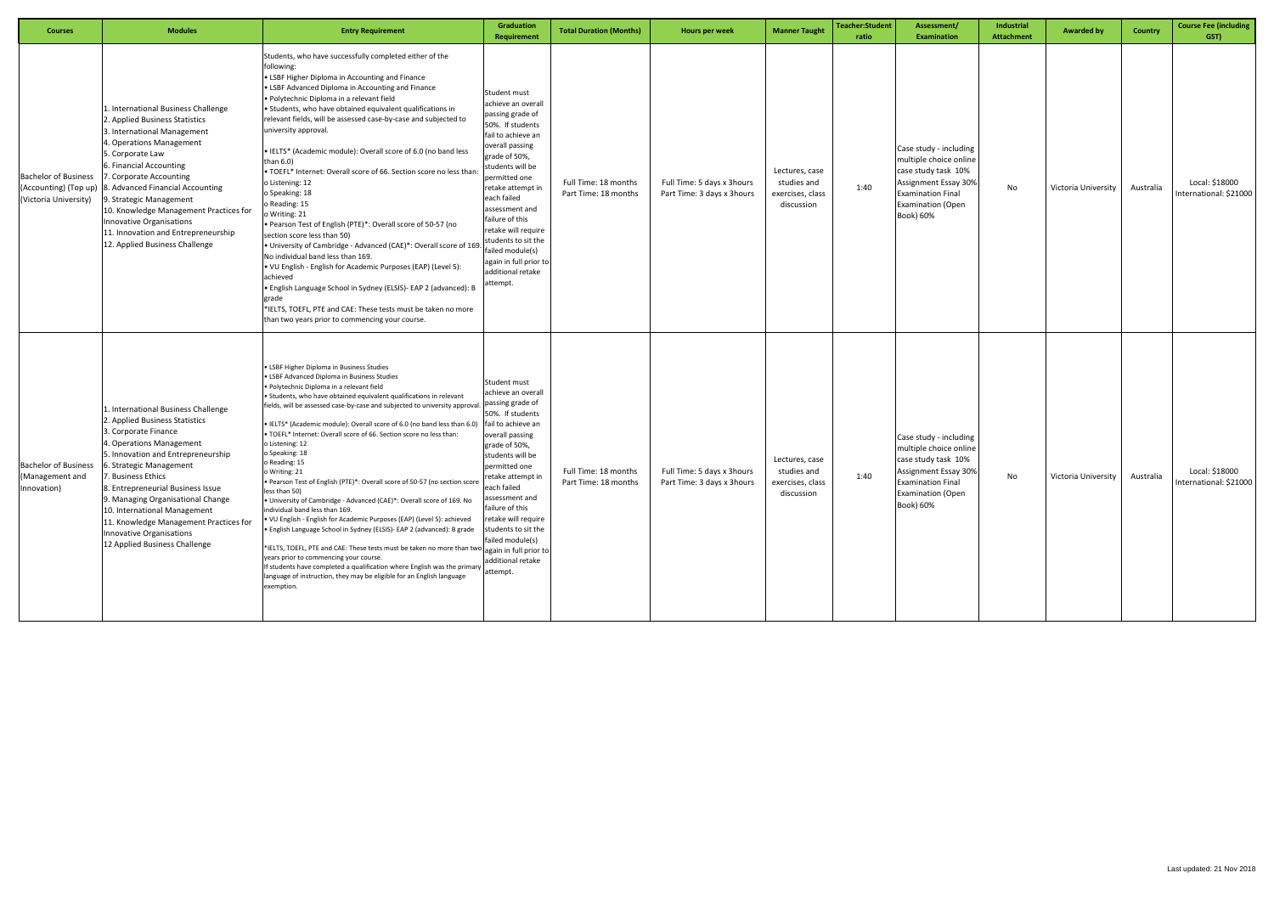| <b>Courses</b>                                                                | <b>Modules</b>                                                                                                                                                                                                                                                                                                                                                                                                                   | <b>Entry Requirement</b>                                                                                                                                                                                                                                                                                                                                                                                                                                                                                                                                                                                                                                                                                                                                                                                                                                                                                                                                                                                                                                                                                                                                                                                                                              | <b>Graduation</b><br><b>Requirement</b>                                                                                                                                                                                                                                                                                                                                         | <b>Total Duration (Months)</b>               | Hours per week                                           | <b>Manner Taught</b>                                            | <b>Teacher:Student</b><br>ratio | Assessment/<br><b>Examination</b>                                                                                                                                    | Industrial<br><b>Attachment</b> | <b>Awarded by</b>   | Country   | <b>Course Fee (including</b><br>GST)     |
|-------------------------------------------------------------------------------|----------------------------------------------------------------------------------------------------------------------------------------------------------------------------------------------------------------------------------------------------------------------------------------------------------------------------------------------------------------------------------------------------------------------------------|-------------------------------------------------------------------------------------------------------------------------------------------------------------------------------------------------------------------------------------------------------------------------------------------------------------------------------------------------------------------------------------------------------------------------------------------------------------------------------------------------------------------------------------------------------------------------------------------------------------------------------------------------------------------------------------------------------------------------------------------------------------------------------------------------------------------------------------------------------------------------------------------------------------------------------------------------------------------------------------------------------------------------------------------------------------------------------------------------------------------------------------------------------------------------------------------------------------------------------------------------------|---------------------------------------------------------------------------------------------------------------------------------------------------------------------------------------------------------------------------------------------------------------------------------------------------------------------------------------------------------------------------------|----------------------------------------------|----------------------------------------------------------|-----------------------------------------------------------------|---------------------------------|----------------------------------------------------------------------------------------------------------------------------------------------------------------------|---------------------------------|---------------------|-----------|------------------------------------------|
| <b>Bachelor of Business</b><br>(Accounting) (Top up)<br>(Victoria University) | 1. International Business Challenge<br>2. Applied Business Statistics<br>3. International Management<br>4. Operations Management<br>5. Corporate Law<br>6. Financial Accounting<br>7. Corporate Accounting<br>8. Advanced Financial Accounting<br>9. Strategic Management<br>10. Knowledge Management Practices for<br>Innovative Organisations<br>11. Innovation and Entrepreneurship<br>12. Applied Business Challenge         | Students, who have successfully completed either of the<br>following:<br>• LSBF Higher Diploma in Accounting and Finance<br>. LSBF Advanced Diploma in Accounting and Finance<br>· Polytechnic Diploma in a relevant field<br>• Students, who have obtained equivalent qualifications in<br>relevant fields, will be assessed case-by-case and subjected to<br>university approval.<br>• IELTS* (Academic module): Overall score of 6.0 (no band less<br>than $6.0$ )<br>. TOEFL* Internet: Overall score of 66. Section score no less than:<br>o Listening: 12<br>o Speaking: 18<br>o Reading: 15<br>o Writing: 21<br>• Pearson Test of English (PTE)*: Overall score of 50-57 (no<br>section score less than 50)<br>• University of Cambridge - Advanced (CAE)*: Overall score of 169<br>No individual band less than 169.<br>. VU English - English for Academic Purposes (EAP) (Level 5):<br>achieved<br>• English Language School in Sydney (ELSIS)- EAP 2 (advanced): B<br>grade<br>*IELTS, TOEFL, PTE and CAE: These tests must be taken no more<br>than two years prior to commencing your course.                                                                                                                                            | Student must<br>achieve an overall<br>passing grade of<br>50%. If students<br>fail to achieve an<br>overall passing<br>grade of 50%,<br>students will be<br>permitted one<br>retake attempt in<br>each failed<br>assessment and<br>failure of this<br>retake will require<br>students to sit the<br>failed module(s)<br>again in full prior to<br>additional retake<br>attempt. | Full Time: 18 months<br>Part Time: 18 months | Full Time: 5 days x 3hours<br>Part Time: 3 days x 3hours | Lectures, case<br>studies and<br>exercises, class<br>discussion | 1:40                            | Case study - including<br>multiple choice online<br>case study task 10%<br>Assignment Essay 30%<br><b>Examination Final</b><br><b>Examination (Open</b><br>Book) 60% | No                              | Victoria University | Australia | Local: \$18000<br>International: \$21000 |
| <b>Bachelor of Business</b><br>(Management and<br>Innovation)                 | 1. International Business Challenge<br>2. Applied Business Statistics<br>3. Corporate Finance<br>4. Operations Management<br>5. Innovation and Entrepreneurship<br>6. Strategic Management<br>. Business Ethics<br>8. Entrepreneurial Business Issue<br>9. Managing Organisational Change<br>10. International Management<br>11. Knowledge Management Practices for<br>Innovative Organisations<br>12 Applied Business Challenge | • LSBF Higher Diploma in Business Studies<br><b>LSBF Advanced Diploma in Business Studies</b><br>· Polytechnic Diploma in a relevant field<br>• Students, who have obtained equivalent qualifications in relevant<br>fields, will be assessed case-by-case and subjected to university approval.<br>• IELTS* (Academic module): Overall score of 6.0 (no band less than 6.0)<br>. TOEFL* Internet: Overall score of 66. Section score no less than:<br>o Listening: 12<br>o Speaking: 18<br>o Reading: 15<br>o Writing: 21<br>• Pearson Test of English (PTE)*: Overall score of 50-57 (no section score<br>less than 50)<br>• University of Cambridge - Advanced (CAE)*: Overall score of 169. No<br>individual band less than 169.<br>• VU English - English for Academic Purposes (EAP) (Level 5): achieved<br>· English Language School in Sydney (ELSIS)- EAP 2 (advanced): B grade<br>$\left  \right. \ast$ IELTS, TOEFL, PTE and CAE: These tests must be taken no more than two $\left  \right $ again in full prior to<br>years prior to commencing your course.<br>If students have completed a qualification where English was the primary attempt.<br>language of instruction, they may be eligible for an English language<br>exemption. | Student must<br>achieve an overall<br>passing grade of<br>50%. If students<br>fail to achieve an<br>overall passing<br>grade of 50%,<br>students will be<br>permitted one<br>etake attempt in<br>each failed<br>assessment and<br>failure of this<br>retake will require<br>students to sit the<br>failed module(s)<br>additional retake                                        | Full Time: 18 months<br>Part Time: 18 months | Full Time: 5 days x 3hours<br>Part Time: 3 days x 3hours | Lectures, case<br>studies and<br>exercises, class<br>discussion | 1:40                            | Case study - including<br>multiple choice online<br>case study task 10%<br>Assignment Essay 30%<br><b>Examination Final</b><br><b>Examination (Open</b><br>Book) 60% | No                              | Victoria University | Australia | Local: \$18000<br>International: \$21000 |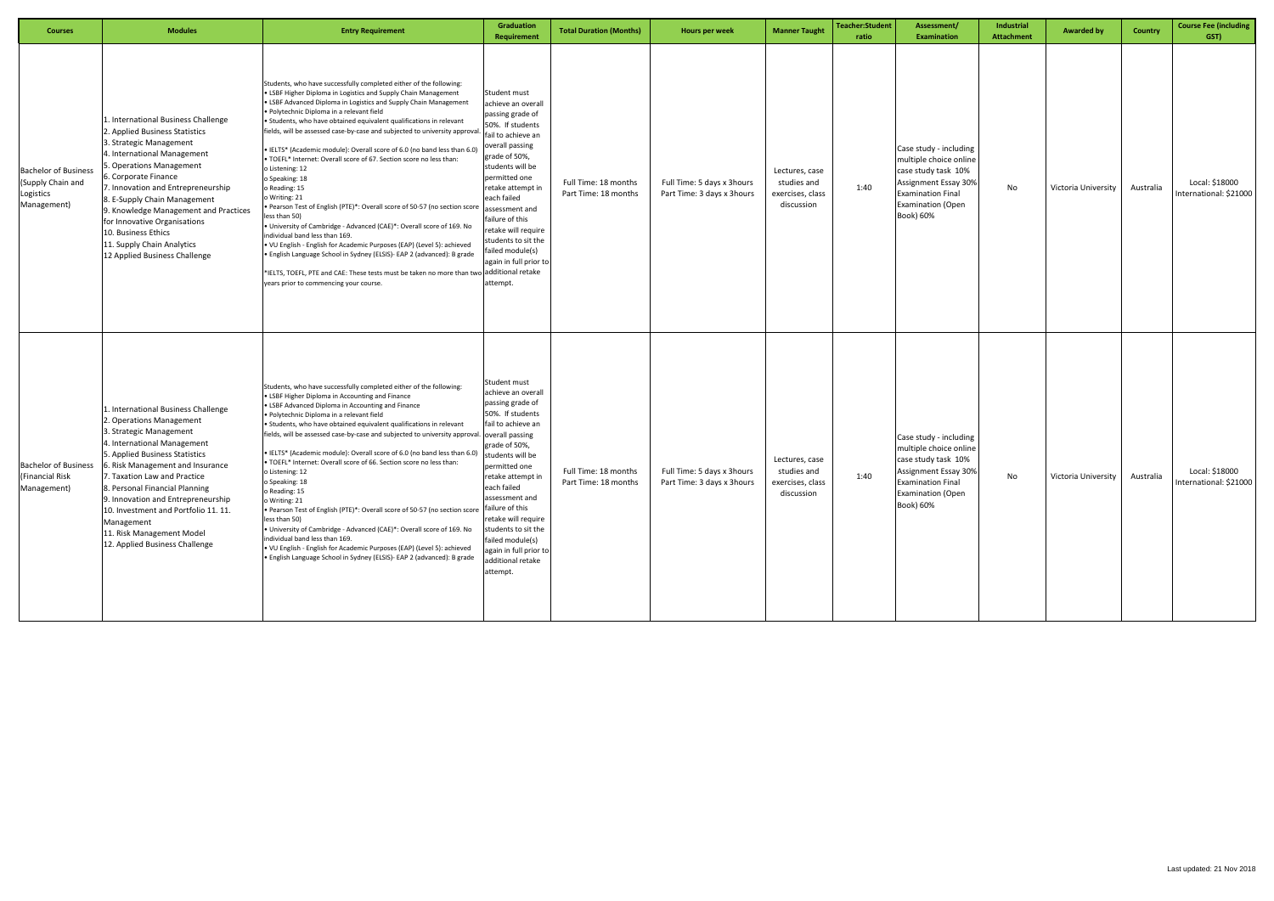| <b>Courses</b>                                                               | <b>Modules</b>                                                                                                                                                                                                                                                                                                                                                                                                               | <b>Entry Requirement</b>                                                                                                                                                                                                                                                                                                                                                                                                                                                                                                                                                                                                                                                                                                                                                                                                                                                                                                                                                                                                                                                                                                                 | Graduation<br>Requirement                                                                                                                                                                                                                                                                                                                                                     | <b>Total Duration (Months)</b>               | Hours per week                                           | <b>Manner Taught</b>                                            | <b>Teacher:Student</b><br>ratio | Assessment/<br><b>Examination</b>                                                                                                                                    | Industrial<br>Attachment | <b>Awarded by</b>   | Country   | <b>Course Fee (including</b><br>GST)     |
|------------------------------------------------------------------------------|------------------------------------------------------------------------------------------------------------------------------------------------------------------------------------------------------------------------------------------------------------------------------------------------------------------------------------------------------------------------------------------------------------------------------|------------------------------------------------------------------------------------------------------------------------------------------------------------------------------------------------------------------------------------------------------------------------------------------------------------------------------------------------------------------------------------------------------------------------------------------------------------------------------------------------------------------------------------------------------------------------------------------------------------------------------------------------------------------------------------------------------------------------------------------------------------------------------------------------------------------------------------------------------------------------------------------------------------------------------------------------------------------------------------------------------------------------------------------------------------------------------------------------------------------------------------------|-------------------------------------------------------------------------------------------------------------------------------------------------------------------------------------------------------------------------------------------------------------------------------------------------------------------------------------------------------------------------------|----------------------------------------------|----------------------------------------------------------|-----------------------------------------------------------------|---------------------------------|----------------------------------------------------------------------------------------------------------------------------------------------------------------------|--------------------------|---------------------|-----------|------------------------------------------|
| <b>Bachelor of Business</b><br>(Supply Chain and<br>Logistics<br>Management) | 1. International Business Challenge<br>2. Applied Business Statistics<br>3. Strategic Management<br>4. International Management<br>5. Operations Management<br>5. Corporate Finance<br>7. Innovation and Entrepreneurship<br>8. E-Supply Chain Management<br>9. Knowledge Management and Practices<br>for Innovative Organisations<br>10. Business Ethics<br>11. Supply Chain Analytics<br>12 Applied Business Challenge     | Students, who have successfully completed either of the following:<br>• LSBF Higher Diploma in Logistics and Supply Chain Management<br>• LSBF Advanced Diploma in Logistics and Supply Chain Management<br>· Polytechnic Diploma in a relevant field<br>• Students, who have obtained equivalent qualifications in relevant<br>fields, will be assessed case-by-case and subjected to university approval<br>• IELTS* (Academic module): Overall score of 6.0 (no band less than 6.0)<br>. TOEFL* Internet: Overall score of 67. Section score no less than:<br>o Listening: 12<br>o Speaking: 18<br>o Reading: 15<br>o Writing: 21<br>• Pearson Test of English (PTE)*: Overall score of 50-57 (no section score<br>less than 50)<br>. University of Cambridge - Advanced (CAE)*: Overall score of 169. No<br>individual band less than 169.<br>• VU English - English for Academic Purposes (EAP) (Level 5): achieved<br>• English Language School in Sydney (ELSIS)- EAP 2 (advanced): B grade<br>*IELTS, TOEFL, PTE and CAE: These tests must be taken no more than two additional retake<br>years prior to commencing your course. | Student must<br>achieve an overall<br>passing grade of<br>50%. If students<br>fail to achieve an<br>overall passing<br>grade of 50%,<br>students will be<br>permitted one<br>retake attempt in<br>each failed<br>assessment and<br>failure of this<br>retake will require<br>students to sit the<br>ailed module(s)<br>again in full prior to<br>attempt.                     | Full Time: 18 months<br>Part Time: 18 months | Full Time: 5 days x 3hours<br>Part Time: 3 days x 3hours | Lectures, case<br>studies and<br>exercises, class<br>discussion | 1:40                            | Case study - including<br>multiple choice online<br>case study task 10%<br>Assignment Essay 30%<br><b>Examination Final</b><br><b>Examination (Open</b><br>Book) 60% | No                       | Victoria University | Australia | Local: \$18000<br>International: \$21000 |
| <b>Bachelor of Business</b><br>(Financial Risk<br>Management)                | 1. International Business Challenge<br>2. Operations Management<br>3. Strategic Management<br>4. International Management<br>5. Applied Business Statistics<br>6. Risk Management and Insurance<br>7. Taxation Law and Practice<br>8. Personal Financial Planning<br>9. Innovation and Entrepreneurship<br>10. Investment and Portfolio 11. 11.<br>Management<br>11. Risk Management Model<br>12. Applied Business Challenge | Students, who have successfully completed either of the following:<br>• LSBF Higher Diploma in Accounting and Finance<br>• LSBF Advanced Diploma in Accounting and Finance<br>· Polytechnic Diploma in a relevant field<br>• Students, who have obtained equivalent qualifications in relevant<br>fields, will be assessed case-by-case and subjected to university approval.<br>• IELTS* (Academic module): Overall score of 6.0 (no band less than 6.0)<br>. TOEFL* Internet: Overall score of 66. Section score no less than:<br>o Listening: 12<br>o Speaking: 18<br>o Reading: 15<br>o Writing: 21<br>. Pearson Test of English (PTE)*: Overall score of 50-57 (no section score<br>less than 50)<br>. University of Cambridge - Advanced (CAE)*: Overall score of 169. No<br>individual band less than 169.<br>. VU English - English for Academic Purposes (EAP) (Level 5): achieved<br>• English Language School in Sydney (ELSIS)- EAP 2 (advanced): B grade                                                                                                                                                                    | Student must<br>achieve an overall<br>passing grade of<br>50%. If students<br>fail to achieve an<br>overall passing<br>grade of 50%,<br>tudents will be<br>permitted one<br>retake attempt in<br>each failed<br>ssessment and<br>failure of this<br>retake will require<br>students to sit the<br>failed module(s)<br>again in full prior to<br>additional retake<br>attempt. | Full Time: 18 months<br>Part Time: 18 months | Full Time: 5 days x 3hours<br>Part Time: 3 days x 3hours | Lectures, case<br>studies and<br>exercises, class<br>discussion | 1:40                            | Case study - including<br>multiple choice online<br>case study task 10%<br>Assignment Essay 30%<br><b>Examination Final</b><br><b>Examination (Open</b><br>Book) 60% | No                       | Victoria University | Australia | Local: \$18000<br>International: \$21000 |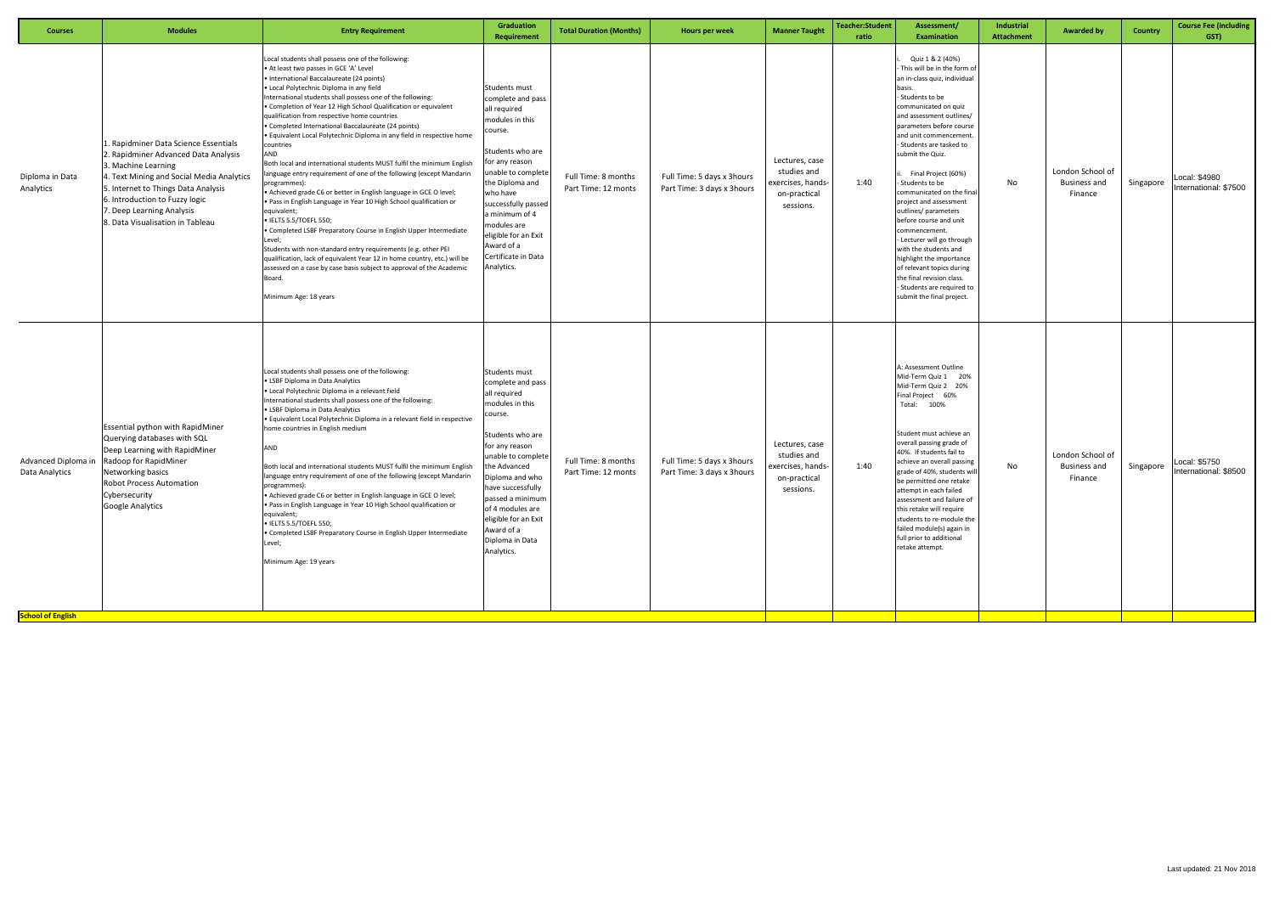| <b>Courses</b>                             | <b>Modules</b>                                                                                                                                                                                                                                                                              | <b>Entry Requirement</b>                                                                                                                                                                                                                                                                                                                                                                                                                                                                                                                                                                                                                                                                                                                                                                                                                                                                                                                                                                                                                                                                                                                                                                                  | Graduation<br>Requirement                                                                                                                                                                                                                                                                                           | <b>Total Duration (Months)</b>             | Hours per week                                            | <b>Manner Taught</b>                                                            | Teacher:Student<br>ratio | Assessment/<br><b>Examination</b>                                                                                                                                                                                                                                                                                                                                                                                                                                                                                                                                                                                                                 | Industrial<br><b>Attachment</b> | <b>Awarded by</b>                                  | Country   | <b>Course Fee (including</b><br>GST)   |
|--------------------------------------------|---------------------------------------------------------------------------------------------------------------------------------------------------------------------------------------------------------------------------------------------------------------------------------------------|-----------------------------------------------------------------------------------------------------------------------------------------------------------------------------------------------------------------------------------------------------------------------------------------------------------------------------------------------------------------------------------------------------------------------------------------------------------------------------------------------------------------------------------------------------------------------------------------------------------------------------------------------------------------------------------------------------------------------------------------------------------------------------------------------------------------------------------------------------------------------------------------------------------------------------------------------------------------------------------------------------------------------------------------------------------------------------------------------------------------------------------------------------------------------------------------------------------|---------------------------------------------------------------------------------------------------------------------------------------------------------------------------------------------------------------------------------------------------------------------------------------------------------------------|--------------------------------------------|-----------------------------------------------------------|---------------------------------------------------------------------------------|--------------------------|---------------------------------------------------------------------------------------------------------------------------------------------------------------------------------------------------------------------------------------------------------------------------------------------------------------------------------------------------------------------------------------------------------------------------------------------------------------------------------------------------------------------------------------------------------------------------------------------------------------------------------------------------|---------------------------------|----------------------------------------------------|-----------|----------------------------------------|
| Diploma in Data<br>Analytics               | 1. Rapidminer Data Science Essentials<br>2. Rapidminer Advanced Data Analysis<br>3. Machine Learning<br>4. Text Mining and Social Media Analytics<br>5. Internet to Things Data Analysis<br>6. Introduction to Fuzzy logic<br>7. Deep Learning Analysis<br>8. Data Visualisation in Tableau | Local students shall possess one of the following:<br>At least two passes in GCE 'A' Level<br>International Baccalaureate (24 points)<br>· Local Polytechnic Diploma in any field<br>nternational students shall possess one of the following:<br>Completion of Year 12 High School Qualification or equivalent<br>qualification from respective home countries<br>Completed International Baccalaureate (24 points)<br>· Equivalent Local Polytechnic Diploma in any field in respective home<br>countries<br>AND<br>Both local and international students MUST fulfil the minimum English<br>language entry requirement of one of the following (except Mandarin<br>programmes):<br>Achieved grade C6 or better in English language in GCE O level;<br>· Pass in English Language in Year 10 High School qualification or<br>equivalent;<br>· IELTS 5.5/TOEFL 550;<br>Completed LSBF Preparatory Course in English Upper Intermediate<br>Level;<br>Students with non-standard entry requirements (e.g. other PEI<br>qualification, lack of equivalent Year 12 in home country, etc.) will be<br>assessed on a case by case basis subject to approval of the Academic<br>Board.<br>Minimum Age: 18 years | Students must<br>complete and pass<br>all required<br>modules in this<br>course.<br>Students who are<br>for any reason<br>unable to complete<br>the Diploma and<br>who have<br>successfully passed<br>a minimum of 4<br>modules are<br>eligible for an Exit<br>Award of a<br>Certificate in Data<br>Analytics.      | Full Time: 8 months<br>Part Time: 12 monts | Full Time: 5 days x 3 hours<br>Part Time: 3 days x 3hours | Lectures, case<br>studies and<br>exercises, hands-<br>on-practical<br>sessions. | 1:40                     | Quiz 1 & 2 (40%)<br>This will be in the form of<br>an in-class quiz, individual<br>basis.<br>- Students to be<br>communicated on quiz<br>and assessment outlines/<br>parameters before course<br>and unit commencement<br>- Students are tasked to<br>submit the Quiz.<br>Final Project (60%)<br>Students to be<br>communicated on the final<br>project and assessment<br>outlines/ parameters<br>before course and unit<br>commencement.<br>- Lecturer will go through<br>with the students and<br>highlight the importance<br>of relevant topics during<br>the final revision class.<br>- Students are required to<br>submit the final project. | No                              | London School of<br>Business and<br>Finance        | Singapore | Local: \$4980<br>International: \$7500 |
| Data Analytics<br><b>School of English</b> | Essential python with RapidMiner<br>Querying databases with SQL<br>Deep Learning with RapidMiner<br>Advanced Diploma in   Radoop for RapidMiner<br>Networking basics<br><b>Robot Process Automation</b><br>Cybersecurity<br><b>Google Analytics</b>                                         | Local students shall possess one of the following:<br><b>LSBF Diploma in Data Analytics</b><br>· Local Polytechnic Diploma in a relevant field<br>International students shall possess one of the following:<br><b>LSBF Diploma in Data Analytics</b><br>· Equivalent Local Polytechnic Diploma in a relevant field in respective<br>home countries in English medium<br>AND<br>Both local and international students MUST fulfil the minimum English<br>anguage entry requirement of one of the following (except Mandarin<br>programmes):<br>• Achieved grade C6 or better in English language in GCE O level;<br>· Pass in English Language in Year 10 High School qualification or<br>equivalent;<br>· IELTS 5.5/TOEFL 550;<br>· Completed LSBF Preparatory Course in English Upper Intermediate<br>Level;<br>Minimum Age: 19 years                                                                                                                                                                                                                                                                                                                                                                   | Students must<br>complete and pass<br>all required<br>modules in this<br>course.<br>Students who are<br>for any reason<br>unable to complete<br>the Advanced<br>Diploma and who<br>have successfully<br>passed a minimum<br>of 4 modules are<br>eligible for an Exit<br>Award of a<br>Diploma in Data<br>Analytics. | Full Time: 8 months<br>Part Time: 12 monts | Full Time: 5 days x 3 hours<br>Part Time: 3 days x 3hours | Lectures, case<br>studies and<br>exercises, hands-<br>on-practical<br>sessions. | 1:40                     | A: Assessment Outline<br>Mid-Term Quiz 1 20%<br>Mid-Term Quiz 2 20%<br><b>Final Project</b><br>60%<br>Total: 100%<br>Student must achieve an<br>overall passing grade of<br>40%. If students fail to<br>achieve an overall passing<br>grade of 40%, students wil<br>be permitted one retake<br>attempt in each failed<br>assessment and failure of<br>this retake will require<br>students to re-module the<br>failed module(s) again in<br>full prior to additional<br>retake attempt.                                                                                                                                                           | No                              | London School of<br><b>Business and</b><br>Finance | Singapore | Local: \$5750<br>International: \$8500 |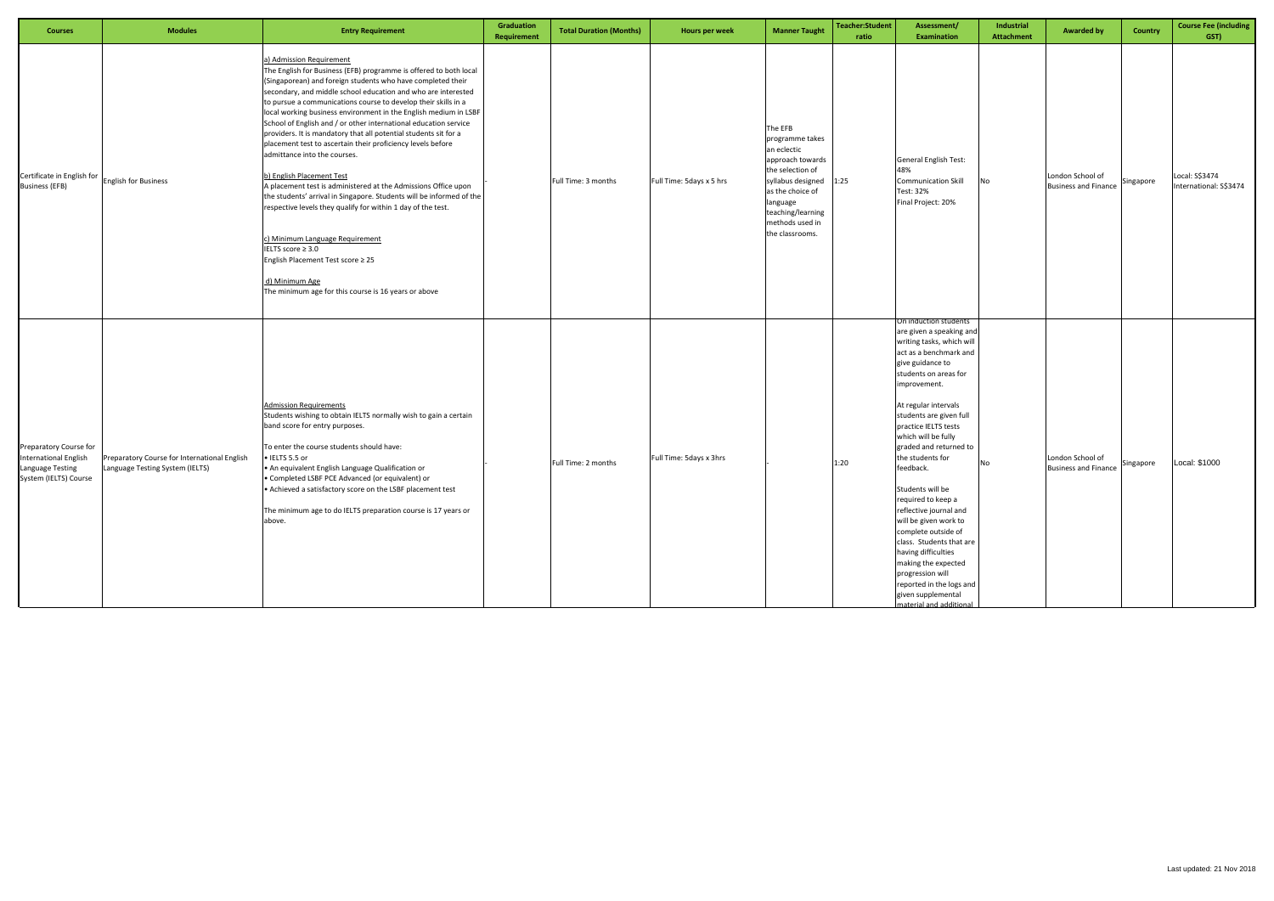| <b>Courses</b>                                                                                      | <b>Modules</b>                                                                  | <b>Entry Requirement</b>                                                                                                                                                                                                                                                                                                                                                                                                                                                                                                                                                                                                                                                                                                                                                                                                                                                                                                                                                                                                 | Graduation<br><b>Requirement</b> | <b>Total Duration (Months)</b> | Hours per week           | <b>Manner Taught</b>                                                                                                                                                                              | Teacher:Student<br>ratio | Assessment/<br><b>Examination</b>                                                                                                                                                                                                                                                                                                                                                                                                                                                                                                                                                                                                 | Industrial<br><b>Attachment</b> | <b>Awarded by</b>                               | <b>Country</b> | <b>Course Fee (including</b><br>GST)     |
|-----------------------------------------------------------------------------------------------------|---------------------------------------------------------------------------------|--------------------------------------------------------------------------------------------------------------------------------------------------------------------------------------------------------------------------------------------------------------------------------------------------------------------------------------------------------------------------------------------------------------------------------------------------------------------------------------------------------------------------------------------------------------------------------------------------------------------------------------------------------------------------------------------------------------------------------------------------------------------------------------------------------------------------------------------------------------------------------------------------------------------------------------------------------------------------------------------------------------------------|----------------------------------|--------------------------------|--------------------------|---------------------------------------------------------------------------------------------------------------------------------------------------------------------------------------------------|--------------------------|-----------------------------------------------------------------------------------------------------------------------------------------------------------------------------------------------------------------------------------------------------------------------------------------------------------------------------------------------------------------------------------------------------------------------------------------------------------------------------------------------------------------------------------------------------------------------------------------------------------------------------------|---------------------------------|-------------------------------------------------|----------------|------------------------------------------|
| Certificate in English for<br><b>Business (EFB)</b>                                                 | <b>English for Business</b>                                                     | a) Admission Requirement<br>The English for Business (EFB) programme is offered to both local<br>(Singaporean) and foreign students who have completed their<br>secondary, and middle school education and who are interested<br>to pursue a communications course to develop their skills in a<br>local working business environment in the English medium in LSBF<br>School of English and / or other international education service<br>providers. It is mandatory that all potential students sit for a<br>placement test to ascertain their proficiency levels before<br>admittance into the courses.<br>b) English Placement Test<br>A placement test is administered at the Admissions Office upon<br>the students' arrival in Singapore. Students will be informed of the<br>respective levels they qualify for within 1 day of the test.<br>c) Minimum Language Requirement<br>IELTS score ≥ 3.0<br>English Placement Test score ≥ 25<br>d) Minimum Age<br>The minimum age for this course is 16 years or above |                                  | Full Time: 3 months            | Full Time: 5days x 5 hrs | The EFB<br>programme takes<br>an eclectic<br>approach towards<br>the selection of<br>syllabus designed<br>as the choice of<br>language<br>teaching/learning<br>methods used in<br>the classrooms. | 1:25                     | <b>General English Test:</b><br>48%<br><b>Communication Skill</b><br>Test: 32%<br>Final Project: 20%                                                                                                                                                                                                                                                                                                                                                                                                                                                                                                                              | No                              | London School of<br><b>Business and Finance</b> | Singapore      | Local: S\$3474<br>International: S\$3474 |
| Preparatory Course for<br><b>International English</b><br>Language Testing<br>System (IELTS) Course | Preparatory Course for International English<br>Language Testing System (IELTS) | <b>Admission Requirements</b><br>Students wishing to obtain IELTS normally wish to gain a certain<br>band score for entry purposes.<br>To enter the course students should have:<br>• IELTS 5.5 or<br>• An equivalent English Language Qualification or<br>• Completed LSBF PCE Advanced (or equivalent) or<br>• Achieved a satisfactory score on the LSBF placement test<br>The minimum age to do IELTS preparation course is 17 years or<br>above.                                                                                                                                                                                                                                                                                                                                                                                                                                                                                                                                                                     |                                  | Full Time: 2 months            | Full Time: 5days x 3hrs  |                                                                                                                                                                                                   | 1:20                     | On induction students<br>are given a speaking and<br>writing tasks, which will<br>act as a benchmark and<br>give guidance to<br>students on areas for<br>improvement.<br>At regular intervals<br>students are given full<br>practice IELTS tests<br>which will be fully<br>graded and returned to<br>the students for<br>feedback.<br>Students will be<br>required to keep a<br>reflective journal and<br>will be given work to<br>complete outside of<br>class. Students that are<br>having difficulties<br>making the expected<br>progression will<br>reported in the logs and<br>given supplemental<br>naterial and additional | No                              | London School of<br><b>Business and Finance</b> | Singapore      | Local: \$1000                            |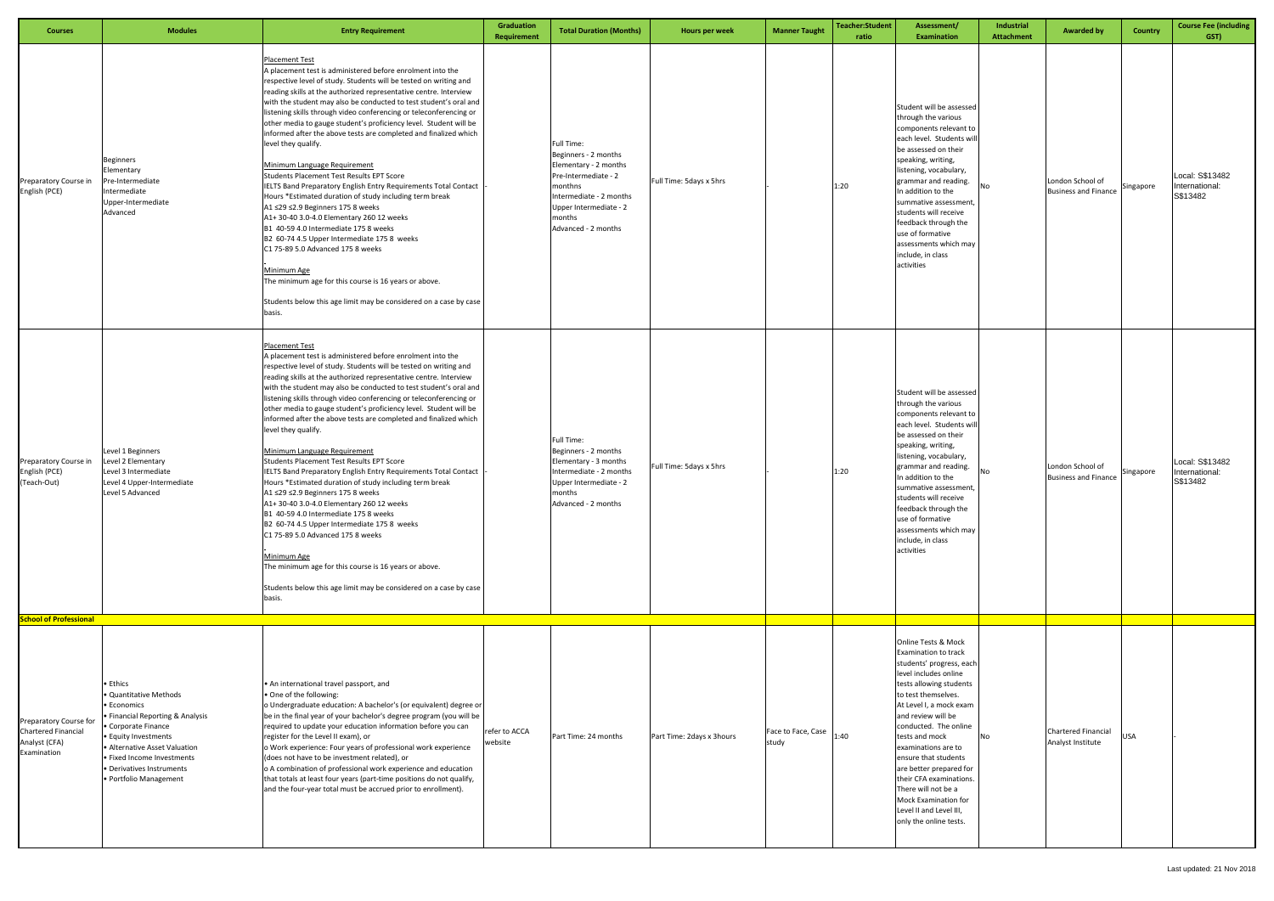| <b>Courses</b>                                                                         | <b>Modules</b>                                                                                                                                                                                                                                                   | <b>Entry Requirement</b>                                                                                                                                                                                                                                                                                                                                                                                                                                                                                                                                                                                                                                                                                                                                                                                                                                                                                                                                                                                                                                                                                                  | Graduation<br>Requirement | <b>Total Duration (Months)</b>                                                                                                                                                       | Hours per week            | <b>Manner Taught</b>        | <b>Teacher:Student</b><br>ratio | Assessment/<br><b>Examination</b>                                                                                                                                                                                                                                                                                                                                                                                                | Industrial<br><b>Attachment</b> | <b>Awarded by</b>                               | <b>Country</b> | <b>Course Fee (including</b><br>GST)          |
|----------------------------------------------------------------------------------------|------------------------------------------------------------------------------------------------------------------------------------------------------------------------------------------------------------------------------------------------------------------|---------------------------------------------------------------------------------------------------------------------------------------------------------------------------------------------------------------------------------------------------------------------------------------------------------------------------------------------------------------------------------------------------------------------------------------------------------------------------------------------------------------------------------------------------------------------------------------------------------------------------------------------------------------------------------------------------------------------------------------------------------------------------------------------------------------------------------------------------------------------------------------------------------------------------------------------------------------------------------------------------------------------------------------------------------------------------------------------------------------------------|---------------------------|--------------------------------------------------------------------------------------------------------------------------------------------------------------------------------------|---------------------------|-----------------------------|---------------------------------|----------------------------------------------------------------------------------------------------------------------------------------------------------------------------------------------------------------------------------------------------------------------------------------------------------------------------------------------------------------------------------------------------------------------------------|---------------------------------|-------------------------------------------------|----------------|-----------------------------------------------|
| Preparatory Course in<br>English (PCE)                                                 | Beginners<br>Elementary<br>Pre-Intermediate<br>Intermediate<br>Upper-Intermediate<br>Advanced                                                                                                                                                                    | <b>Placement Test</b><br>A placement test is administered before enrolment into the<br>respective level of study. Students will be tested on writing and<br>reading skills at the authorized representative centre. Interview<br>with the student may also be conducted to test student's oral and<br>listening skills through video conferencing or teleconferencing or<br>other media to gauge student's proficiency level. Student will be<br>informed after the above tests are completed and finalized which<br>level they qualify.<br>Minimum Language Requirement<br>Students Placement Test Results EPT Score<br>IELTS Band Preparatory English Entry Requirements Total Contact<br>Hours *Estimated duration of study including term break<br>A1 ≤29 ≤2.9 Beginners 175 8 weeks<br>A1+30-403.0-4.0 Elementary 260 12 weeks<br>B1 40-59 4.0 Intermediate 175 8 weeks<br>B2 60-74 4.5 Upper Intermediate 175 8 weeks<br>C1 75-89 5.0 Advanced 175 8 weeks<br>Minimum Age<br>The minimum age for this course is 16 years or above.<br>Students below this age limit may be considered on a case by case<br>basis.   |                           | Full Time:<br>Beginners - 2 months<br>Elementary - 2 months<br>Pre-Intermediate - 2<br>monthns<br>Intermediate - 2 months<br>Upper Intermediate - 2<br>nonths<br>Advanced - 2 months | Full Time: 5days x 5hrs   |                             | 1:20                            | Student will be assessed<br>through the various<br>components relevant to<br>each level. Students wi<br>be assessed on their<br>speaking, writing,<br>listening, vocabulary,<br>grammar and reading.<br>In addition to the<br>summative assessment,<br>students will receive<br>feedback through the<br>use of formative<br>assessments which may<br>include, in class<br>activities                                             | No                              | London School of<br><b>Business and Finance</b> | Singapore      | Local: S\$13482<br>International:<br>S\$13482 |
| Preparatory Course in<br>English (PCE)<br>(Teach-Out)<br><b>School of Professional</b> | Level 1 Beginners<br>Level 2 Elementary<br>Level 3 Intermediate<br>Level 4 Upper-Intermediate<br>Level 5 Advanced                                                                                                                                                | <b>Placement Test</b><br>A placement test is administered before enrolment into the<br>respective level of study. Students will be tested on writing and<br>reading skills at the authorized representative centre. Interview<br>with the student may also be conducted to test student's oral and<br>listening skills through video conferencing or teleconferencing or<br>other media to gauge student's proficiency level. Student will be<br>informed after the above tests are completed and finalized which<br>level they qualify.<br>Minimum Language Requirement<br>Students Placement Test Results EPT Score<br>IELTS Band Preparatory English Entry Requirements Total Contact<br>Hours *Estimated duration of study including term break<br>A1 ≤29 ≤2.9 Beginners 175 8 weeks<br>A1+ 30-40 3.0-4.0 Elementary 260 12 weeks<br>B1 40-59 4.0 Intermediate 175 8 weeks<br>B2 60-74 4.5 Upper Intermediate 175 8 weeks<br>C1 75-89 5.0 Advanced 175 8 weeks<br>Minimum Age<br>The minimum age for this course is 16 years or above.<br>Students below this age limit may be considered on a case by case<br>basis. |                           | Full Time:<br>Beginners - 2 months<br>Elementary - 3 months<br>Intermediate - 2 months<br>Upper Intermediate - 2<br>months<br>Advanced - 2 months                                    | Full Time: 5days x 5hrs   |                             | 1:20                            | Student will be assessed<br>through the various<br>components relevant to<br>each level. Students wi<br>be assessed on their<br>speaking, writing,<br>listening, vocabulary,<br>grammar and reading.<br>In addition to the<br>summative assessment,<br>students will receive<br>feedback through the<br>use of formative<br>assessments which may<br>include, in class<br>activities                                             | <b>No</b>                       | London School of<br><b>Business and Finance</b> | Singapore      | Local: S\$13482<br>International:<br>S\$13482 |
|                                                                                        |                                                                                                                                                                                                                                                                  |                                                                                                                                                                                                                                                                                                                                                                                                                                                                                                                                                                                                                                                                                                                                                                                                                                                                                                                                                                                                                                                                                                                           |                           |                                                                                                                                                                                      |                           |                             |                                 | Online Tests & Mock                                                                                                                                                                                                                                                                                                                                                                                                              |                                 |                                                 |                |                                               |
| Preparatory Course for<br><b>Chartered Financial</b><br>Analyst (CFA)<br>Examination   | $\bullet$ Ethics<br>Quantitative Methods<br>• Economics<br>· Financial Reporting & Analysis<br>• Corporate Finance<br>• Equity Investments<br>· Alternative Asset Valuation<br>· Fixed Income Investments<br>· Derivatives Instruments<br>• Portfolio Management | • An international travel passport, and<br>• One of the following:<br>o Undergraduate education: A bachelor's (or equivalent) degree or<br>be in the final year of your bachelor's degree program (you will be<br>required to update your education information before you can<br>register for the Level II exam), or<br>o Work experience: Four years of professional work experience<br>(does not have to be investment related), or<br>o A combination of professional work experience and education<br>that totals at least four years (part-time positions do not qualify,<br>and the four-year total must be accrued prior to enrollment).                                                                                                                                                                                                                                                                                                                                                                                                                                                                          | refer to ACCA<br>website  | Part Time: 24 months                                                                                                                                                                 | Part Time: 2days x 3hours | Face to Face, Case<br>study | 1:40                            | Examination to track<br>students' progress, each<br>level includes online<br>tests allowing students<br>to test themselves.<br>At Level I, a mock exam<br>and review will be<br>conducted. The online<br>tests and mock<br>examinations are to<br>ensure that students<br>are better prepared for<br>their CFA examinations.<br>There will not be a<br>Mock Examination for<br>Level II and Level III,<br>only the online tests. | <b>No</b>                       | Chartered Financial<br>Analyst Institute        | <b>USA</b>     |                                               |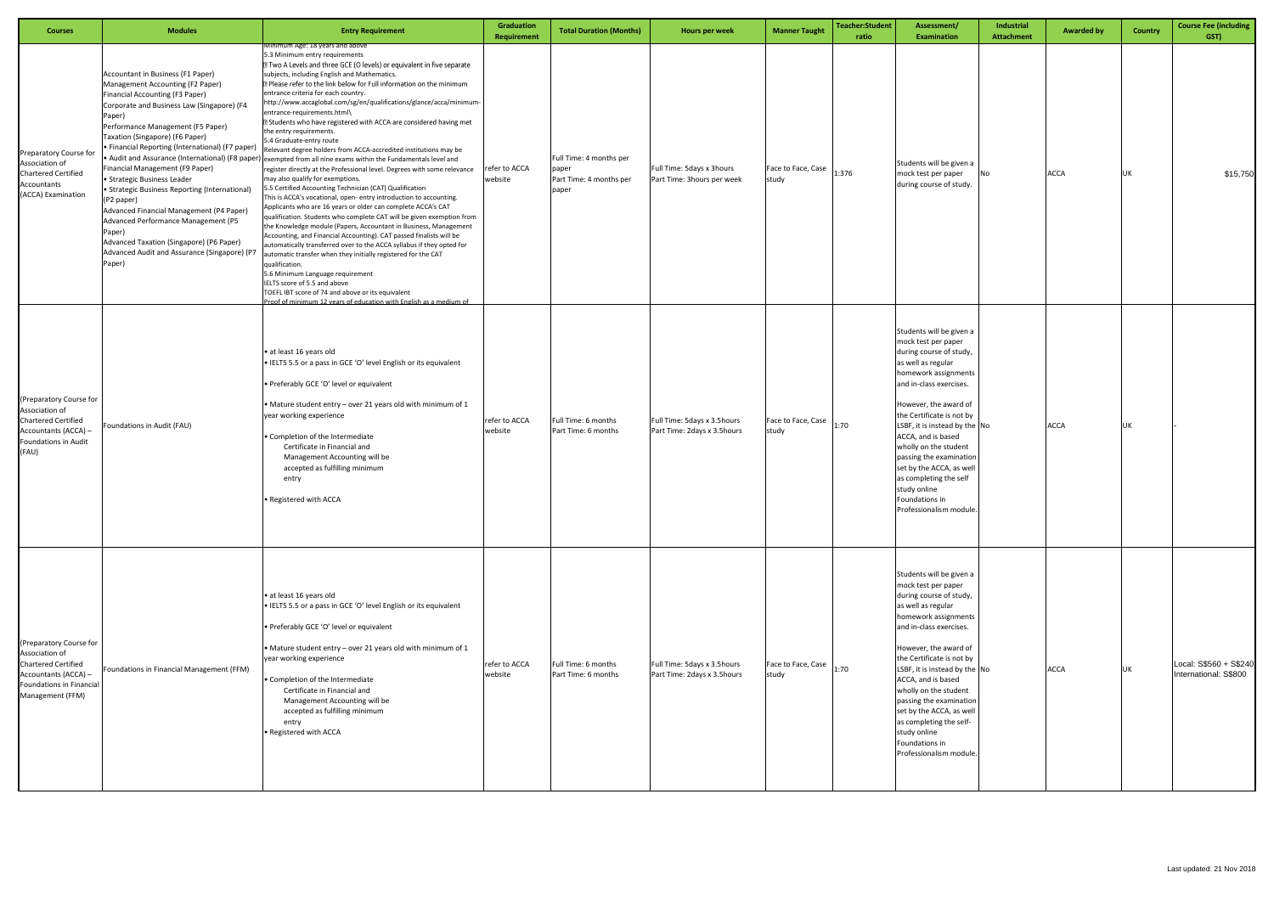| <b>Courses</b>                                                                                                                                  | <b>Modules</b>                                                                                                                                                                                                                                                                                                                                                                                                                                                                                                                                                                                                                  | <b>Entry Requirement</b>                                                                                                                                                                                                                                                                                                                                                                                                                                                                                                                                                                                                                                                                                                                                                                                                                                                                                                                                                                                                                                                                                                                                                                                                                                                                                                                                                                                                                                                                                                                                                                                                                        | <b>Graduation</b><br><b>Requirement</b> | <b>Total Duration (Months)</b>                                       | Hours per week                                             | <b>Manner Taught</b>                       | <b>Teacher:Student</b><br>ratio | Assessment/<br><b>Examination</b>                                                                                                                                                                                                                                                                                                                                                                                                              | Industrial<br><b>Attachment</b> | <b>Awarded by</b> | <b>Country</b> | <b>Course Fee (including</b><br>GST)            |
|-------------------------------------------------------------------------------------------------------------------------------------------------|---------------------------------------------------------------------------------------------------------------------------------------------------------------------------------------------------------------------------------------------------------------------------------------------------------------------------------------------------------------------------------------------------------------------------------------------------------------------------------------------------------------------------------------------------------------------------------------------------------------------------------|-------------------------------------------------------------------------------------------------------------------------------------------------------------------------------------------------------------------------------------------------------------------------------------------------------------------------------------------------------------------------------------------------------------------------------------------------------------------------------------------------------------------------------------------------------------------------------------------------------------------------------------------------------------------------------------------------------------------------------------------------------------------------------------------------------------------------------------------------------------------------------------------------------------------------------------------------------------------------------------------------------------------------------------------------------------------------------------------------------------------------------------------------------------------------------------------------------------------------------------------------------------------------------------------------------------------------------------------------------------------------------------------------------------------------------------------------------------------------------------------------------------------------------------------------------------------------------------------------------------------------------------------------|-----------------------------------------|----------------------------------------------------------------------|------------------------------------------------------------|--------------------------------------------|---------------------------------|------------------------------------------------------------------------------------------------------------------------------------------------------------------------------------------------------------------------------------------------------------------------------------------------------------------------------------------------------------------------------------------------------------------------------------------------|---------------------------------|-------------------|----------------|-------------------------------------------------|
| Preparatory Course for<br>Association of<br><b>Chartered Certified</b><br>Accountants<br>(ACCA) Examination                                     | Accountant in Business (F1 Paper)<br>Management Accounting (F2 Paper)<br>Financial Accounting (F3 Paper)<br>Corporate and Business Law (Singapore) (F4<br>Paper)<br>Performance Management (F5 Paper)<br>Taxation (Singapore) (F6 Paper)<br>· Financial Reporting (International) (F7 paper)<br>Financial Management (F9 Paper)<br>· Strategic Business Leader<br>Strategic Business Reporting (International)<br>(P2 paper)<br>Advanced Financial Management (P4 Paper)<br>Advanced Performance Management (P5<br>Paper)<br>Advanced Taxation (Singapore) (P6 Paper)<br>Advanced Audit and Assurance (Singapore) (P7<br>Paper) | Minimum Age: 18 years and above<br>5.3 Minimum entry requirements<br>7 Two A Levels and three GCE (O levels) or equivalent in five separate<br>subjects, including English and Mathematics.<br>7 Please refer to the link below for Full information on the minimum<br>entrance criteria for each country.<br>http://www.accaglobal.com/sg/en/qualifications/glance/acca/minimum-<br>entrance-requirements.html\<br>X Students who have registered with ACCA are considered having met<br>the entry requirements.<br>5.4 Graduate-entry route<br>Relevant degree holders from ACCA-accredited institutions may be<br>$\bullet$ Audit and Assurance (International) (F8 paper) $ $ exempted from all nine exams within the Fundamentals level and<br>register directly at the Professional level. Degrees with some relevance<br>may also qualify for exemptions.<br>5.5 Certified Accounting Technician (CAT) Qualification<br>This is ACCA's vocational, open-entry introduction to accounting.<br>Applicants who are 16 years or older can complete ACCA's CAT<br>qualification. Students who complete CAT will be given exemption from<br>the Knowledge module (Papers, Accountant in Business, Management<br>Accounting, and Financial Accounting). CAT passed finalists will be<br>automatically transferred over to the ACCA syllabus if they opted for<br>automatic transfer when they initially registered for the CAT<br>qualification.<br>5.6 Minimum Language requirement<br>IELTS score of 5.5 and above<br>TOEFL IBT score of 74 and above or its equivalent<br>Proof of minimum 12 years of education with English as a medium of | refer to ACCA<br>website                | Full Time: 4 months per<br>paper<br>Part Time: 4 months per<br>paper | Full Time: 5days x 3hours<br>Part Time: 3hours per week    | Face to Face, Case<br>study                | 1:376                           | Students will be given a<br>mock test per paper<br>during course of study.                                                                                                                                                                                                                                                                                                                                                                     | No                              | <b>ACCA</b>       | UK             | \$15,750                                        |
| (Preparatory Course for<br>Association of<br><b>Chartered Certified</b><br>Accountants (ACCA) -<br>Foundations in Audit<br>(FAU)                | Foundations in Audit (FAU)                                                                                                                                                                                                                                                                                                                                                                                                                                                                                                                                                                                                      | · at least 16 years old<br>. IELTS 5.5 or a pass in GCE 'O' level English or its equivalent<br>• Preferably GCE 'O' level or equivalent<br>• Mature student entry – over 21 years old with minimum of 1<br>year working experience<br>• Completion of the Intermediate<br>Certificate in Financial and<br>Management Accounting will be<br>accepted as fulfilling minimum<br>entry<br>• Registered with ACCA                                                                                                                                                                                                                                                                                                                                                                                                                                                                                                                                                                                                                                                                                                                                                                                                                                                                                                                                                                                                                                                                                                                                                                                                                                    | refer to ACCA<br>website                | Full Time: 6 months<br>Part Time: 6 months                           | Full Time: 5days x 3.5hours<br>Part Time: 2days x 3.5hours | Face to Face, Case 1:70<br>study           |                                 | Students will be given a<br>mock test per paper<br>during course of study,<br>as well as regular<br>homework assignments<br>and in-class exercises.<br>However, the award of<br>the Certificate is not by<br>LSBF, it is instead by the $\vert$ No<br>ACCA, and is based<br>wholly on the student<br>passing the examination<br>set by the ACCA, as well<br>as completing the self<br>study online<br>Foundations in<br>Professionalism module |                                 | <b>ACCA</b>       | UK             |                                                 |
| (Preparatory Course for<br>Association of<br><b>Chartered Certified</b><br>Accountants (ACCA) -<br>Foundations in Financial<br>Management (FFM) | Foundations in Financial Management (FFM)                                                                                                                                                                                                                                                                                                                                                                                                                                                                                                                                                                                       | • at least 16 years old<br>• IELTS 5.5 or a pass in GCE 'O' level English or its equivalent<br>• Preferably GCE 'O' level or equivalent<br>• Mature student entry - over 21 years old with minimum of 1<br>year working experience<br>• Completion of the Intermediate<br>Certificate in Financial and<br>Management Accounting will be<br>accepted as fulfilling minimum<br>entry<br>• Registered with ACCA                                                                                                                                                                                                                                                                                                                                                                                                                                                                                                                                                                                                                                                                                                                                                                                                                                                                                                                                                                                                                                                                                                                                                                                                                                    | refer to ACCA<br>website                | Full Time: 6 months<br>Part Time: 6 months                           | Full Time: 5days x 3.5hours<br>Part Time: 2days x 3.5hours | Face to Face, Case $\Big _{1:70}$<br>study |                                 | Students will be given a<br>mock test per paper<br>during course of study,<br>as well as regular<br>homework assignments<br>and in-class exercises.<br>However, the award of<br>the Certificate is not by<br>LSBF, it is instead by the No<br>ACCA, and is based<br>wholly on the student<br>passing the examination<br>set by the ACCA, as well<br>as completing the self-<br>study online<br>Foundations in<br>Professionalism module.       |                                 | <b>ACCA</b>       | UK             | Local: S\$560 + S\$240<br>International: S\$800 |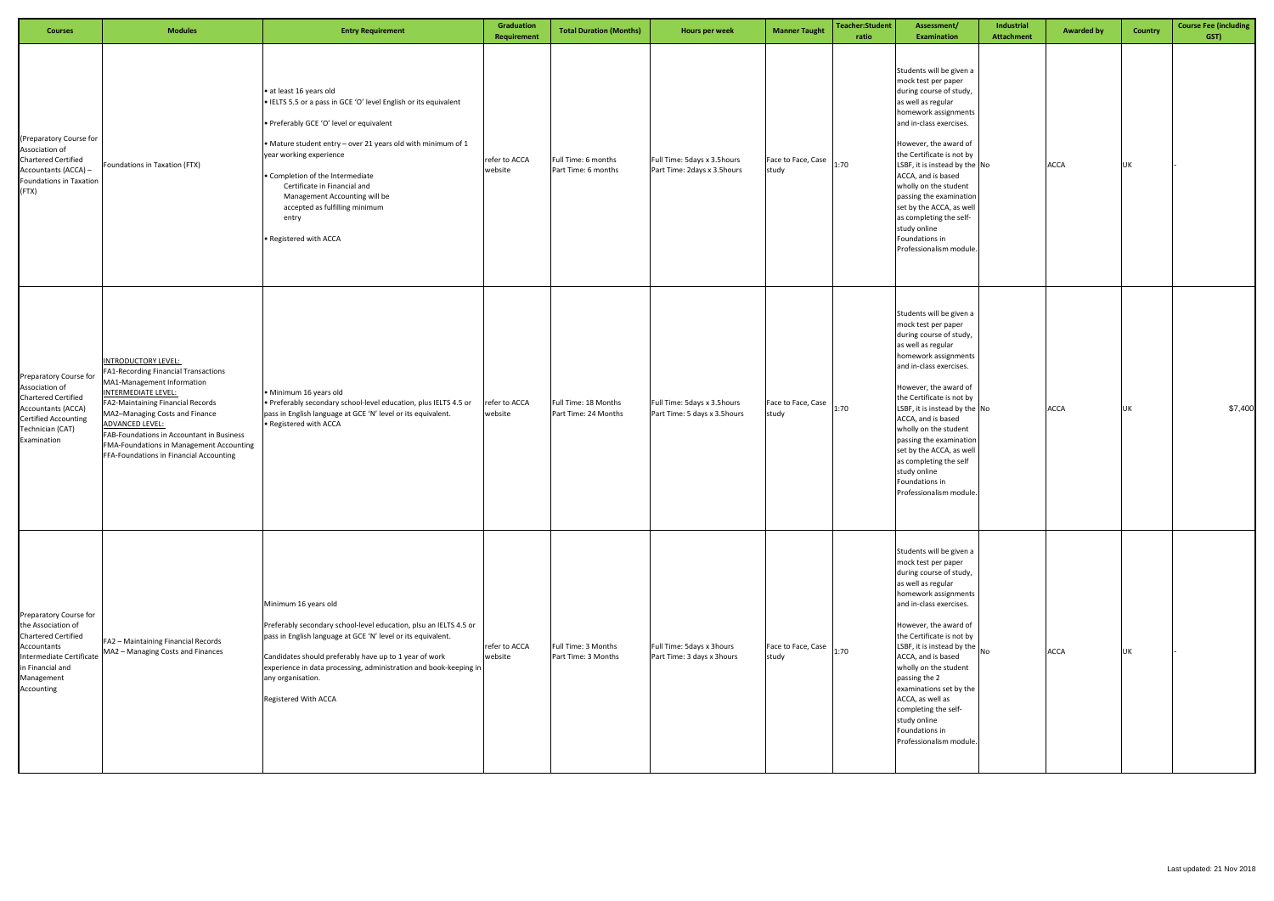| <b>Courses</b>                                                                                                                                                        | <b>Modules</b>                                                                                                                                                                                                                                                                                                                                                      | <b>Entry Requirement</b>                                                                                                                                                                                                                                                                                                                                                                                     | Graduation<br>Requirement | <b>Total Duration (Months)</b>               | Hours per week                                              | <b>Manner Taught</b>        | <b>Teacher:Student</b><br>ratio | Assessment/<br><b>Examination</b>                                                                                                                                                                                                                                                                                                                                                                                                                                                               | Industrial<br><b>Attachment</b> | <b>Awarded by</b> | <b>Country</b> | <b>Course Fee (including</b><br>GST) |
|-----------------------------------------------------------------------------------------------------------------------------------------------------------------------|---------------------------------------------------------------------------------------------------------------------------------------------------------------------------------------------------------------------------------------------------------------------------------------------------------------------------------------------------------------------|--------------------------------------------------------------------------------------------------------------------------------------------------------------------------------------------------------------------------------------------------------------------------------------------------------------------------------------------------------------------------------------------------------------|---------------------------|----------------------------------------------|-------------------------------------------------------------|-----------------------------|---------------------------------|-------------------------------------------------------------------------------------------------------------------------------------------------------------------------------------------------------------------------------------------------------------------------------------------------------------------------------------------------------------------------------------------------------------------------------------------------------------------------------------------------|---------------------------------|-------------------|----------------|--------------------------------------|
| (Preparatory Course for<br>Association of<br><b>Chartered Certified</b><br>Accountants (ACCA) -<br>Foundations in Taxation<br>(FTX)                                   | Foundations in Taxation (FTX)                                                                                                                                                                                                                                                                                                                                       | · at least 16 years old<br>· IELTS 5.5 or a pass in GCE 'O' level English or its equivalent<br>• Preferably GCE 'O' level or equivalent<br>• Mature student entry - over 21 years old with minimum of 1<br>year working experience<br>• Completion of the Intermediate<br>Certificate in Financial and<br>Management Accounting will be<br>accepted as fulfilling minimum<br>entry<br>• Registered with ACCA | refer to ACCA<br>website  | Full Time: 6 months<br>Part Time: 6 months   | Full Time: 5days x 3.5hours<br>Part Time: 2days x 3.5hours  | Face to Face, Case<br>study | 1:70                            | Students will be given a<br>mock test per paper<br>during course of study,<br>as well as regular<br>homework assignments<br>and in-class exercises.<br>However, the award of<br>the Certificate is not by<br>LSBF, it is instead by the No<br>ACCA, and is based<br>wholly on the student<br>passing the examination<br>set by the ACCA, as well<br>as completing the self-<br>study online<br>Foundations in<br>Professionalism module                                                         |                                 | <b>ACCA</b>       | UK             |                                      |
| Preparatory Course for<br>Association of<br><b>Chartered Certified</b><br><b>Accountants (ACCA)</b><br><b>Certified Accounting</b><br>Technician (CAT)<br>Examination | <b>INTRODUCTORY LEVEL:</b><br>FA1-Recording Financial Transactions<br>MA1-Management Information<br><b>INTERMEDIATE LEVEL:</b><br>FA2-Maintaining Financial Records<br>MA2-Managing Costs and Finance<br><b>ADVANCED LEVEL:</b><br>FAB-Foundations in Accountant in Business<br>FMA-Foundations in Management Accounting<br>FFA-Foundations in Financial Accounting | · Minimum 16 years old<br>. Preferably secondary school-level education, plus IELTS 4.5 or<br>pass in English language at GCE 'N' level or its equivalent.<br>• Registered with ACCA                                                                                                                                                                                                                         | refer to ACCA<br>website  | Full Time: 18 Months<br>Part Time: 24 Months | Full Time: 5days x 3.5hours<br>Part Time: 5 days x 3.5hours | Face to Face, Case<br>study | 1:70                            | Students will be given a<br>mock test per paper<br>during course of study,<br>as well as regular<br>homework assignments<br>and in-class exercises.<br>However, the award of<br>the Certificate is not by<br>LSBF, it is instead by the No<br>ACCA, and is based<br>wholly on the student<br>passing the examination<br>set by the ACCA, as well<br>as completing the self<br>study online<br>Foundations in<br>Professionalism module.                                                         |                                 | <b>ACCA</b>       | UK             | \$7,400                              |
| Preparatory Course for<br>the Association of<br><b>Chartered Certified</b><br>Accountants<br>Intermediate Certificate<br>in Financial and<br>Management<br>Accounting | FA2 - Maintaining Financial Records<br>MA2 - Managing Costs and Finances                                                                                                                                                                                                                                                                                            | Minimum 16 years old<br>Preferably secondary school-level education, plsu an IELTS 4.5 or<br>pass in English language at GCE 'N' level or its equivalent.<br>Candidates should preferably have up to 1 year of work<br>experience in data processing, administration and book-keeping in<br>any organisation.<br>Registered With ACCA                                                                        | refer to ACCA<br>website  | Full Time: 3 Months<br>Part Time: 3 Months   | Full Time: 5days x 3hours<br>Part Time: 3 days x 3hours     | Face to Face, Case<br>study | 1:70                            | Students will be given a<br>mock test per paper<br>during course of study,<br>as well as regular<br>homework assignments<br>and in-class exercises.<br>However, the award of<br>the Certificate is not by<br>$\begin{bmatrix} \text{LSBF, it is instead by the} \\ \text{N0} \end{bmatrix}$<br>ACCA, and is based<br>wholly on the student<br>passing the 2<br>examinations set by the<br>ACCA, as well as<br>completing the self-<br>study online<br>Foundations in<br>Professionalism module. |                                 | <b>ACCA</b>       | UK             |                                      |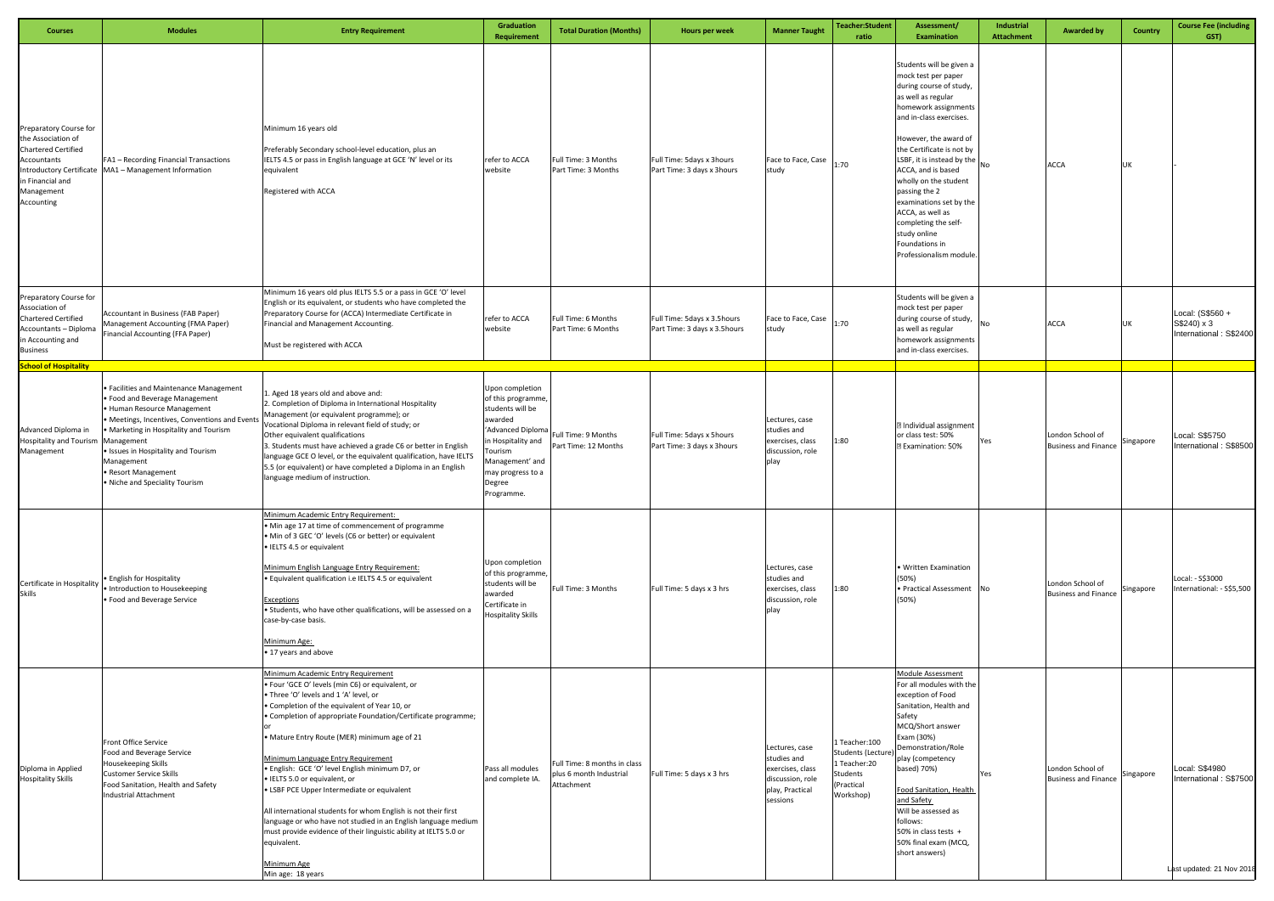| <b>Courses</b>                                                                                                                                                               | <b>Modules</b>                                                                                                                                                                                                                                                                                                                  | <b>Entry Requirement</b>                                                                                                                                                                                                                                                                                                                                                                                                                                                                                                                                                                                                                                                                                                                | Graduation<br>Requirement                                                                                                                                                              | <b>Total Duration (Months)</b>                                        | Hours per week                                              | <b>Manner Taught</b>                                                                                 | <b>Teacher:Student</b><br>ratio                                                        | Assessment/<br><b>Examination</b>                                                                                                                                                                                                                                                                                                                                                                                                                              | Industrial<br><b>Attachment</b> | <b>Awarded by</b>                               | <b>Country</b> | <b>Course Fee (including</b><br>GST)                                  |
|------------------------------------------------------------------------------------------------------------------------------------------------------------------------------|---------------------------------------------------------------------------------------------------------------------------------------------------------------------------------------------------------------------------------------------------------------------------------------------------------------------------------|-----------------------------------------------------------------------------------------------------------------------------------------------------------------------------------------------------------------------------------------------------------------------------------------------------------------------------------------------------------------------------------------------------------------------------------------------------------------------------------------------------------------------------------------------------------------------------------------------------------------------------------------------------------------------------------------------------------------------------------------|----------------------------------------------------------------------------------------------------------------------------------------------------------------------------------------|-----------------------------------------------------------------------|-------------------------------------------------------------|------------------------------------------------------------------------------------------------------|----------------------------------------------------------------------------------------|----------------------------------------------------------------------------------------------------------------------------------------------------------------------------------------------------------------------------------------------------------------------------------------------------------------------------------------------------------------------------------------------------------------------------------------------------------------|---------------------------------|-------------------------------------------------|----------------|-----------------------------------------------------------------------|
| Preparatory Course for<br>the Association of<br><b>Chartered Certified</b><br>Accountants<br><b>Introductory Certificate</b><br>in Financial and<br>Management<br>Accounting | FA1 - Recording Financial Transactions<br>MA1 - Management Information                                                                                                                                                                                                                                                          | Minimum 16 years old<br>Preferably Secondary school-level education, plus an<br>IELTS 4.5 or pass in English language at GCE 'N' level or its<br>equivalent<br>Registered with ACCA                                                                                                                                                                                                                                                                                                                                                                                                                                                                                                                                                     | refer to ACCA<br>website                                                                                                                                                               | Full Time: 3 Months<br>Part Time: 3 Months                            | Full Time: 5days x 3hours<br>Part Time: 3 days x 3hours     | Face to Face, Case<br>study                                                                          | 1:70                                                                                   | Students will be given a<br>mock test per paper<br>during course of study,<br>as well as regular<br>homework assignments<br>and in-class exercises.<br>However, the award of<br>the Certificate is not by<br>LSBF, it is instead by the $\vert_{\text{No}}$<br>ACCA, and is based<br>wholly on the student<br>passing the 2<br>examinations set by the<br>ACCA, as well as<br>completing the self-<br>study online<br>Foundations in<br>Professionalism module |                                 | <b>ACCA</b>                                     | UK             |                                                                       |
| Preparatory Course for<br>Association of<br><b>Chartered Certified</b><br>Accountants - Diploma<br>in Accounting and<br>Business                                             | Accountant in Business (FAB Paper)<br>Management Accounting (FMA Paper)<br>Financial Accounting (FFA Paper)                                                                                                                                                                                                                     | Minimum 16 years old plus IELTS 5.5 or a pass in GCE 'O' level<br>English or its equivalent, or students who have completed the<br>Preparatory Course for (ACCA) Intermediate Certificate in<br>Financial and Management Accounting.<br>Must be registered with ACCA                                                                                                                                                                                                                                                                                                                                                                                                                                                                    | refer to ACCA<br>website                                                                                                                                                               | Full Time: 6 Months<br>Part Time: 6 Months                            | Full Time: 5days x 3.5hours<br>Part Time: 3 days x 3.5hours | Face to Face, Case<br>study                                                                          | 1:70                                                                                   | Students will be given a<br>mock test per paper<br>during course of study,<br>as well as regular<br>homework assignments<br>and in-class exercises.                                                                                                                                                                                                                                                                                                            | <b>No</b>                       | <b>ACCA</b>                                     | UK             | Local: (S\$560 +<br>S\$240) x 3<br>International: S\$2400             |
| <b>School of Hospitality</b>                                                                                                                                                 |                                                                                                                                                                                                                                                                                                                                 |                                                                                                                                                                                                                                                                                                                                                                                                                                                                                                                                                                                                                                                                                                                                         |                                                                                                                                                                                        |                                                                       |                                                             |                                                                                                      |                                                                                        |                                                                                                                                                                                                                                                                                                                                                                                                                                                                |                                 |                                                 |                |                                                                       |
| Advanced Diploma in<br><b>Hospitality and Tourism</b><br>Management                                                                                                          | · Facilities and Maintenance Management<br>• Food and Beverage Management<br>· Human Resource Management<br>• Meetings, Incentives, Conventions and Event<br>• Marketing in Hospitality and Tourism<br>Management<br>• Issues in Hospitality and Tourism<br>Management<br>· Resort Management<br>. Niche and Speciality Tourism | 1. Aged 18 years old and above and:<br>2. Completion of Diploma in International Hospitality<br>Management (or equivalent programme); or<br>Vocational Diploma in relevant field of study; or<br>Other equivalent qualifications<br>3. Students must have achieved a grade C6 or better in English<br>language GCE O level, or the equivalent qualification, have IELTS<br>5.5 (or equivalent) or have completed a Diploma in an English<br>language medium of instruction.                                                                                                                                                                                                                                                             | Upon completion<br>of this programme,<br>students will be<br>เwarded<br>Advanced Diploma<br>n Hospitality and<br>ourism<br>Management' and<br>may progress to a<br>Degree<br>Programme | Full Time: 9 Months<br>Part Time: 12 Months                           | Full Time: 5days x 5hours<br>Part Time: 3 days x 3hours     | Lectures, case<br>studies and<br>exercises, class<br>discussion, role<br>play                        | 1:80                                                                                   | <b>Z</b> Individual assignment<br>or class test: 50%<br><b>Z</b> Examination: 50%                                                                                                                                                                                                                                                                                                                                                                              | Yes                             | London School of<br><b>Business and Finance</b> | Singapore      | Local: S\$5750<br>International: S\$8500                              |
| Certificate in Hospitality<br><b>Skills</b>                                                                                                                                  | · English for Hospitality<br>· Introduction to Housekeeping<br>• Food and Beverage Service                                                                                                                                                                                                                                      | Minimum Academic Entry Requirement:<br>• Min age 17 at time of commencement of programme<br>• Min of 3 GEC 'O' levels (C6 or better) or equivalent<br>• IELTS 4.5 or equivalent<br>Minimum English Language Entry Requirement:<br>. Equivalent qualification i.e IELTS 4.5 or equivalent<br>Exceptions<br>• Students, who have other qualifications, will be assessed on a<br>case-by-case basis.<br>Minimum Age:<br>• 17 years and above                                                                                                                                                                                                                                                                                               | Upon completion<br>of this programme,<br>students will be<br>awarded<br>Certificate in<br><b>Hospitality Skills</b>                                                                    | Full Time: 3 Months                                                   | Full Time: 5 days x 3 hrs                                   | Lectures, case<br>studies and<br>exercises, class<br>discussion, role<br>play                        | 1:80                                                                                   | • Written Examination<br>(50%)<br>• Practical Assessment No<br>(50%)                                                                                                                                                                                                                                                                                                                                                                                           |                                 | London School of<br><b>Business and Finance</b> | Singapore      | Local: - S\$3000<br>International: - S\$5,500                         |
| Diploma in Applied<br><b>Hospitality Skills</b>                                                                                                                              | Front Office Service<br>Food and Beverage Service<br>Housekeeping Skills<br><b>Customer Service Skills</b><br>Food Sanitation, Health and Safety<br>Industrial Attachment                                                                                                                                                       | Minimum Academic Entry Requirement<br>. Four 'GCE O' levels (min C6) or equivalent, or<br>. Three 'O' levels and 1 'A' level, or<br>• Completion of the equivalent of Year 10, or<br>• Completion of appropriate Foundation/Certificate programme;<br>• Mature Entry Route (MER) minimum age of 21<br>Minimum Language Entry Requirement<br>. English: GCE 'O' level English minimum D7, or<br>• IELTS 5.0 or equivalent, or<br>• LSBF PCE Upper Intermediate or equivalent<br>All international students for whom English is not their first<br>language or who have not studied in an English language medium<br>must provide evidence of their linguistic ability at IELTS 5.0 or<br>equivalent.<br>Minimum Age<br>Min age: 18 years | Pass all modules<br>and complete IA.                                                                                                                                                   | Full Time: 8 months in class<br>plus 6 month Industrial<br>Attachment | Full Time: 5 days x 3 hrs                                   | Lectures, case<br>studies and<br>exercises, class<br>discussion, role<br>play, Practical<br>sessions | Teacher:100<br>Students (Lecture)<br>Teacher:20<br>Students<br>(Practical<br>Workshop) | <b>Module Assessment</b><br>For all modules with the<br>exception of Food<br>Sanitation, Health and<br>Safety<br>MCQ/Short answer<br>Exam (30%)<br>Demonstration/Role<br>play (competency<br>based) 70%)<br>Food Sanitation, Health<br>and Safety<br>Will be assessed as<br>follows:<br>50% in class tests +<br>50% final exam (MCQ,<br>short answers)                                                                                                         | Yes                             | London School of<br><b>Business and Finance</b> | Singapore      | Local: S\$4980<br>International: S\$7500<br>Last updated: 21 Nov 2018 |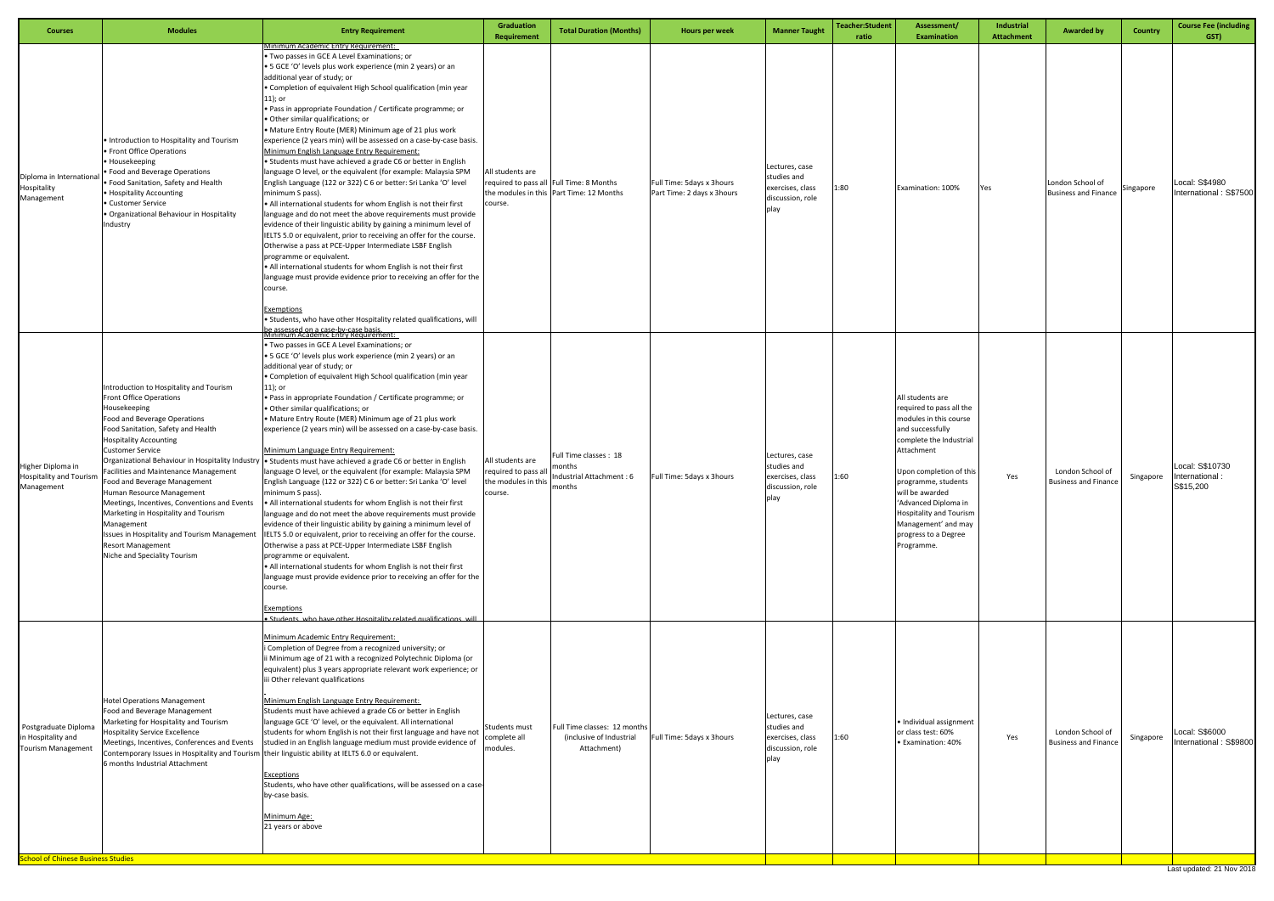| <b>Courses</b>                                                                                                       | <b>Modules</b>                                                                                                                                                                                                                                                                                                                                                                                                                                                                                                                               | <b>Entry Requirement</b>                                                                                                                                                                                                                                                                                                                                                                                                                                                                                                                                                                                                                                                                                                                                                                                                                                                                                                                                                                                                                                                                                                                                                                                                                                                                                                                                                                                                                                                                     | Graduation<br><b>Requirement</b>                                         | <b>Total Duration (Months)</b>                                                       | Hours per week                                          | <b>Manner Taught</b>                                                          | Teacher:Student<br>ratio | Assessment/<br><b>Examination</b>                                                                                                                                                                                                                                                                                               | Industrial<br><b>Attachment</b> | <b>Awarded by</b>                               | <b>Country</b> | <b>Course Fee (including</b><br>GST)          |
|----------------------------------------------------------------------------------------------------------------------|----------------------------------------------------------------------------------------------------------------------------------------------------------------------------------------------------------------------------------------------------------------------------------------------------------------------------------------------------------------------------------------------------------------------------------------------------------------------------------------------------------------------------------------------|----------------------------------------------------------------------------------------------------------------------------------------------------------------------------------------------------------------------------------------------------------------------------------------------------------------------------------------------------------------------------------------------------------------------------------------------------------------------------------------------------------------------------------------------------------------------------------------------------------------------------------------------------------------------------------------------------------------------------------------------------------------------------------------------------------------------------------------------------------------------------------------------------------------------------------------------------------------------------------------------------------------------------------------------------------------------------------------------------------------------------------------------------------------------------------------------------------------------------------------------------------------------------------------------------------------------------------------------------------------------------------------------------------------------------------------------------------------------------------------------|--------------------------------------------------------------------------|--------------------------------------------------------------------------------------|---------------------------------------------------------|-------------------------------------------------------------------------------|--------------------------|---------------------------------------------------------------------------------------------------------------------------------------------------------------------------------------------------------------------------------------------------------------------------------------------------------------------------------|---------------------------------|-------------------------------------------------|----------------|-----------------------------------------------|
| Diploma in Internation<br>Hospitality<br>Management                                                                  | • Introduction to Hospitality and Tourism<br>• Front Office Operations<br>• Housekeeping<br>Food and Beverage Operations<br>Food Sanitation, Safety and Health<br>• Hospitality Accounting<br>Customer Service<br>Organizational Behaviour in Hospitality<br>Industry                                                                                                                                                                                                                                                                        | Minimum Academic Entry Requirement:<br>Two passes in GCE A Level Examinations; or<br>• 5 GCE 'O' levels plus work experience (min 2 years) or an<br>additional year of study; or<br>• Completion of equivalent High School qualification (min year<br>$11$ ); or<br>. Pass in appropriate Foundation / Certificate programme; or<br>• Other similar qualifications; or<br>• Mature Entry Route (MER) Minimum age of 21 plus work<br>experience (2 years min) will be assessed on a case-by-case basis.<br>Minimum English Language Entry Requirement:<br>• Students must have achieved a grade C6 or better in English<br>language O level, or the equivalent (for example: Malaysia SPM<br>English Language (122 or 322) C 6 or better: Sri Lanka 'O' level<br>minimum S pass).<br>• All international students for whom English is not their first<br>language and do not meet the above requirements must provide<br>evidence of their linguistic ability by gaining a minimum level of<br>IELTS 5.0 or equivalent, prior to receiving an offer for the course.<br>Otherwise a pass at PCE-Upper Intermediate LSBF English<br>programme or equivalent<br>• All international students for whom English is not their first<br>language must provide evidence prior to receiving an offer for the<br>course.<br>Exemptions<br>• Students, who have other Hospitality related qualifications, will                                                                                           | All students are<br>course.                                              | required to pass all Full Time: 8 Months<br>the modules in this Part Time: 12 Months | Full Time: 5days x 3hours<br>Part Time: 2 days x 3hours | Lectures, case<br>studies and<br>exercises, class<br>discussion, role<br>play | 1:80                     | Examination: 100%                                                                                                                                                                                                                                                                                                               | Yes                             | London School of<br><b>Business and Finance</b> | Singapore      | Local: S\$4980<br>International: S\$7500      |
| Higher Diploma in<br><b>Hospitality and Tourism</b><br>Management                                                    | Introduction to Hospitality and Tourism<br>Front Office Operations<br>Housekeeping<br>Food and Beverage Operations<br>Food Sanitation, Safety and Health<br><b>Hospitality Accounting</b><br><b>Customer Service</b><br>Facilities and Maintenance Management<br>Food and Beverage Management<br>Human Resource Management<br>Meetings, Incentives, Conventions and Events<br>Marketing in Hospitality and Tourism<br>Management<br>Issues in Hospitality and Tourism Management<br><b>Resort Management</b><br>Niche and Speciality Tourism | he assessed on a case-hy-case hasis<br>Minimum Academic Entry Requirement:<br>. Two passes in GCE A Level Examinations; or<br>• 5 GCE 'O' levels plus work experience (min 2 years) or an<br>additional year of study; or<br>• Completion of equivalent High School qualification (min year<br>$11$ ); or<br>. Pass in appropriate Foundation / Certificate programme; or<br>· Other similar qualifications; or<br>• Mature Entry Route (MER) Minimum age of 21 plus work<br>experience (2 years min) will be assessed on a case-by-case basis.<br>Minimum Language Entry Requirement:<br>Organizational Behaviour in Hospitality Industry   • Students must have achieved a grade C6 or better in English<br>language O level, or the equivalent (for example: Malaysia SPM<br>English Language (122 or 322) C 6 or better: Sri Lanka 'O' level<br>minimum S pass).<br>• All international students for whom English is not their first<br>language and do not meet the above requirements must provide<br>evidence of their linguistic ability by gaining a minimum level of<br>IELTS 5.0 or equivalent, prior to receiving an offer for the course.<br>Otherwise a pass at PCE-Upper Intermediate LSBF English<br>programme or equivalent.<br>• All international students for whom English is not their first<br>language must provide evidence prior to receiving an offer for the<br>course.<br><b>Exemptions</b><br>Students, who have other Hospitality related qualifications, will | All students are<br>equired to pass all<br>he modules in this<br>course. | Full Time classes : 18<br>nonths<br>Industrial Attachment : 6<br>months              | Full Time: 5days x 3hours                               | Lectures, case<br>studies and<br>exercises, class<br>discussion, role<br>piay | 1:60                     | All students are<br>required to pass all the<br>modules in this course<br>and successfully<br>complete the Industrial<br>Attachment<br>Upon completion of this<br>programme, students<br>will be awarded<br>'Advanced Diploma in<br><b>Hospitality and Tourism</b><br>Management' and may<br>progress to a Degree<br>Programme. | Yes                             | London School of<br><b>Business and Finance</b> | Singapore      | Local: S\$10730<br>International<br>S\$15,200 |
| Postgraduate Diploma<br>in Hospitality and<br><b>Tourism Management</b><br><b>School of Chinese Business Studies</b> | <b>Hotel Operations Management</b><br>Food and Beverage Management<br>Marketing for Hospitality and Tourism<br><b>Hospitality Service Excellence</b><br>Meetings, Incentives, Conferences and Events<br>6 months Industrial Attachment                                                                                                                                                                                                                                                                                                       | Minimum Academic Entry Requirement:<br>i Completion of Degree from a recognized university; or<br>ii Minimum age of 21 with a recognized Polytechnic Diploma (or<br>equivalent) plus 3 years appropriate relevant work experience; or<br>iii Other relevant qualifications<br>Minimum English Language Entry Requirement:<br>Students must have achieved a grade C6 or better in English<br>language GCE 'O' level, or the equivalent. All international<br>students for whom English is not their first language and have not<br>studied in an English language medium must provide evidence of<br>Contemporary Issues in Hospitality and Tourism their linguistic ability at IELTS 6.0 or equivalent.<br>Exceptions<br>Students, who have other qualifications, will be assessed on a case-<br>by-case basis.<br>Minimum Age:<br>21 years or above                                                                                                                                                                                                                                                                                                                                                                                                                                                                                                                                                                                                                                         | <b>Students must</b><br>complete all<br>modules.                         | Full Time classes: 12 months<br>(inclusive of Industrial<br>Attachment)              | Full Time: 5days x 3hours                               | Lectures, case<br>studies and<br>exercises, class<br>discussion, role<br>play | 1:60                     | • Individual assignment<br>or class test: 60%<br><b>Examination: 40%</b>                                                                                                                                                                                                                                                        | Yes                             | London School of<br><b>Business and Finance</b> | Singapore      | Local: S\$6000<br>International: S\$9800      |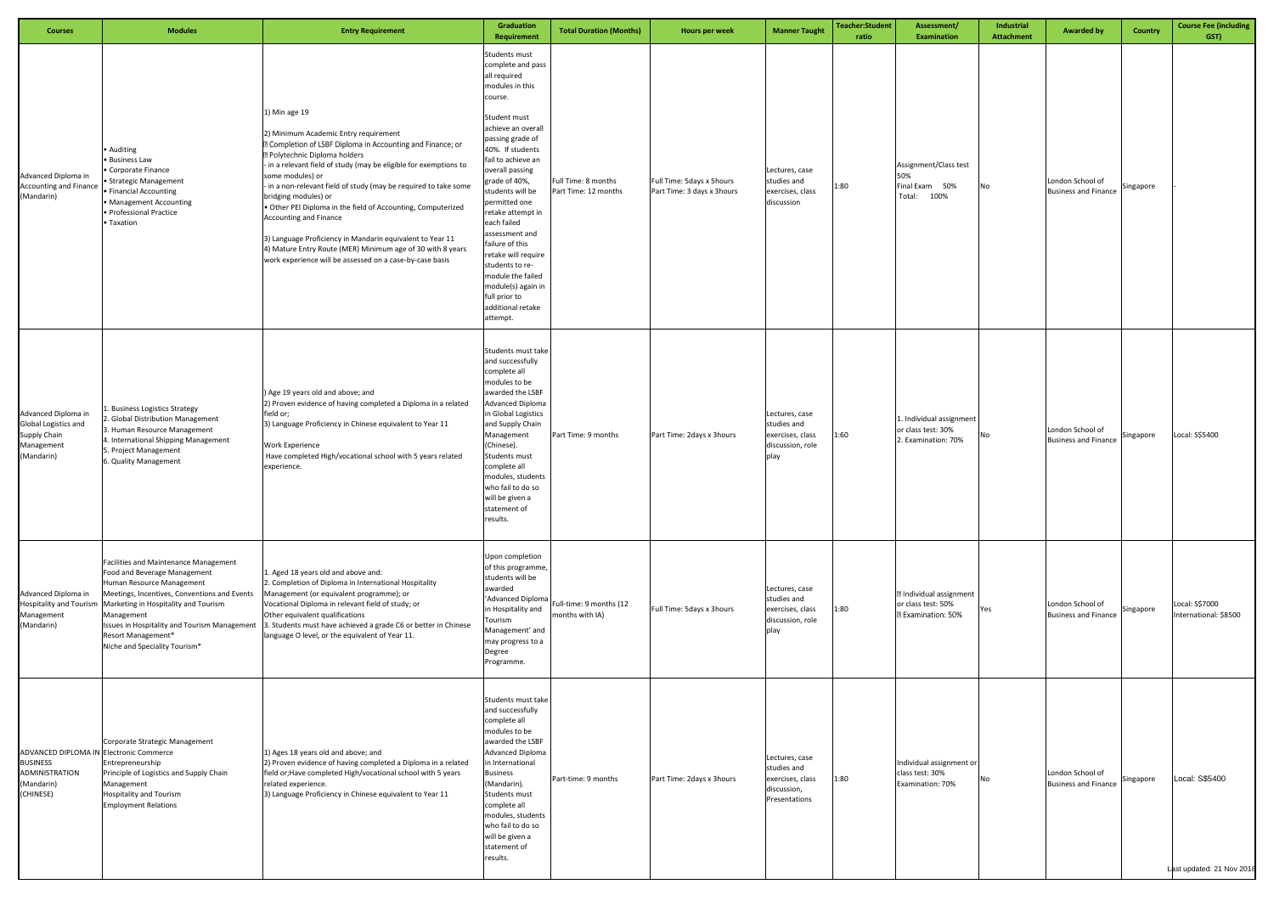| <b>Courses</b>                                                                                                 | <b>Modules</b>                                                                                                                                                                                                                                                  | <b>Entry Requirement</b>                                                                                                                                                                                                                                                                                                                                                                                                                                                                                                                                                                                                                         | Graduation<br>Requirement                                                                                                                                                                                                                                                                                                                                                                                                                                                     | <b>Total Duration (Months)</b>              | Hours per week                                          | <b>Manner Taught</b>                                                              | Teacher:Student<br>ratio | Assessment/<br><b>Examination</b>                                                 | Industrial<br><b>Attachment</b> | <b>Awarded by</b>                               | Country   | <b>Course Fee (including</b><br>GST)        |
|----------------------------------------------------------------------------------------------------------------|-----------------------------------------------------------------------------------------------------------------------------------------------------------------------------------------------------------------------------------------------------------------|--------------------------------------------------------------------------------------------------------------------------------------------------------------------------------------------------------------------------------------------------------------------------------------------------------------------------------------------------------------------------------------------------------------------------------------------------------------------------------------------------------------------------------------------------------------------------------------------------------------------------------------------------|-------------------------------------------------------------------------------------------------------------------------------------------------------------------------------------------------------------------------------------------------------------------------------------------------------------------------------------------------------------------------------------------------------------------------------------------------------------------------------|---------------------------------------------|---------------------------------------------------------|-----------------------------------------------------------------------------------|--------------------------|-----------------------------------------------------------------------------------|---------------------------------|-------------------------------------------------|-----------|---------------------------------------------|
| Advanced Diploma in<br><b>Accounting and Finance</b><br>(Mandarin)                                             | Auditing<br>· Business Law<br>Corporate Finance<br>• Strategic Management<br>• Financial Accounting<br>• Management Accounting<br>· Professional Practice<br>Taxation                                                                                           | 1) Min age 19<br>2) Minimum Academic Entry requirement<br><b>Z</b> Completion of LSBF Diploma in Accounting and Finance; or<br><b>2 Polytechnic Diploma holders</b><br>- in a relevant field of study (may be eligible for exemptions to<br>some modules) or<br>- in a non-relevant field of study (may be required to take some<br>bridging modules) or<br>. Other PEI Diploma in the field of Accounting, Computerized<br><b>Accounting and Finance</b><br>3) Language Proficiency in Mandarin equivalent to Year 11<br>4) Mature Entry Route (MER) Minimum age of 30 with 8 years<br>work experience will be assessed on a case-by-case basis | Students must<br>complete and pass<br>all required<br>modules in this<br>course.<br>Student must<br>achieve an overall<br>passing grade of<br>40%. If students<br>fail to achieve an<br>overall passing<br>grade of 40%,<br>students will be<br>permitted one<br>retake attempt in<br>each failed<br>assessment and<br>failure of this<br>retake will require<br>students to re-<br>module the failed<br>module(s) again in<br>full prior to<br>additional retake<br>attempt. | Full Time: 8 months<br>Part Time: 12 months | Full Time: 5days x 5hours<br>Part Time: 3 days x 3hours | Lectures, case<br>studies and<br>exercises, class<br>discussion                   | 1:80                     | Assignment/Class test<br>50%<br>Final Exam 50%<br>Total:<br>100%                  | No                              | London School of<br><b>Business and Finance</b> | Singapore |                                             |
| Advanced Diploma in<br>Global Logistics and<br>Supply Chain<br>Management<br>(Mandarin)                        | . Business Logistics Strategy<br>2. Global Distribution Management<br>3. Human Resource Management<br>4. International Shipping Management<br>5. Project Management<br>5. Quality Management                                                                    | ) Age 19 years old and above; and<br>2) Proven evidence of having completed a Diploma in a related<br>field or;<br>3) Language Proficiency in Chinese equivalent to Year 11<br><b>Work Experience</b><br>Have completed High/vocational school with 5 years related<br>experience.                                                                                                                                                                                                                                                                                                                                                               | Students must take<br>and successfully<br>complete all<br>modules to be<br>awarded the LSBF<br><b>Advanced Diploma</b><br>in Global Logistics<br>and Supply Chain<br>Management<br>(Chinese).<br>Students must<br>complete all<br>modules, students<br>who fail to do so<br>will be given a<br>statement of<br>results.                                                                                                                                                       | Part Time: 9 months                         | Part Time: 2days x 3hours                               | Lectures, case<br>studies and<br>exercises, class<br>discussion, role<br>play     | 1:60                     | 1. Individual assignment<br>or class test: 30%<br>2. Examination: 70%             | No                              | London School of<br><b>Business and Finance</b> | Singapore | Local: S\$5400                              |
| Advanced Diploma in<br><b>Hospitality and Tourism</b><br>Management<br>(Mandarin)                              | Facilities and Maintenance Management<br>Food and Beverage Management<br>Human Resource Management<br>Meetings, Incentives, Conventions and Events<br>Marketing in Hospitality and Tourism<br>Management<br>Resort Management*<br>Niche and Speciality Tourism* | 1. Aged 18 years old and above and:<br>2. Completion of Diploma in International Hospitality<br>Management (or equivalent programme); or<br>Vocational Diploma in relevant field of study; or<br>Other equivalent qualifications<br>Issues in Hospitality and Tourism Management 3. Students must have achieved a grade C6 or better in Chinese<br>language O level, or the equivalent of Year 11.                                                                                                                                                                                                                                               | Upon completion<br>of this programme,<br>students will be<br>awarded<br>'Advanced Diploma<br>in Hospitality and<br>Tourism<br>Management' and<br>may progress to a<br>Degree<br>Programme.                                                                                                                                                                                                                                                                                    | Full-time: 9 months (12<br>months with IA)  | Full Time: 5days x 3hours                               | Lectures, case<br>studies and<br>exercises, class<br>discussion, role<br>play     | 1:80                     | <b>Z</b> Individual assignment<br>or class test: 50%<br><b>2 Examination: 50%</b> | Yes                             | London School of<br><b>Business and Finance</b> | Singapore | Local: S\$7000<br>International: \$8500     |
| ADVANCED DIPLOMA IN Electronic Commerce<br><b>BUSINESS</b><br><b>ADMINISTRATION</b><br>(Mandarin)<br>(CHINESE) | Corporate Strategic Management<br>Entrepreneurship<br>Principle of Logistics and Supply Chain<br>Management<br><b>Hospitality and Tourism</b><br><b>Employment Relations</b>                                                                                    | 1) Ages 18 years old and above; and<br>2) Proven evidence of having completed a Diploma in a related<br>field or; Have completed High/vocational school with 5 years<br>related experience.<br>3) Language Proficiency in Chinese equivalent to Year 11                                                                                                                                                                                                                                                                                                                                                                                          | Students must take<br>and successfully<br>complete all<br>modules to be<br>awarded the LSBF<br><b>Advanced Diploma</b><br>in International<br><b>Business</b><br>(Mandarin).<br>Students must<br>complete all<br>modules, students<br>who fail to do so<br>will be given a<br>statement of<br>results.                                                                                                                                                                        | Part-time: 9 months                         | Part Time: 2days x 3hours                               | Lectures, case<br>studies and<br>exercises, class<br>discussion,<br>Presentations | 1:80                     | Individual assignment or<br>class test: 30%<br>Examination: 70%                   | No                              | London School of<br><b>Business and Finance</b> | Singapore | Local: S\$5400<br>Last updated: 21 Nov 2018 |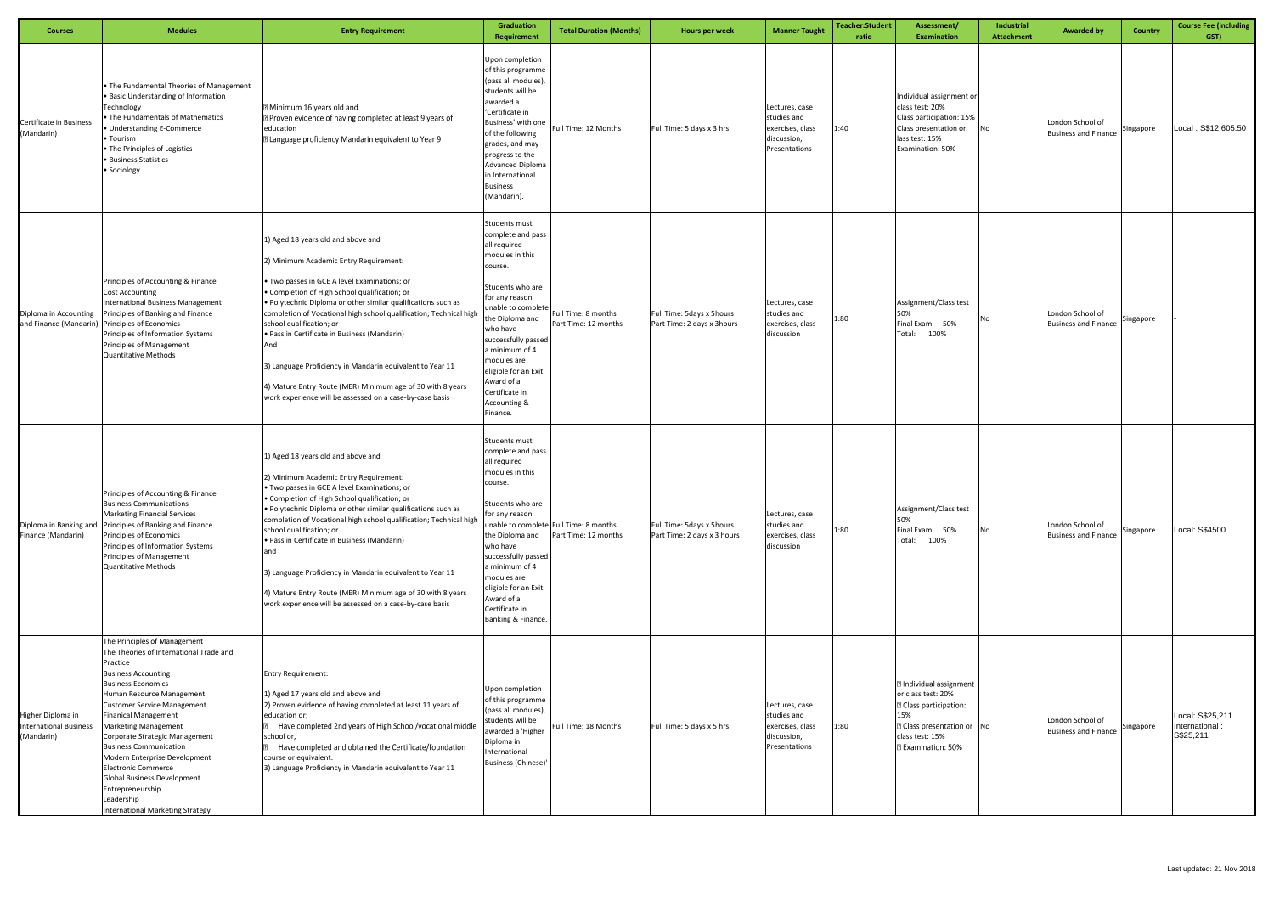| <b>Courses</b>                                                   | <b>Modules</b>                                                                                                                                                                                                                                                                                                                                                                                                                                                                                                                       | <b>Entry Requirement</b>                                                                                                                                                                                                                                                                                                                                                                                                                                                                                                                                                                       | Graduation<br>Requirement                                                                                                                                                                                                                                                                                              | <b>Total Duration (Months)</b>                                 | Hours per week                                           | <b>Manner Taught</b>                                                              | <b>Teacher:Student</b><br>ratio | Assessment/<br><b>Examination</b>                                                                                                                                                 | Industrial<br>Attachment | <b>Awarded by</b>                               | Country   | <b>Course Fee (including</b><br>GST)            |
|------------------------------------------------------------------|--------------------------------------------------------------------------------------------------------------------------------------------------------------------------------------------------------------------------------------------------------------------------------------------------------------------------------------------------------------------------------------------------------------------------------------------------------------------------------------------------------------------------------------|------------------------------------------------------------------------------------------------------------------------------------------------------------------------------------------------------------------------------------------------------------------------------------------------------------------------------------------------------------------------------------------------------------------------------------------------------------------------------------------------------------------------------------------------------------------------------------------------|------------------------------------------------------------------------------------------------------------------------------------------------------------------------------------------------------------------------------------------------------------------------------------------------------------------------|----------------------------------------------------------------|----------------------------------------------------------|-----------------------------------------------------------------------------------|---------------------------------|-----------------------------------------------------------------------------------------------------------------------------------------------------------------------------------|--------------------------|-------------------------------------------------|-----------|-------------------------------------------------|
| Certificate in Business<br>(Mandarin)                            | . The Fundamental Theories of Management<br>· Basic Understanding of Information<br>Technology<br>The Fundamentals of Mathematics<br>Understanding E-Commerce<br>Tourism<br>. The Principles of Logistics<br><b>Business Statistics</b><br>Sociology                                                                                                                                                                                                                                                                                 | Minimum 16 years old and<br><b>D</b> Proven evidence of having completed at least 9 years of<br>education<br><b>D</b> Language proficiency Mandarin equivalent to Year 9                                                                                                                                                                                                                                                                                                                                                                                                                       | Upon completion<br>of this programme<br>(pass all modules),<br>students will be<br>awarded a<br>'Certificate in<br>Business' with one<br>of the following<br>grades, and may<br>progress to the<br><b>Advanced Diploma</b><br>in International<br>Business<br>(Mandarin).                                              | Full Time: 12 Months                                           | Full Time: 5 days x 3 hrs                                | Lectures, case<br>studies and<br>exercises, class<br>discussion,<br>Presentations | 1:40                            | Individual assignment or<br>class test: 20%<br>Class participation: 15%<br>Class presentation or<br>lass test: 15%<br>Examination: 50%                                            | No                       | London School of<br><b>Business and Finance</b> | Singapore | Local: S\$12,605.50                             |
| Diploma in Accounting<br>and Finance (Mandarin)                  | Principles of Accounting & Finance<br>Cost Accounting<br><b>International Business Management</b><br>Principles of Banking and Finance<br>Principles of Economics<br>Principles of Information Systems<br><b>Principles of Management</b><br><b>Quantitative Methods</b>                                                                                                                                                                                                                                                             | 1) Aged 18 years old and above and<br>2) Minimum Academic Entry Requirement:<br>• Two passes in GCE A level Examinations; or<br>• Completion of High School qualification; or<br>. Polytechnic Diploma or other similar qualifications such as<br>completion of Vocational high school qualification; Technical high<br>school qualification; or<br>. Pass in Certificate in Business (Mandarin)<br>And<br>3) Language Proficiency in Mandarin equivalent to Year 11<br>4) Mature Entry Route (MER) Minimum age of 30 with 8 years<br>work experience will be assessed on a case-by-case basis | Students must<br>complete and pass<br>all required<br>modules in this<br>course.<br>Students who are<br>for any reason<br>unable to complete<br>he Diploma and<br>who have<br>successfully passed<br>a minimum of 4<br>modules are<br>eligible for an Exit<br>Award of a<br>Certificate in<br>Accounting &<br>Finance. | Full Time: 8 months<br>Part Time: 12 months                    | Full Time: 5days x 5hours<br>Part Time: 2 days x 3hours  | Lectures, case<br>studies and<br>exercises, class<br>discussion                   | 1:80                            | Assignment/Class test<br>50%<br>Final Exam 50%<br>Total: 100%                                                                                                                     | No                       | London School of<br><b>Business and Finance</b> | Singapore |                                                 |
| Diploma in Banking and<br>Finance (Mandarin)                     | Principles of Accounting & Finance<br><b>Business Communications</b><br><b>Marketing Financial Services</b><br>Principles of Banking and Finance<br>Principles of Economics<br>Principles of Information Systems<br><b>Principles of Management</b><br><b>Quantitative Methods</b>                                                                                                                                                                                                                                                   | 1) Aged 18 years old and above and<br>2) Minimum Academic Entry Requirement:<br>• Two passes in GCE A level Examinations; or<br>Completion of High School qualification; or<br>. Polytechnic Diploma or other similar qualifications such as<br>completion of Vocational high school qualification; Technical high<br>school qualification; or<br>. Pass in Certificate in Business (Mandarin)<br>and<br>3) Language Proficiency in Mandarin equivalent to Year 11<br>4) Mature Entry Route (MER) Minimum age of 30 with 8 years<br>work experience will be assessed on a case-by-case basis   | <b>Students must</b><br>complete and pass<br>all required<br>modules in this<br>course.<br>Students who are<br>for any reason<br>the Diploma and<br>who have<br>successfully passed<br>a minimum of 4<br>modules are<br>eligible for an Exit<br>Award of a<br>Certificate in<br>Banking & Finance.                     | unable to complete Full Time: 8 months<br>Part Time: 12 months | Full Time: 5days x 5hours<br>Part Time: 2 days x 3 hours | ectures, case.<br>studies and<br>exercises, class<br>discussion                   | 1:80                            | Assignment/Class test<br>50%<br>Final Exam 50%<br>Total: 100%                                                                                                                     | No                       | London School of<br><b>Business and Finance</b> | Singapore | Local: S\$4500                                  |
| Higher Diploma in<br><b>International Business</b><br>(Mandarin) | The Principles of Management<br>The Theories of International Trade and<br>Practice<br><b>Business Accounting</b><br><b>Business Economics</b><br>Human Resource Management<br><b>Customer Service Management</b><br><b>Finanical Management</b><br><b>Marketing Management</b><br>Corporate Strategic Management<br><b>Business Communication</b><br>Modern Enterprise Development<br><b>Electronic Commerce</b><br><b>Global Business Development</b><br>Entrepreneurship<br>Leadership<br><b>International Marketing Strategy</b> | <b>Entry Requirement:</b><br>1) Aged 17 years old and above and<br>2) Proven evidence of having completed at least 11 years of<br>education or;<br>Have completed 2nd years of High School/vocational middle<br>school or,<br>Have completed and obtained the Certificate/foundation<br>course or equivalent.<br>3) Language Proficiency in Mandarin equivalent to Year 11                                                                                                                                                                                                                     | Upon completion<br>of this programme<br>(pass all modules),<br>students will be<br>awarded a 'Higher<br>Diploma in<br>nternational<br><b>Business (Chinese)</b>                                                                                                                                                        | Full Time: 18 Months                                           | Full Time: 5 days x 5 hrs                                | Lectures, case<br>studies and<br>exercises, class<br>discussion,<br>Presentations | 1:80                            | <b>Z</b> Individual assignment<br>or class test: 20%<br><b>Z</b> Class participation:<br>15%<br><b>Z</b> Class presentation or No<br>class test: 15%<br><b>Z Examination: 50%</b> |                          | London School of<br><b>Business and Finance</b> | Singapore | Local: S\$25,211<br>International:<br>S\$25,211 |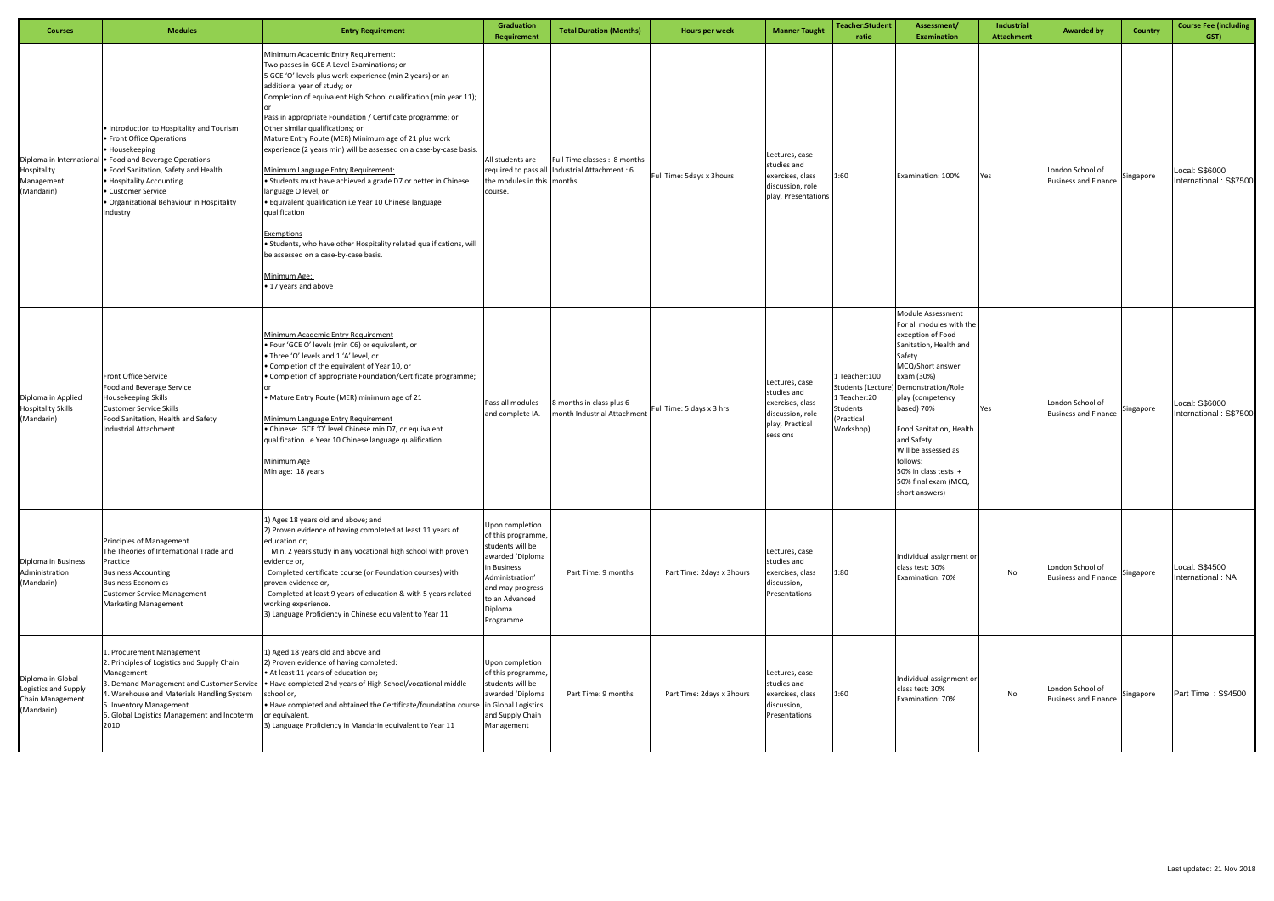| <b>Courses</b>                                                              | <b>Modules</b>                                                                                                                                                                                                                                                                | <b>Entry Requirement</b>                                                                                                                                                                                                                                                                                                                                                                                                                                                                                                                                                                                                                                                                                                                                                                                                                                             | Graduation<br><b>Requirement</b>                                                                                                                                              | <b>Total Duration (Months)</b>                          | Hours per week            | <b>Manner Taught</b>                                                                                 | Teacher:Student<br>ratio                                              | Assessment/<br><b>Examination</b>                                                                                                                                                                                                                                                                                                                                        | Industrial<br><b>Attachment</b> | <b>Awarded by</b>                               | Country   | <b>Course Fee (including</b><br>GST)     |
|-----------------------------------------------------------------------------|-------------------------------------------------------------------------------------------------------------------------------------------------------------------------------------------------------------------------------------------------------------------------------|----------------------------------------------------------------------------------------------------------------------------------------------------------------------------------------------------------------------------------------------------------------------------------------------------------------------------------------------------------------------------------------------------------------------------------------------------------------------------------------------------------------------------------------------------------------------------------------------------------------------------------------------------------------------------------------------------------------------------------------------------------------------------------------------------------------------------------------------------------------------|-------------------------------------------------------------------------------------------------------------------------------------------------------------------------------|---------------------------------------------------------|---------------------------|------------------------------------------------------------------------------------------------------|-----------------------------------------------------------------------|--------------------------------------------------------------------------------------------------------------------------------------------------------------------------------------------------------------------------------------------------------------------------------------------------------------------------------------------------------------------------|---------------------------------|-------------------------------------------------|-----------|------------------------------------------|
| Diploma in International<br>Hospitality<br>Management<br>(Mandarin)         | • Introduction to Hospitality and Tourism<br>• Front Office Operations<br>• Housekeeping<br>• Food and Beverage Operations<br>• Food Sanitation, Safety and Health<br>• Hospitality Accounting<br>• Customer Service<br>· Organizational Behaviour in Hospitality<br>Industry | Minimum Academic Entry Requirement:<br>Two passes in GCE A Level Examinations; or<br>5 GCE 'O' levels plus work experience (min 2 years) or an<br>additional year of study; or<br>Completion of equivalent High School qualification (min year 11);<br>Pass in appropriate Foundation / Certificate programme; or<br>Other similar qualifications; or<br>Mature Entry Route (MER) Minimum age of 21 plus work<br>experience (2 years min) will be assessed on a case-by-case basis.<br>Minimum Language Entry Requirement:<br>• Students must have achieved a grade D7 or better in Chinese<br>language O level, or<br>· Equivalent qualification i.e Year 10 Chinese language<br>qualification<br>Exemptions<br>• Students, who have other Hospitality related qualifications, will<br>be assessed on a case-by-case basis.<br>Minimum Age:<br>• 17 years and above | All students are<br>required to pass all<br>the modules in this months<br>course.                                                                                             | Full Time classes: 8 months<br>Industrial Attachment: 6 | Full Time: 5days x 3hours | Lectures, case<br>studies and<br>exercises, class<br>discussion, role<br>play, Presentations         | 1:60                                                                  | Examination: 100%                                                                                                                                                                                                                                                                                                                                                        | Yes                             | London School of<br><b>Business and Finance</b> | Singapore | Local: S\$6000<br>International: S\$7500 |
| Diploma in Applied<br><b>Hospitality Skills</b><br>(Mandarin)               | Front Office Service<br>Food and Beverage Service<br>Housekeeping Skills<br><b>Customer Service Skills</b><br>Food Sanitation, Health and Safety<br><b>Industrial Attachment</b>                                                                                              | <b>Minimum Academic Entry Requirement</b><br>. Four 'GCE O' levels (min C6) or equivalent, or<br>. Three 'O' levels and 1 'A' level, or<br>• Completion of the equivalent of Year 10, or<br>• Completion of appropriate Foundation/Certificate programme;<br>• Mature Entry Route (MER) minimum age of 21<br>Minimum Language Entry Requirement<br>• Chinese: GCE 'O' level Chinese min D7, or equivalent<br>qualification i.e Year 10 Chinese language qualification.<br>Minimum Age<br>Min age: 18 years                                                                                                                                                                                                                                                                                                                                                           | Pass all modules<br>and complete IA.                                                                                                                                          | 3 months in class plus 6<br>month Industrial Attachment | Full Time: 5 days x 3 hrs | Lectures, case<br>studies and<br>exercises, class<br>discussion, role<br>play, Practical<br>sessions | 1 Teacher: 100<br>1 Teacher:20<br>Students<br>(Practical<br>Workshop) | <b>Module Assessment</b><br>For all modules with the<br>exception of Food<br>Sanitation, Health and<br>Safety<br>MCQ/Short answer<br>Exam (30%)<br>Students (Lecture) Demonstration/Role<br>play (competency<br>based) 70%<br>Food Sanitation, Health<br>and Safety<br>Will be assessed as<br>follows:<br>50% in class tests +<br>50% final exam (MCQ,<br>short answers) | Yes                             | London School of<br><b>Business and Finance</b> | Singapore | Local: S\$6000<br>International: S\$7500 |
| Diploma in Business<br>Administration<br>(Mandarin)                         | Principles of Management<br>The Theories of International Trade and<br>Practice<br><b>Business Accounting</b><br><b>Business Economics</b><br><b>Customer Service Management</b><br><b>Marketing Management</b>                                                               | 1) Ages 18 years old and above; and<br>2) Proven evidence of having completed at least 11 years of<br>education or;<br>Min. 2 years study in any vocational high school with proven<br>evidence or,<br>Completed certificate course (or Foundation courses) with<br>proven evidence or,<br>Completed at least 9 years of education & with 5 years related<br>working experience.<br>3) Language Proficiency in Chinese equivalent to Year 11                                                                                                                                                                                                                                                                                                                                                                                                                         | Jpon completion<br>of this programme<br>students will be<br>awarded 'Diploma<br>in Business<br>Administration'<br>and may progress<br>to an Advanced<br>Diploma<br>Programme. | Part Time: 9 months                                     | Part Time: 2days x 3hours | Lectures, case<br>studies and<br>exercises, class<br>discussion,<br>Presentations                    | 1:80                                                                  | Individual assignment or<br>class test: 30%<br>Examination: 70%                                                                                                                                                                                                                                                                                                          | No                              | London School of<br><b>Business and Finance</b> | Singapore | Local: S\$4500<br>International: NA      |
| Diploma in Global<br>Logistics and Supply<br>Chain Management<br>(Mandarin) | 1. Procurement Management<br>2. Principles of Logistics and Supply Chain<br>Management<br>4. Warehouse and Materials Handling System<br>5. Inventory Management<br>6. Global Logistics Management and Incoterm<br>2010                                                        | 1) Aged 18 years old and above and<br>2) Proven evidence of having completed:<br>• At least 11 years of education or;<br>3. Demand Management and Customer Service   • Have completed 2nd years of High School/vocational middle<br>school or,<br>. Have completed and obtained the Certificate/foundation course in Global Logistics<br>or equivalent.<br>3) Language Proficiency in Mandarin equivalent to Year 11                                                                                                                                                                                                                                                                                                                                                                                                                                                 | Jpon completion<br>of this programme,<br>students will be<br>awarded 'Diploma<br>and Supply Chain<br>Management                                                               | Part Time: 9 months                                     | Part Time: 2days x 3hours | Lectures, case<br>studies and<br>exercises, class<br>discussion,<br>Presentations                    | 1:60                                                                  | Individual assignment or<br>class test: 30%<br>Examination: 70%                                                                                                                                                                                                                                                                                                          | No                              | London School of<br><b>Business and Finance</b> | Singapore | Part Time: S\$4500                       |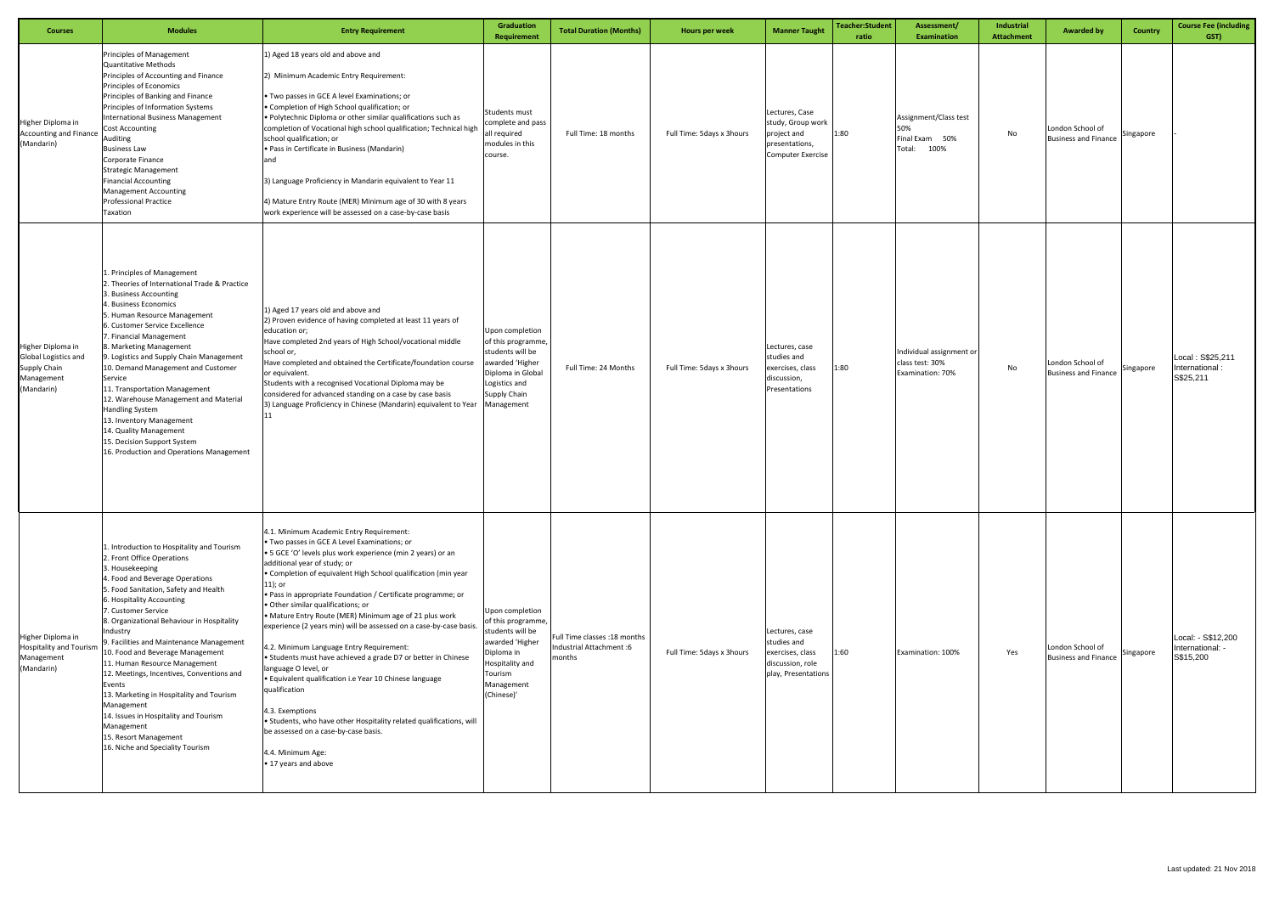| <b>Courses</b>                                                                               | <b>Modules</b>                                                                                                                                                                                                                                                                                                                                                                                                                                                                                                                                                                                                                              | <b>Entry Requirement</b>                                                                                                                                                                                                                                                                                                                                                                                                                                                                                                                                                                                                                                                                                                                                                                                                                                                                                      | <b>Graduation</b><br><b>Requirement</b>                                                                                                              | <b>Total Duration (Months)</b>                                    | Hours per week            | <b>Manner Taught</b>                                                                             | Teacher:Student<br>ratio | Assessment/<br><b>Examination</b>                                | <b>Industrial</b><br><b>Attachment</b> | <b>Awarded by</b>                                  | <b>Country</b> | <b>Course Fee (including</b><br>GST)                |
|----------------------------------------------------------------------------------------------|---------------------------------------------------------------------------------------------------------------------------------------------------------------------------------------------------------------------------------------------------------------------------------------------------------------------------------------------------------------------------------------------------------------------------------------------------------------------------------------------------------------------------------------------------------------------------------------------------------------------------------------------|---------------------------------------------------------------------------------------------------------------------------------------------------------------------------------------------------------------------------------------------------------------------------------------------------------------------------------------------------------------------------------------------------------------------------------------------------------------------------------------------------------------------------------------------------------------------------------------------------------------------------------------------------------------------------------------------------------------------------------------------------------------------------------------------------------------------------------------------------------------------------------------------------------------|------------------------------------------------------------------------------------------------------------------------------------------------------|-------------------------------------------------------------------|---------------------------|--------------------------------------------------------------------------------------------------|--------------------------|------------------------------------------------------------------|----------------------------------------|----------------------------------------------------|----------------|-----------------------------------------------------|
| Higher Diploma in<br><b>Accounting and Finance</b><br>(Mandarin)                             | Principles of Management<br><b>Quantitative Methods</b><br>Principles of Accounting and Finance<br>Principles of Economics<br>Principles of Banking and Finance<br>Principles of Information Systems<br><b>International Business Management</b><br><b>Cost Accounting</b><br>Auditing<br><b>Business Law</b><br>Corporate Finance<br><b>Strategic Management</b><br><b>Financial Accounting</b><br><b>Management Accounting</b><br><b>Professional Practice</b><br>Taxation                                                                                                                                                                | 1) Aged 18 years old and above and<br>2) Minimum Academic Entry Requirement:<br>. Two passes in GCE A level Examinations; or<br>• Completion of High School qualification; or<br>. Polytechnic Diploma or other similar qualifications such as<br>completion of Vocational high school qualification; Technical high<br>school qualification; or<br>• Pass in Certificate in Business (Mandarin)<br>and<br>3) Language Proficiency in Mandarin equivalent to Year 11<br>4) Mature Entry Route (MER) Minimum age of 30 with 8 years<br>work experience will be assessed on a case-by-case basis                                                                                                                                                                                                                                                                                                                | Students must<br>complete and pass<br>all required<br>modules in this<br>course.                                                                     | Full Time: 18 months                                              | Full Time: 5days x 3hours | Lectures, Case<br>study, Group work<br>project and<br>presentations,<br><b>Computer Exercise</b> | 1:80                     | Assignment/Class test<br>50%<br>Final Exam 50%<br>Total:<br>100% | No                                     | London School of<br><b>Business and Finance</b>    | Singapore      |                                                     |
| Higher Diploma in<br><b>Global Logistics and</b><br>Supply Chain<br>Management<br>(Mandarin) | 1. Principles of Management<br>2. Theories of International Trade & Practice<br>3. Business Accounting<br>4. Business Economics<br>5. Human Resource Management<br>6. Customer Service Excellence<br>7. Financial Management<br>8. Marketing Management<br>9. Logistics and Supply Chain Management<br>10. Demand Management and Customer<br>Service<br>11. Transportation Management<br>12. Warehouse Management and Material<br>Handling System<br>13. Inventory Management<br>14. Quality Management<br>15. Decision Support System<br>16. Production and Operations Management                                                          | 1) Aged 17 years old and above and<br>2) Proven evidence of having completed at least 11 years of<br>education or;<br>Have completed 2nd years of High School/vocational middle<br>school or,<br>Have completed and obtained the Certificate/foundation course<br>or equivalent.<br>Students with a recognised Vocational Diploma may be<br>considered for advanced standing on a case by case basis<br>3) Language Proficiency in Chinese (Mandarin) equivalent to Year                                                                                                                                                                                                                                                                                                                                                                                                                                      | Upon completion<br>of this programme,<br>students will be<br>awarded 'Higher<br>Diploma in Global<br>Logistics and<br>Supply Chain<br>Management     | Full Time: 24 Months                                              | Full Time: 5days x 3hours | Lectures, case<br>studies and<br>xercises, class<br>discussion,<br>Presentations                 | 1:80                     | Individual assignment or<br>class test: 30%<br>Examination: 70%  | No                                     | London School of<br><b>Business and Finance</b>    | Singapore      | Local: S\$25,211<br>International:<br>S\$25,211     |
| Higher Diploma in<br><b>Hospitality and Tourism</b><br>Management<br>(Mandarin)              | 1. Introduction to Hospitality and Tourism<br>2. Front Office Operations<br>3. Housekeeping<br>4. Food and Beverage Operations<br>5. Food Sanitation, Safety and Health<br>6. Hospitality Accounting<br>7. Customer Service<br>8. Organizational Behaviour in Hospitality<br>Industry<br>9. Facilities and Maintenance Management<br>10. Food and Beverage Management<br>11. Human Resource Management<br>12. Meetings, Incentives, Conventions and<br>Events<br>13. Marketing in Hospitality and Tourism<br>Management<br>14. Issues in Hospitality and Tourism<br>Management<br>15. Resort Management<br>16. Niche and Speciality Tourism | 4.1. Minimum Academic Entry Requirement:<br>. Two passes in GCE A Level Examinations; or<br>• 5 GCE 'O' levels plus work experience (min 2 years) or an<br>additional year of study; or<br>. Completion of equivalent High School qualification (min year<br>$11$ ); or<br>. Pass in appropriate Foundation / Certificate programme; or<br>. Other similar qualifications; or<br>• Mature Entry Route (MER) Minimum age of 21 plus work<br>experience (2 years min) will be assessed on a case-by-case basis.<br>4.2. Minimum Language Entry Requirement:<br>• Students must have achieved a grade D7 or better in Chinese<br>language O level, or<br>· Equivalent qualification i.e Year 10 Chinese language<br>qualification<br>4.3. Exemptions<br>• Students, who have other Hospitality related qualifications, will<br>be assessed on a case-by-case basis.<br>4.4. Minimum Age:<br>• 17 years and above | Upon completion<br>of this programme,<br>students will be<br>awarded 'Higher<br>Diploma in<br>Hospitality and<br>Tourism<br>Management<br>(Chinese)' | ull Time classes :18 months<br>Industrial Attachment :6<br>months | Full Time: 5days x 3hours | Lectures, case<br>studies and<br>exercises, class<br>discussion, role<br>play, Presentations     | 1:60                     | Examination: 100%                                                | Yes                                    | London School of<br>Business and Finance Singapore |                | Local: - S\$12,200<br>International: -<br>S\$15,200 |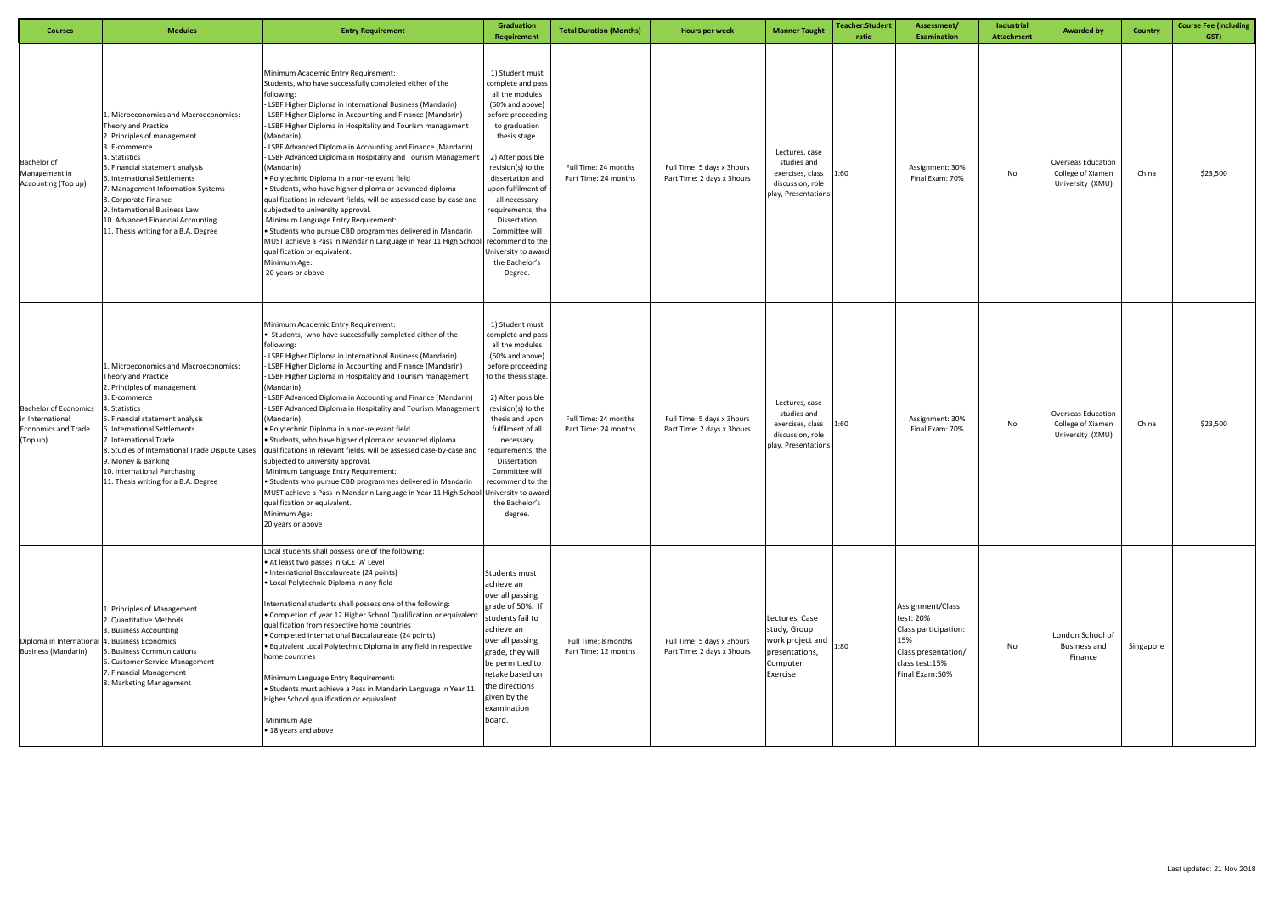| <b>Courses</b>                                                                             | <b>Modules</b>                                                                                                                                                                                                                                                                                                                                                           | <b>Entry Requirement</b>                                                                                                                                                                                                                                                                                                                                                                                                                                                                                                                                                                                                                                                                                                                                                                                                                                                                                                                                 | Graduation<br>Requirement                                                                                                                                                                                                                                                                                                                                             | <b>Total Duration (Months)</b>               | Hours per week                                           | <b>Manner Taught</b>                                                                                        | <b>Teacher:Student</b><br>ratio | Assessment/<br><b>Examination</b>                                                                                       | Industrial<br>Attachment | <b>Awarded by</b>                                                  | <b>Country</b> | <b>Course Fee (including</b><br>GST) |
|--------------------------------------------------------------------------------------------|--------------------------------------------------------------------------------------------------------------------------------------------------------------------------------------------------------------------------------------------------------------------------------------------------------------------------------------------------------------------------|----------------------------------------------------------------------------------------------------------------------------------------------------------------------------------------------------------------------------------------------------------------------------------------------------------------------------------------------------------------------------------------------------------------------------------------------------------------------------------------------------------------------------------------------------------------------------------------------------------------------------------------------------------------------------------------------------------------------------------------------------------------------------------------------------------------------------------------------------------------------------------------------------------------------------------------------------------|-----------------------------------------------------------------------------------------------------------------------------------------------------------------------------------------------------------------------------------------------------------------------------------------------------------------------------------------------------------------------|----------------------------------------------|----------------------------------------------------------|-------------------------------------------------------------------------------------------------------------|---------------------------------|-------------------------------------------------------------------------------------------------------------------------|--------------------------|--------------------------------------------------------------------|----------------|--------------------------------------|
| Bachelor of<br>Management in<br>Accounting (Top up)                                        | Microeconomics and Macroeconomics:<br>Theory and Practice<br>2. Principles of management<br>3. E-commerce<br>4. Statistics<br>5. Financial statement analysis<br>6. International Settlements<br>. Management Information Systems<br>8. Corporate Finance<br>9. International Business Law<br>10. Advanced Financial Accounting<br>11. Thesis writing for a B.A. Degree  | Minimum Academic Entry Requirement:<br>Students, who have successfully completed either of the<br>following:<br>- LSBF Higher Diploma in International Business (Mandarin)<br>LSBF Higher Diploma in Accounting and Finance (Mandarin)<br>LSBF Higher Diploma in Hospitality and Tourism management<br>(Mandarin)<br>LSBF Advanced Diploma in Accounting and Finance (Mandarin)<br>LSBF Advanced Diploma in Hospitality and Tourism Management<br>(Mandarin)<br>· Polytechnic Diploma in a non-relevant field<br>• Students, who have higher diploma or advanced diploma<br>qualifications in relevant fields, will be assessed case-by-case and<br>subjected to university approval.<br>Minimum Language Entry Requirement:<br>• Students who pursue CBD programmes delivered in Mandarin<br>MUST achieve a Pass in Mandarin Language in Year 11 High School<br>qualification or equivalent.<br>Minimum Age:<br>20 years or above                       | 1) Student must<br>complete and pass<br>all the modules<br>(60% and above)<br>before proceeding<br>to graduation<br>thesis stage.<br>2) After possible<br>revision(s) to the<br>dissertation and<br>upon fulfilment of<br>all necessary<br>equirements, the<br>Dissertation<br>Committee will<br>recommend to the<br>Jniversity to award<br>the Bachelor's<br>Degree. | Full Time: 24 months<br>Part Time: 24 months | Full Time: 5 days x 3hours<br>Part Time: 2 days x 3hours | Lectures, case<br>studies and<br>exercises, class<br>discussion, role<br>play, Presentations                | 1:60                            | Assignment: 30%<br>Final Exam: 70%                                                                                      | No                       | Overseas Education<br>College of Xiamen<br>University (XMU)        | China          | \$23,500                             |
| <b>Bachelor of Economics</b><br>in International<br><b>Economics and Trade</b><br>(Top up) | Microeconomics and Macroeconomics:<br>Theory and Practice<br>2. Principles of management<br>3. E-commerce<br>4. Statistics<br>5. Financial statement analysis<br>6. International Settlements<br>7. International Trade<br>8. Studies of International Trade Dispute Cases<br>9. Money & Banking<br>10. International Purchasing<br>11. Thesis writing for a B.A. Degree | Minimum Academic Entry Requirement:<br>• Students, who have successfully completed either of the<br>following:<br>LSBF Higher Diploma in International Business (Mandarin)<br>LSBF Higher Diploma in Accounting and Finance (Mandarin)<br>LSBF Higher Diploma in Hospitality and Tourism management<br>(Mandarin)<br>- LSBF Advanced Diploma in Accounting and Finance (Mandarin)<br>LSBF Advanced Diploma in Hospitality and Tourism Management<br>(Mandarin)<br>• Polytechnic Diploma in a non-relevant field<br>• Students, who have higher diploma or advanced diploma<br>qualifications in relevant fields, will be assessed case-by-case and<br>subjected to university approval.<br>Minimum Language Entry Requirement:<br>• Students who pursue CBD programmes delivered in Mandarin<br>MUST achieve a Pass in Mandarin Language in Year 11 High School University to award<br>qualification or equivalent.<br>Minimum Age:<br>20 years or above | 1) Student must<br>complete and pass<br>all the modules<br>(60% and above)<br>before proceeding<br>to the thesis stage<br>2) After possible<br>revision(s) to the<br>thesis and upon<br>fulfilment of all<br>necessary<br>equirements, the<br>Dissertation<br>Committee will<br>recommend to the<br>the Bachelor's<br>degree.                                         | Full Time: 24 months<br>Part Time: 24 months | Full Time: 5 days x 3hours<br>Part Time: 2 days x 3hours | Lectures, case<br>studies and<br>exercises, class<br>discussion, role<br>play, Presentations                | 1:60                            | Assignment: 30%<br>Final Exam: 70%                                                                                      | No                       | <b>Overseas Education</b><br>College of Xiamen<br>University (XMU) | China          | \$23,500                             |
| Diploma in International 4. Business Economics<br><b>Business (Mandarin)</b>               | L. Principles of Management<br>2. Quantitative Methods<br>3. Business Accounting<br>5. Business Communications<br>6. Customer Service Management<br>7. Financial Management<br>8. Marketing Management                                                                                                                                                                   | Local students shall possess one of the following:<br>• At least two passes in GCE 'A' Level<br>• International Baccalaureate (24 points)<br>· Local Polytechnic Diploma in any field<br>International students shall possess one of the following:<br>• Completion of year 12 Higher School Qualification or equivalent<br>qualification from respective home countries<br>• Completed International Baccalaureate (24 points)<br>· Equivalent Local Polytechnic Diploma in any field in respective<br>home countries<br>Minimum Language Entry Requirement:<br>• Students must achieve a Pass in Mandarin Language in Year 11<br>Higher School qualification or equivalent.<br>Minimum Age:<br>• 18 years and above                                                                                                                                                                                                                                    | Students must<br>achieve an<br>overall passing<br>grade of 50%. If<br>students fail to<br>achieve an<br>overall passing<br>grade, they will<br>be permitted to<br>retake based on<br>the directions<br>given by the<br>examination<br>board.                                                                                                                          | Full Time: 8 months<br>Part Time: 12 months  | Full Time: 5 days x 3hours<br>Part Time: 2 days x 3hours | Lectures, Case<br>study, Group<br>work project and $\Big _{1:80}$<br>presentations,<br>Computer<br>Exercise |                                 | Assignment/Class<br>test: 20%<br>Class participation:<br>15%<br>Class presentation/<br>class test:15%<br>Final Exam:50% | No                       | London School of<br><b>Business and</b><br>Finance                 | Singapore      |                                      |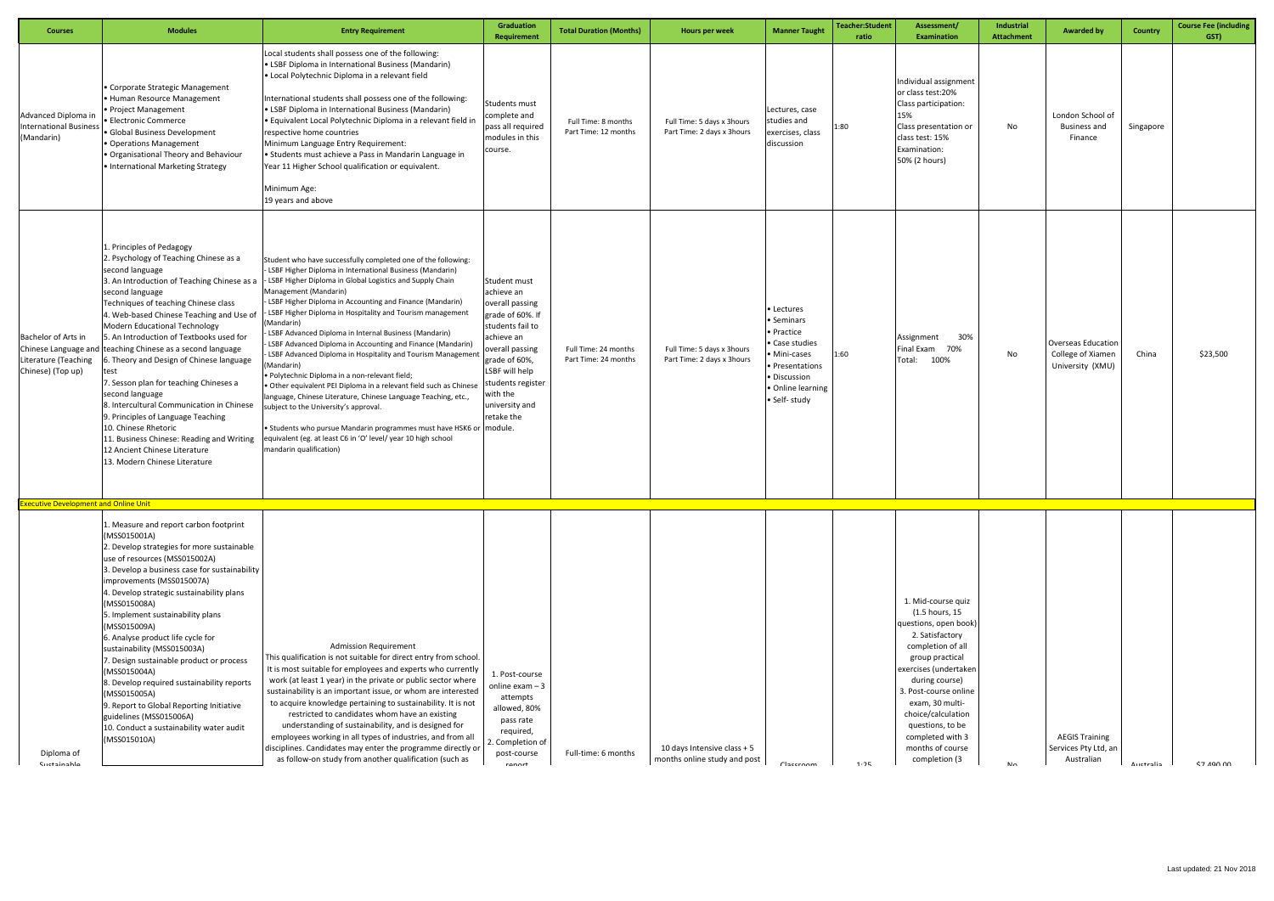| <b>Courses</b>                                                                                                                           | <b>Modules</b>                                                                                                                                                                                                                                                                                                                                                                                                                                                                                                                                                                                                                                                                                               | <b>Entry Requirement</b>                                                                                                                                                                                                                                                                                                                                                                                                                                                                                                                                                                                                                                                                                                                                                                                                                                                                                                                                                | <b>Graduation</b><br><b>Requirement</b>                                                                                                                                                                                    | <b>Total Duration (Months)</b>               | Hours per week                                               | <b>Manner Taught</b>                                                                                                                        | <b>Teacher:Student</b><br>ratio | Assessment/<br><b>Examination</b>                                                                                                                                                                                                                                                                                  | Industrial<br><b>Attachment</b> | <b>Awarded by</b>                                                  | Country   | <b>Course Fee (including</b><br>GST) |
|------------------------------------------------------------------------------------------------------------------------------------------|--------------------------------------------------------------------------------------------------------------------------------------------------------------------------------------------------------------------------------------------------------------------------------------------------------------------------------------------------------------------------------------------------------------------------------------------------------------------------------------------------------------------------------------------------------------------------------------------------------------------------------------------------------------------------------------------------------------|-------------------------------------------------------------------------------------------------------------------------------------------------------------------------------------------------------------------------------------------------------------------------------------------------------------------------------------------------------------------------------------------------------------------------------------------------------------------------------------------------------------------------------------------------------------------------------------------------------------------------------------------------------------------------------------------------------------------------------------------------------------------------------------------------------------------------------------------------------------------------------------------------------------------------------------------------------------------------|----------------------------------------------------------------------------------------------------------------------------------------------------------------------------------------------------------------------------|----------------------------------------------|--------------------------------------------------------------|---------------------------------------------------------------------------------------------------------------------------------------------|---------------------------------|--------------------------------------------------------------------------------------------------------------------------------------------------------------------------------------------------------------------------------------------------------------------------------------------------------------------|---------------------------------|--------------------------------------------------------------------|-----------|--------------------------------------|
| Advanced Diploma in<br><b>International Business</b><br>(Mandarin)                                                                       | • Corporate Strategic Management<br>· Human Resource Management<br>Project Management<br><b>Electronic Commerce</b><br>Global Business Development<br>Operations Management<br>. Organisational Theory and Behaviour<br>• International Marketing Strategy                                                                                                                                                                                                                                                                                                                                                                                                                                                   | Local students shall possess one of the following:<br>• LSBF Diploma in International Business (Mandarin)<br>• Local Polytechnic Diploma in a relevant field<br>International students shall possess one of the following:<br>• LSBF Diploma in International Business (Mandarin)<br>. Equivalent Local Polytechnic Diploma in a relevant field in<br>respective home countries<br>Minimum Language Entry Requirement:<br>• Students must achieve a Pass in Mandarin Language in<br>Year 11 Higher School qualification or equivalent.<br>Minimum Age:<br>19 years and above                                                                                                                                                                                                                                                                                                                                                                                            | Students must<br>complete and<br>pass all required<br>modules in this<br>course.                                                                                                                                           | Full Time: 8 months<br>Part Time: 12 months  | Full Time: 5 days x 3hours<br>Part Time: 2 days x 3hours     | Lectures, case<br>studies and<br>exercises, class<br>discussion                                                                             | 1:80                            | Individual assignment<br>or class test:20%<br>Class participation:<br>15%<br>Class presentation or<br>class test: 15%<br>Examination:<br>50% (2 hours)                                                                                                                                                             | No                              | London School of<br><b>Business and</b><br>Finance                 | Singapore |                                      |
| Bachelor of Arts in<br>Chinese Language and<br>Literature (Teaching<br>Chinese) (Top up)<br><b>Executive Development and Online Unit</b> | 1. Principles of Pedagogy<br>2. Psychology of Teaching Chinese as a<br>second language<br>3. An Introduction of Teaching Chinese as a<br>second language<br>Techniques of teaching Chinese class<br>4. Web-based Chinese Teaching and Use of<br><b>Modern Educational Technology</b><br>5. An Introduction of Textbooks used for<br>teaching Chinese as a second language<br>6. Theory and Design of Chinese language<br>7. Sesson plan for teaching Chineses a<br>second language<br>8. Intercultural Communication in Chinese<br>9. Principles of Language Teaching<br>10. Chinese Rhetoric<br>11. Business Chinese: Reading and Writing<br>12 Ancient Chinese Literature<br>13. Modern Chinese Literature | Student who have successfully completed one of the following:<br>- LSBF Higher Diploma in International Business (Mandarin)<br>- LSBF Higher Diploma in Global Logistics and Supply Chain<br>Management (Mandarin)<br>- LSBF Higher Diploma in Accounting and Finance (Mandarin)<br>LSBF Higher Diploma in Hospitality and Tourism management<br>(Mandarin)<br>LSBF Advanced Diploma in Internal Business (Mandarin)<br>- LSBF Advanced Diploma in Accounting and Finance (Mandarin)<br>LSBF Advanced Diploma in Hospitality and Tourism Management<br>(Mandarin)<br>· Polytechnic Diploma in a non-relevant field;<br>. Other equivalent PEI Diploma in a relevant field such as Chinese<br>language, Chinese Literature, Chinese Language Teaching, etc.,<br>subject to the University's approval.<br>. Students who pursue Mandarin programmes must have HSK6 or module.<br>equivalent (eg. at least C6 in 'O' level/ year 10 high school<br>mandarin qualification) | Student must<br>achieve an<br>overall passing<br>grade of 60%. If<br>students fail to<br>achieve an<br>overall passing<br>grade of 60%,<br>LSBF will help<br>students register<br>with the<br>university and<br>retake the | Full Time: 24 months<br>Part Time: 24 months | Full Time: 5 days x 3hours<br>Part Time: 2 days x 3hours     | • Lectures<br>• Seminars<br>• Practice<br>Case studies<br>Mini-cases<br>Presentations<br>· Discussion<br>• Online learning<br>• Self- study | 1:60                            | 30%<br>Assignment<br>Final Exam<br>70%<br>100%<br>Total:                                                                                                                                                                                                                                                           | No                              | <b>Overseas Education</b><br>College of Xiamen<br>University (XMU) | China     | \$23,500                             |
|                                                                                                                                          | 1. Measure and report carbon footprint<br>(MSS015001A)<br>2. Develop strategies for more sustainable                                                                                                                                                                                                                                                                                                                                                                                                                                                                                                                                                                                                         |                                                                                                                                                                                                                                                                                                                                                                                                                                                                                                                                                                                                                                                                                                                                                                                                                                                                                                                                                                         |                                                                                                                                                                                                                            |                                              |                                                              |                                                                                                                                             |                                 |                                                                                                                                                                                                                                                                                                                    |                                 |                                                                    |           |                                      |
| Diploma of<br>Cuctainahla                                                                                                                | use of resources (MSS015002A)<br>3. Develop a business case for sustainability<br>improvements (MSS015007A)<br>4. Develop strategic sustainability plans<br>(MSS015008A)<br>5. Implement sustainability plans<br>(MSS015009A)<br>6. Analyse product life cycle for<br>sustainability (MSS015003A)<br>7. Design sustainable product or process<br>(MSS015004A)<br>8. Develop required sustainability reports<br>(MSS015005A)<br>9. Report to Global Reporting Initiative<br>guidelines (MSS015006A)<br>10. Conduct a sustainability water audit<br>(MSS015010A)                                                                                                                                               | <b>Admission Requirement</b><br>This qualification is not suitable for direct entry from school.<br>It is most suitable for employees and experts who currently<br>work (at least 1 year) in the private or public sector where<br>sustainability is an important issue, or whom are interested<br>to acquire knowledge pertaining to sustainability. It is not<br>restricted to candidates whom have an existing<br>understanding of sustainability, and is designed for<br>employees working in all types of industries, and from all<br>disciplines. Candidates may enter the programme directly or<br>as follow-on study from another qualification (such as                                                                                                                                                                                                                                                                                                        | 1. Post-course<br>online exam - 3<br>attempts<br>allowed, 80%<br>pass rate<br>required,<br>2. Completion of<br>post-course<br>ronnrt                                                                                       | Full-time: 6 months                          | 10 days Intensive class $+5$<br>months online study and post | Clacernam                                                                                                                                   | 1.75                            | 1. Mid-course quiz<br>(1.5 hours, 15<br>questions, open book)<br>2. Satisfactory<br>completion of all<br>group practical<br>exercises (undertaken<br>during course)<br>3. Post-course online<br>exam, 30 multi-<br>choice/calculation<br>questions, to be<br>completed with 3<br>months of course<br>completion (3 | N <sub>n</sub>                  | <b>AEGIS Training</b><br>Services Pty Ltd, an<br>Australian        | Auctralia | \$7,190,00                           |